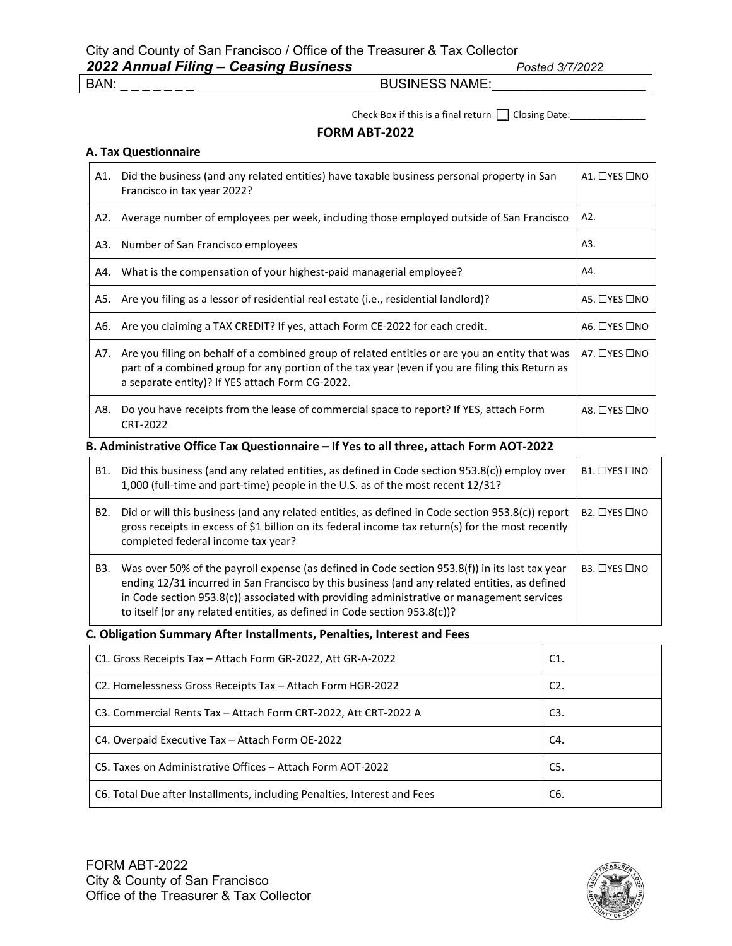Check Box if this is a final return Closing Date:\_\_\_\_\_\_\_\_\_\_\_\_\_\_

#### **FORM ABT-2022**

### **A. Tax Questionnaire**

| A1. | Did the business (and any related entities) have taxable business personal property in San<br>Francisco in tax year 2022?                                                                                                                            |                          |  |  |  |
|-----|------------------------------------------------------------------------------------------------------------------------------------------------------------------------------------------------------------------------------------------------------|--------------------------|--|--|--|
| A2. | Average number of employees per week, including those employed outside of San Francisco                                                                                                                                                              | A2.                      |  |  |  |
| A3. | Number of San Francisco employees                                                                                                                                                                                                                    | A3.                      |  |  |  |
| A4. | What is the compensation of your highest-paid managerial employee?                                                                                                                                                                                   | A4.                      |  |  |  |
| A5. | Are you filing as a lessor of residential real estate (i.e., residential landlord)?                                                                                                                                                                  | A5. □YES □NO             |  |  |  |
| A6. | Are you claiming a TAX CREDIT? If yes, attach Form CE-2022 for each credit.                                                                                                                                                                          | A6. $\Box$ YES $\Box$ NO |  |  |  |
| A7. | Are you filing on behalf of a combined group of related entities or are you an entity that was<br>part of a combined group for any portion of the tax year (even if you are filing this Return as<br>a separate entity)? If YES attach Form CG-2022. | A7. □YES □NO             |  |  |  |
| A8. | Do you have receipts from the lease of commercial space to report? If YES, attach Form<br>CRT-2022                                                                                                                                                   | A8. $\Box$ YES $\Box$ NO |  |  |  |
|     | B. Administrative Office Tax Questionnaire – If Yes to all three, attach Form AOT-2022.                                                                                                                                                              |                          |  |  |  |

#### **B. Administrative Office Tax Questionnaire – If Yes to all three, attach Form AOT-2022**

| B1.              | Did this business (and any related entities, as defined in Code section 953.8(c)) employ over<br>1,000 (full-time and part-time) people in the U.S. as of the most recent 12/31?                                                                                                                                                                                             | $B1.$ $\Box$ YES $\Box$ NO |
|------------------|------------------------------------------------------------------------------------------------------------------------------------------------------------------------------------------------------------------------------------------------------------------------------------------------------------------------------------------------------------------------------|----------------------------|
| B <sub>2</sub> . | Did or will this business (and any related entities, as defined in Code section $953.8(c)$ ) report<br>gross receipts in excess of \$1 billion on its federal income tax return(s) for the most recently<br>completed federal income tax year?                                                                                                                               | $B2.$ $\Box$ YES $\Box$ NO |
| B3.              | Was over 50% of the payroll expense (as defined in Code section 953.8(f)) in its last tax year<br>ending 12/31 incurred in San Francisco by this business (and any related entities, as defined<br>in Code section $953.8(c)$ ) associated with providing administrative or management services<br>to itself (or any related entities, as defined in Code section 953.8(c))? | $B3.$ $\Box$ YES $\Box$ NO |

### **C. Obligation Summary After Installments, Penalties, Interest and Fees**

| C1. Gross Receipts Tax - Attach Form GR-2022, Att GR-A-2022              | C1.              |
|--------------------------------------------------------------------------|------------------|
| C2. Homelessness Gross Receipts Tax - Attach Form HGR-2022               | C <sub>2</sub> . |
| C3. Commercial Rents Tax - Attach Form CRT-2022, Att CRT-2022 A          | C <sub>3</sub>   |
| C4. Overpaid Executive Tax - Attach Form OE-2022                         | C4.              |
| C5. Taxes on Administrative Offices – Attach Form AOT-2022               | C5.              |
| C6. Total Due after Installments, including Penalties, Interest and Fees | C6.              |

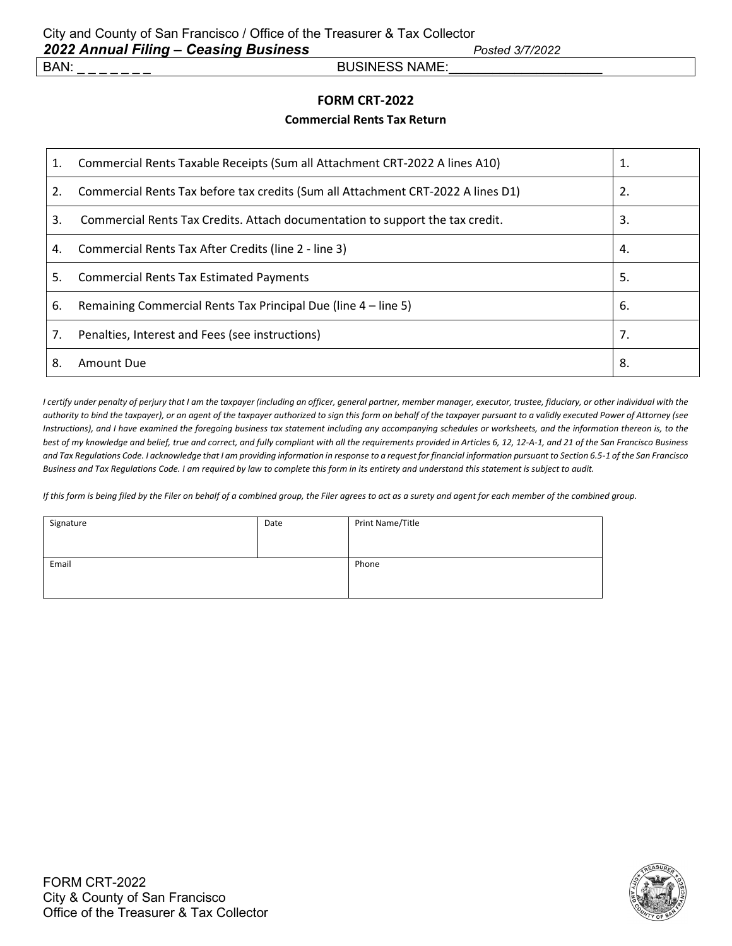### **FORM CRT-2022**

#### **Commercial Rents Tax Return**

| 1. | Commercial Rents Taxable Receipts (Sum all Attachment CRT-2022 A lines A10)      |    |
|----|----------------------------------------------------------------------------------|----|
| 2. | Commercial Rents Tax before tax credits (Sum all Attachment CRT-2022 A lines D1) | 2. |
| 3. | Commercial Rents Tax Credits. Attach documentation to support the tax credit.    | 3. |
| 4. | Commercial Rents Tax After Credits (line 2 - line 3)                             | 4. |
| 5. | <b>Commercial Rents Tax Estimated Payments</b>                                   | 5. |
| 6. | Remaining Commercial Rents Tax Principal Due (line 4 – line 5)                   | 6. |
| 7. | Penalties, Interest and Fees (see instructions)                                  | 7. |
| 8. | Amount Due                                                                       | 8. |

*I certify under penalty of perjury that I am the taxpayer (including an officer, general partner, member manager, executor, trustee, fiduciary, or other individual with the authority to bind the taxpayer), or an agent of the taxpayer authorized to sign this form on behalf of the taxpayer pursuant to a validly executed Power of Attorney (see Instructions), and I have examined the foregoing business tax statement including any accompanying schedules or worksheets, and the information thereon is, to the best of my knowledge and belief, true and correct, and fully compliant with all the requirements provided in Articles 6, 12, 12-A-1, and 21 of the San Francisco Business and Tax Regulations Code. I acknowledge that I am providing information in response to a request for financial information pursuant to Section 6.5-1 of the San Francisco Business and Tax Regulations Code. I am required by law to complete this form in its entirety and understand this statement is subject to audit.*

*If this form is being filed by the Filer on behalf of a combined group, the Filer agrees to act as a surety and agent for each member of the combined group.*

| Signature | Date | Print Name/Title |
|-----------|------|------------------|
| Email     |      | Phone            |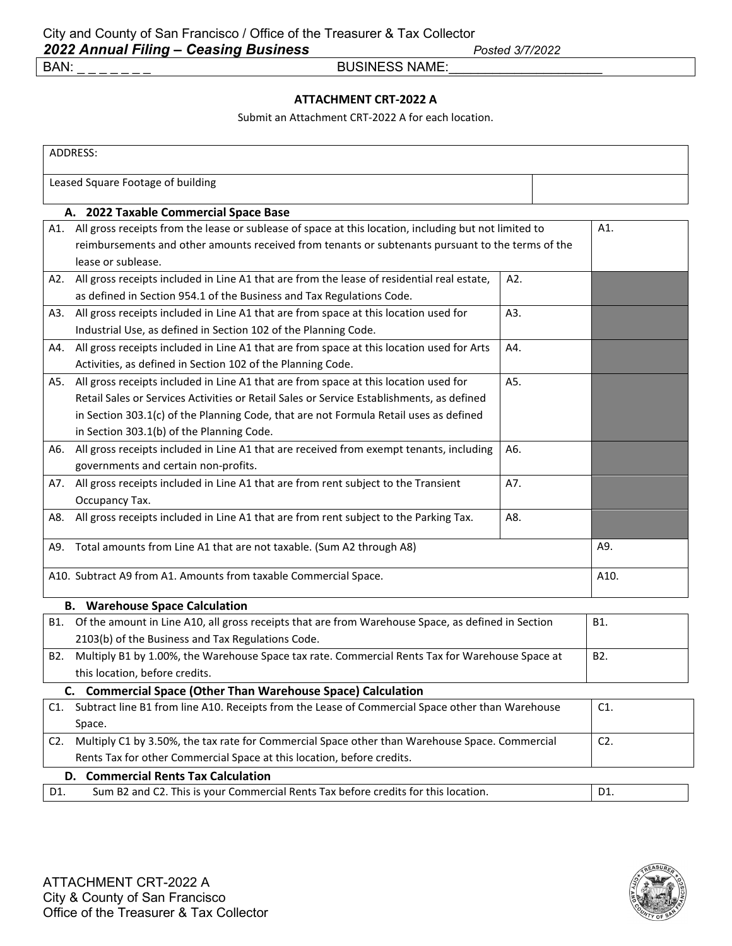### **ATTACHMENT CRT-2022 A**

Submit an Attachment CRT-2022 A for each location.

|                                                                                           | ADDRESS:                                                                                                  |     |        |  |
|-------------------------------------------------------------------------------------------|-----------------------------------------------------------------------------------------------------------|-----|--------|--|
|                                                                                           | Leased Square Footage of building                                                                         |     |        |  |
|                                                                                           | A. 2022 Taxable Commercial Space Base                                                                     |     |        |  |
|                                                                                           | A1. All gross receipts from the lease or sublease of space at this location, including but not limited to |     | A1.    |  |
|                                                                                           | reimbursements and other amounts received from tenants or subtenants pursuant to the terms of the         |     |        |  |
|                                                                                           | lease or sublease.                                                                                        |     |        |  |
|                                                                                           | A2. All gross receipts included in Line A1 that are from the lease of residential real estate,            | A2. |        |  |
|                                                                                           | as defined in Section 954.1 of the Business and Tax Regulations Code.                                     |     |        |  |
|                                                                                           | A3. All gross receipts included in Line A1 that are from space at this location used for                  | A3. |        |  |
|                                                                                           | Industrial Use, as defined in Section 102 of the Planning Code.                                           |     |        |  |
| A4.                                                                                       | All gross receipts included in Line A1 that are from space at this location used for Arts                 | A4. |        |  |
|                                                                                           | Activities, as defined in Section 102 of the Planning Code.                                               |     |        |  |
| A5.                                                                                       | All gross receipts included in Line A1 that are from space at this location used for                      | A5. |        |  |
|                                                                                           | Retail Sales or Services Activities or Retail Sales or Service Establishments, as defined                 |     |        |  |
|                                                                                           | in Section 303.1(c) of the Planning Code, that are not Formula Retail uses as defined                     |     |        |  |
|                                                                                           | in Section 303.1(b) of the Planning Code.                                                                 |     |        |  |
| A6.                                                                                       | All gross receipts included in Line A1 that are received from exempt tenants, including                   | A6. |        |  |
|                                                                                           | governments and certain non-profits.                                                                      |     |        |  |
| A7.                                                                                       | All gross receipts included in Line A1 that are from rent subject to the Transient                        | A7. |        |  |
|                                                                                           | Occupancy Tax.                                                                                            |     |        |  |
| A8.                                                                                       | All gross receipts included in Line A1 that are from rent subject to the Parking Tax.                     | A8. |        |  |
| A9. Total amounts from Line A1 that are not taxable. (Sum A2 through A8)                  |                                                                                                           |     | A9.    |  |
| A10. Subtract A9 from A1. Amounts from taxable Commercial Space.                          |                                                                                                           |     | A10.   |  |
|                                                                                           | <b>B.</b> Warehouse Space Calculation                                                                     |     |        |  |
|                                                                                           | B1. Of the amount in Line A10, all gross receipts that are from Warehouse Space, as defined in Section    |     | B1.    |  |
|                                                                                           | 2103(b) of the Business and Tax Regulations Code.                                                         |     |        |  |
| B2.                                                                                       | Multiply B1 by 1.00%, the Warehouse Space tax rate. Commercial Rents Tax for Warehouse Space at           |     | B2.    |  |
|                                                                                           | this location, before credits.                                                                            |     |        |  |
|                                                                                           | C. Commercial Space (Other Than Warehouse Space) Calculation                                              |     |        |  |
|                                                                                           | C1. Subtract line B1 from line A10. Receipts from the Lease of Commercial Space other than Warehouse      |     | C1.    |  |
|                                                                                           | Space.                                                                                                    |     |        |  |
| C2.                                                                                       | Multiply C1 by 3.50%, the tax rate for Commercial Space other than Warehouse Space. Commercial            |     | $C2$ . |  |
|                                                                                           | Rents Tax for other Commercial Space at this location, before credits.                                    |     |        |  |
|                                                                                           | D. Commercial Rents Tax Calculation                                                                       |     |        |  |
| Sum B2 and C2. This is your Commercial Rents Tax before credits for this location.<br>D1. |                                                                                                           |     | D1.    |  |

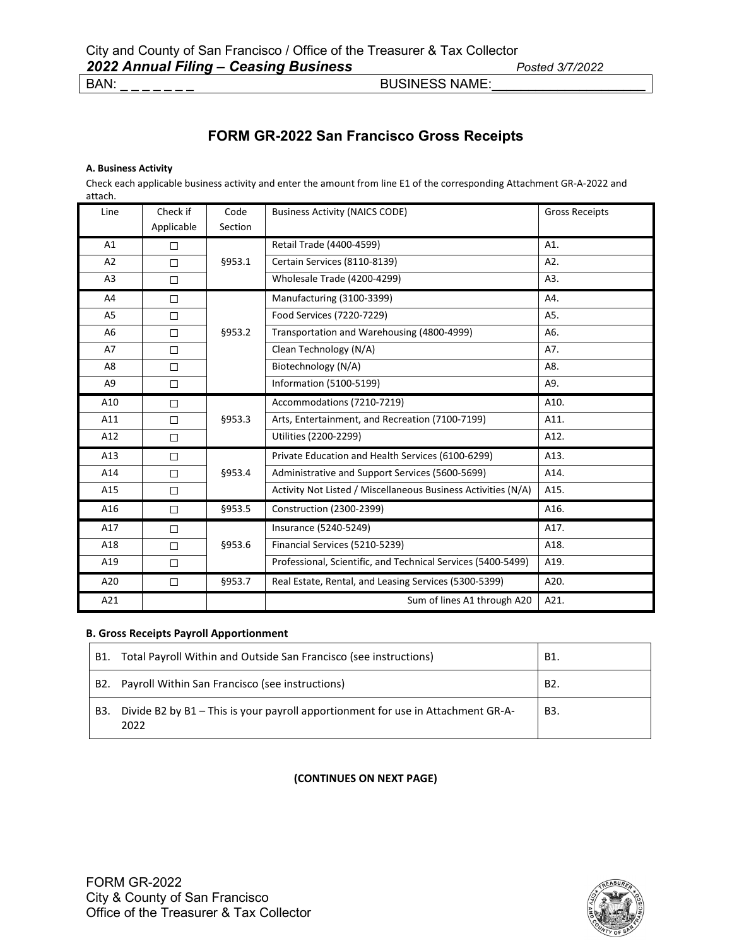### **FORM GR-2022 San Francisco Gross Receipts**

#### **A. Business Activity**

Check each applicable business activity and enter the amount from line E1 of the corresponding Attachment GR-A-2022 and attach.

| Line           | Check if   | Code    | <b>Business Activity (NAICS CODE)</b>                         | <b>Gross Receipts</b> |
|----------------|------------|---------|---------------------------------------------------------------|-----------------------|
|                | Applicable | Section |                                                               |                       |
| A1             | $\Box$     |         | Retail Trade (4400-4599)                                      | A1.                   |
| A <sub>2</sub> | $\Box$     | §953.1  | Certain Services (8110-8139)                                  | A2.                   |
| A <sub>3</sub> | $\Box$     |         | Wholesale Trade (4200-4299)                                   | A3.                   |
| A4             | $\Box$     |         | Manufacturing (3100-3399)                                     | A4.                   |
| A5             | □          |         | Food Services (7220-7229)                                     | A5.                   |
| A <sub>6</sub> | $\Box$     | §953.2  | Transportation and Warehousing (4800-4999)                    | A6.                   |
| A7             | $\Box$     |         | Clean Technology (N/A)                                        | A7.                   |
| A8             | $\Box$     |         | Biotechnology (N/A)                                           | A8.                   |
| A9             | $\Box$     |         | <b>Information (5100-5199)</b>                                | A9.                   |
| A10            | $\Box$     |         | Accommodations (7210-7219)                                    | A10.                  |
| A11            | $\Box$     | §953.3  | Arts, Entertainment, and Recreation (7100-7199)               | A11.                  |
| A12            | $\Box$     |         | Utilities (2200-2299)                                         | A12.                  |
| A13            | $\Box$     |         | Private Education and Health Services (6100-6299)             | A13.                  |
| A14            | $\Box$     | §953.4  | Administrative and Support Services (5600-5699)               | A14.                  |
| A15            | □          |         | Activity Not Listed / Miscellaneous Business Activities (N/A) | A15.                  |
| A16            | $\Box$     | §953.5  | Construction (2300-2399)                                      | A16.                  |
| A17            | $\Box$     |         | Insurance (5240-5249)                                         | A17.                  |
| A18            | $\Box$     | §953.6  | Financial Services (5210-5239)                                | A18.                  |
| A19            | $\Box$     |         | Professional, Scientific, and Technical Services (5400-5499)  | A19.                  |
| A20            | □          | §953.7  | Real Estate, Rental, and Leasing Services (5300-5399)         | A20.                  |
| A21            |            |         | Sum of lines A1 through A20                                   | A21.                  |

#### **B. Gross Receipts Payroll Apportionment**

| B1. | Total Payroll Within and Outside San Francisco (see instructions)                        | B1.              |
|-----|------------------------------------------------------------------------------------------|------------------|
| B2. | Payroll Within San Francisco (see instructions)                                          | B <sub>2</sub> . |
| B3. | Divide B2 by B1 - This is your payroll apportionment for use in Attachment GR-A-<br>2022 | B3.              |

**(CONTINUES ON NEXT PAGE)**



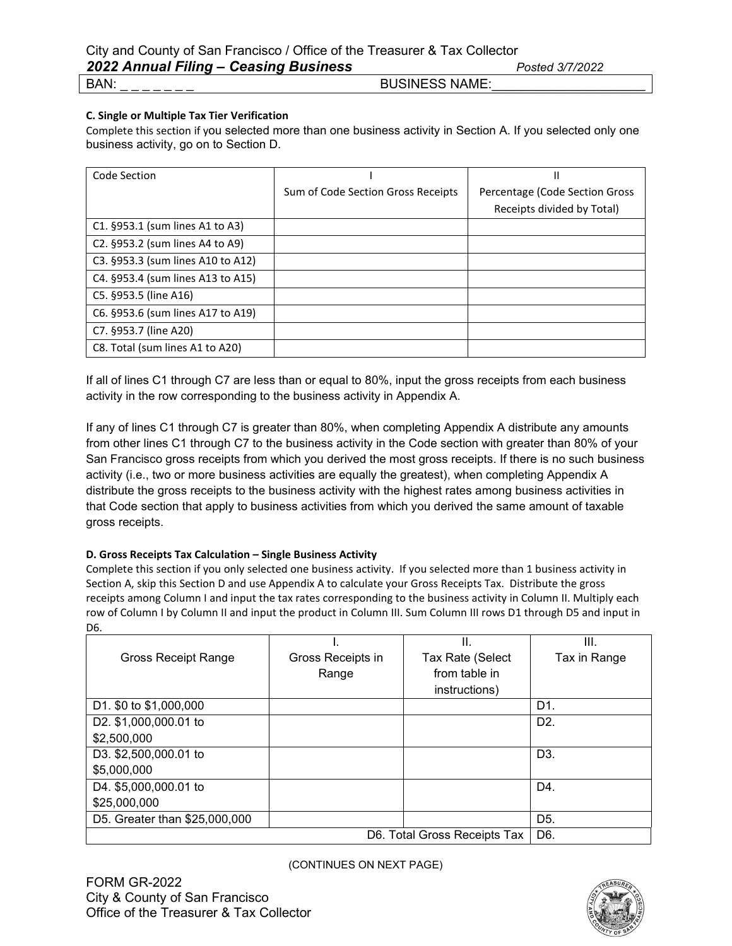#### **C. Single or Multiple Tax Tier Verification**

Complete this section if you selected more than one business activity in Section A. If you selected only one business activity, go on to Section D.

| Code Section                      |                                    | Ш                              |
|-----------------------------------|------------------------------------|--------------------------------|
|                                   | Sum of Code Section Gross Receipts | Percentage (Code Section Gross |
|                                   |                                    | Receipts divided by Total)     |
| C1. §953.1 (sum lines A1 to A3)   |                                    |                                |
| C2. §953.2 (sum lines A4 to A9)   |                                    |                                |
| C3. §953.3 (sum lines A10 to A12) |                                    |                                |
| C4. §953.4 (sum lines A13 to A15) |                                    |                                |
| C5. §953.5 (line A16)             |                                    |                                |
| C6. §953.6 (sum lines A17 to A19) |                                    |                                |
| C7. §953.7 (line A20)             |                                    |                                |
| C8. Total (sum lines A1 to A20)   |                                    |                                |

If all of lines C1 through C7 are less than or equal to 80%, input the gross receipts from each business activity in the row corresponding to the business activity in Appendix A.

If any of lines C1 through C7 is greater than 80%, when completing Appendix A distribute any amounts from other lines C1 through C7 to the business activity in the Code section with greater than 80% of your San Francisco gross receipts from which you derived the most gross receipts. If there is no such business activity (i.e., two or more business activities are equally the greatest), when completing Appendix A distribute the gross receipts to the business activity with the highest rates among business activities in that Code section that apply to business activities from which you derived the same amount of taxable gross receipts.

#### **D. Gross Receipts Tax Calculation – Single Business Activity**

Complete this section if you only selected one business activity. If you selected more than 1 business activity in Section A, skip this Section D and use Appendix A to calculate your Gross Receipts Tax. Distribute the gross receipts among Column I and input the tax rates corresponding to the business activity in Column II. Multiply each row of Column I by Column II and input the product in Column III. Sum Column III rows D1 through D5 and input in D6.

|                               |                   | Ш.                           | III.             |
|-------------------------------|-------------------|------------------------------|------------------|
| <b>Gross Receipt Range</b>    | Gross Receipts in | Tax Rate (Select             | Tax in Range     |
|                               | Range             | from table in                |                  |
|                               |                   | instructions)                |                  |
| D1. \$0 to \$1,000,000        |                   |                              | D1.              |
| D2. \$1,000,000.01 to         |                   |                              | D <sub>2</sub> . |
| \$2,500,000                   |                   |                              |                  |
| D3. \$2,500,000.01 to         |                   |                              | D <sub>3</sub>   |
| \$5,000,000                   |                   |                              |                  |
| D4. \$5,000,000.01 to         |                   |                              | D <sub>4</sub>   |
| \$25,000,000                  |                   |                              |                  |
| D5. Greater than \$25,000,000 |                   |                              | D <sub>5</sub> . |
|                               |                   | D6. Total Gross Receipts Tax | D6.              |

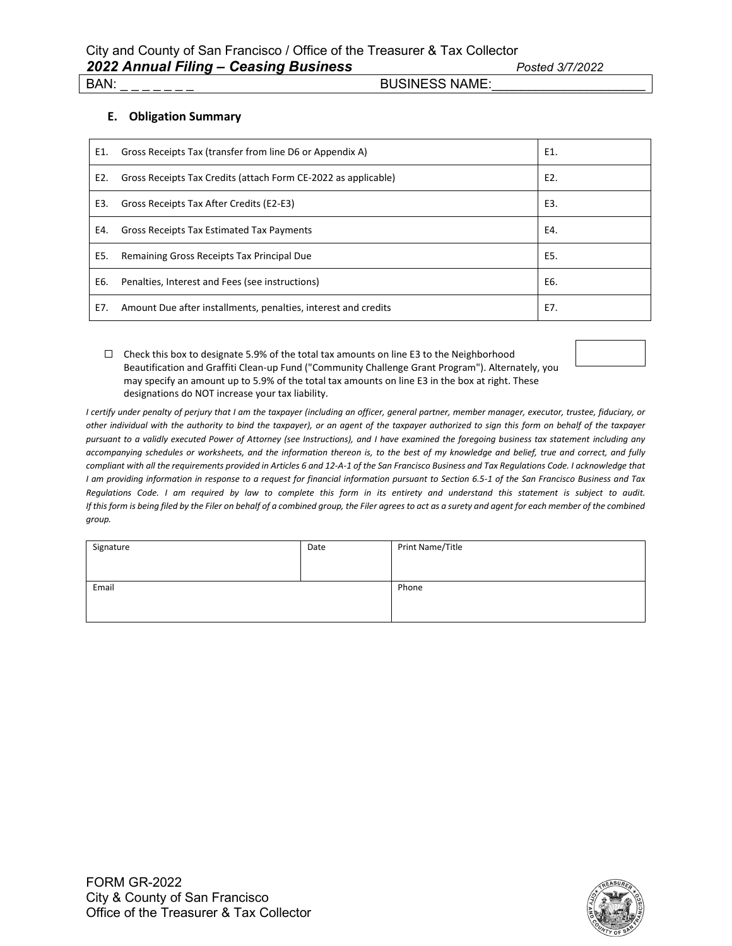#### **E. Obligation Summary**

| E1. | Gross Receipts Tax (transfer from line D6 or Appendix A)       | E1. |
|-----|----------------------------------------------------------------|-----|
| E2. | Gross Receipts Tax Credits (attach Form CE-2022 as applicable) | E2. |
| E3. | Gross Receipts Tax After Credits (E2-E3)                       | E3. |
| E4. | <b>Gross Receipts Tax Estimated Tax Payments</b>               | E4. |
| E5. | Remaining Gross Receipts Tax Principal Due                     | E5. |
| E6. | Penalties, Interest and Fees (see instructions)                | E6. |
| E7. | Amount Due after installments, penalties, interest and credits | E7. |

 ☐ Check this box to designate 5.9% of the total tax amounts on line E3 to the Neighborhood Beautification and Graffiti Clean-up Fund ("Community Challenge Grant Program"). Alternately, you may specify an amount up to 5.9% of the total tax amounts on line E3 in the box at right. These designations do NOT increase your tax liability.



*I certify under penalty of perjury that I am the taxpayer (including an officer, general partner, member manager, executor, trustee, fiduciary, or other individual with the authority to bind the taxpayer), or an agent of the taxpayer authorized to sign this form on behalf of the taxpayer pursuant to a validly executed Power of Attorney (see Instructions), and I have examined the foregoing business tax statement including any accompanying schedules or worksheets, and the information thereon is, to the best of my knowledge and belief, true and correct, and fully compliant with all the requirements provided in Articles 6 and 12-A-1 of the San Francisco Business and Tax Regulations Code. I acknowledge that I am providing information in response to a request for financial information pursuant to Section 6.5-1 of the San Francisco Business and Tax Regulations Code. I am required by law to complete this form in its entirety and understand this statement is subject to audit. If this form is being filed by the Filer on behalf of a combined group, the Filer agrees to act as a surety and agent for each member of the combined group.*

| Signature | Date | Print Name/Title |
|-----------|------|------------------|
| Email     |      | Phone            |

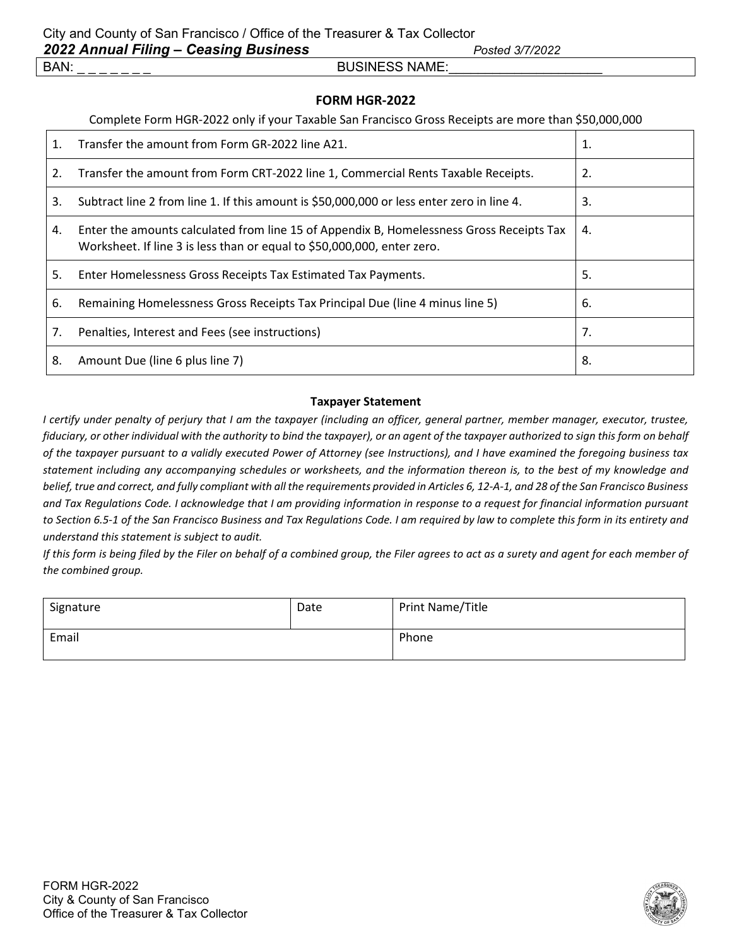### **FORM HGR-2022**

#### Complete Form HGR-2022 only if your Taxable San Francisco Gross Receipts are more than \$50,000,000

| $\mathbf{1}$ . | Transfer the amount from Form GR-2022 line A21.                                                                                                                     | 1. |
|----------------|---------------------------------------------------------------------------------------------------------------------------------------------------------------------|----|
| 2.             | Transfer the amount from Form CRT-2022 line 1, Commercial Rents Taxable Receipts.                                                                                   | 2. |
| 3.             | Subtract line 2 from line 1. If this amount is \$50,000,000 or less enter zero in line 4.                                                                           | 3. |
| 4.             | Enter the amounts calculated from line 15 of Appendix B, Homelessness Gross Receipts Tax<br>Worksheet. If line 3 is less than or equal to \$50,000,000, enter zero. | 4. |
| 5.             | Enter Homelessness Gross Receipts Tax Estimated Tax Payments.                                                                                                       | 5. |
| 6.             | Remaining Homelessness Gross Receipts Tax Principal Due (line 4 minus line 5)                                                                                       | 6. |
| 7.             | Penalties, Interest and Fees (see instructions)                                                                                                                     | 7. |
| 8.             | Amount Due (line 6 plus line 7)                                                                                                                                     | 8. |

#### **Taxpayer Statement**

*I certify under penalty of perjury that I am the taxpayer (including an officer, general partner, member manager, executor, trustee, fiduciary, or other individual with the authority to bind the taxpayer), or an agent of the taxpayer authorized to sign this form on behalf of the taxpayer pursuant to a validly executed Power of Attorney (see Instructions), and I have examined the foregoing business tax statement including any accompanying schedules or worksheets, and the information thereon is, to the best of my knowledge and belief, true and correct, and fully compliant with all the requirements provided in Articles 6, 12-A-1, and 28 of the San Francisco Business and Tax Regulations Code. I acknowledge that I am providing information in response to a request for financial information pursuant to Section 6.5-1 of the San Francisco Business and Tax Regulations Code. I am required by law to complete this form in its entirety and understand this statement is subject to audit.*

*If this form is being filed by the Filer on behalf of a combined group, the Filer agrees to act as a surety and agent for each member of the combined group.*

| Signature | Date | Print Name/Title |
|-----------|------|------------------|
| Email     |      | Phone            |

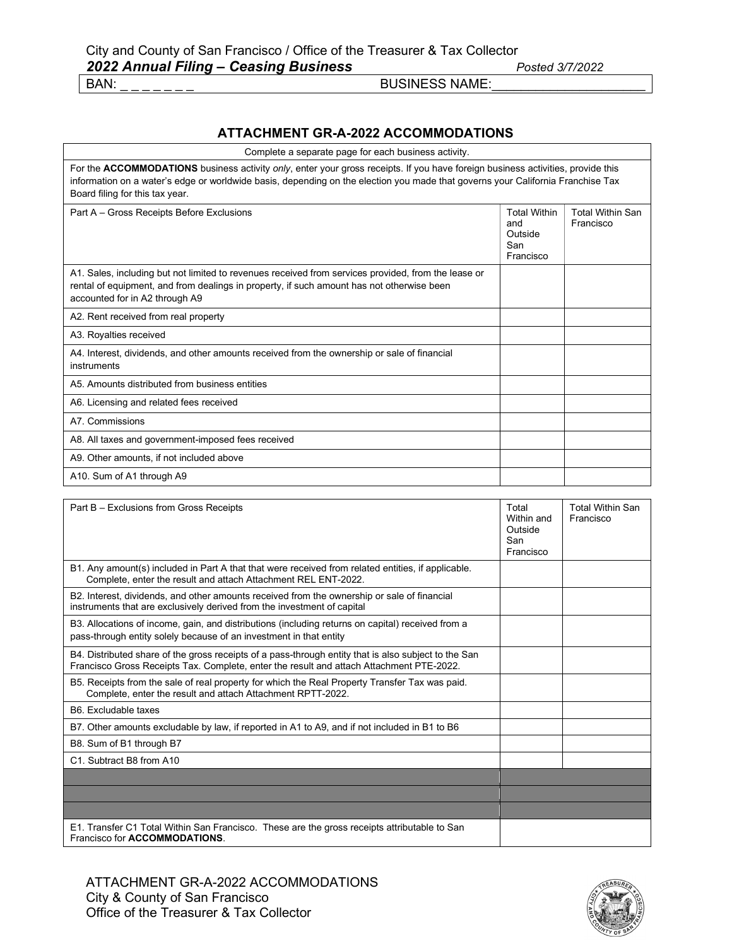### **ATTACHMENT GR-A-2022 ACCOMMODATIONS**

| Complete a separate page for each business activity.                                                                                                                                                                                                                                                  |                                                           |                                      |
|-------------------------------------------------------------------------------------------------------------------------------------------------------------------------------------------------------------------------------------------------------------------------------------------------------|-----------------------------------------------------------|--------------------------------------|
| For the ACCOMMODATIONS business activity only, enter your gross receipts. If you have foreign business activities, provide this<br>information on a water's edge or worldwide basis, depending on the election you made that governs your California Franchise Tax<br>Board filing for this tax year. |                                                           |                                      |
| Part A - Gross Receipts Before Exclusions                                                                                                                                                                                                                                                             | <b>Total Within</b><br>and<br>Outside<br>San<br>Francisco | <b>Total Within San</b><br>Francisco |
| A1. Sales, including but not limited to revenues received from services provided, from the lease or<br>rental of equipment, and from dealings in property, if such amount has not otherwise been<br>accounted for in A2 through A9                                                                    |                                                           |                                      |
| A2. Rent received from real property                                                                                                                                                                                                                                                                  |                                                           |                                      |
| A3. Royalties received                                                                                                                                                                                                                                                                                |                                                           |                                      |
| A4. Interest, dividends, and other amounts received from the ownership or sale of financial<br>instruments                                                                                                                                                                                            |                                                           |                                      |
| A5. Amounts distributed from business entities                                                                                                                                                                                                                                                        |                                                           |                                      |
| A6. Licensing and related fees received                                                                                                                                                                                                                                                               |                                                           |                                      |
| A7. Commissions                                                                                                                                                                                                                                                                                       |                                                           |                                      |
| A8. All taxes and government-imposed fees received                                                                                                                                                                                                                                                    |                                                           |                                      |
| A9. Other amounts, if not included above                                                                                                                                                                                                                                                              |                                                           |                                      |
| A10. Sum of A1 through A9                                                                                                                                                                                                                                                                             |                                                           |                                      |
| Part B - Exclusions from Gross Receipts                                                                                                                                                                                                                                                               | Total                                                     | <b>Total Within San</b>              |

| Part $B - Exclusions$ from Gross Receipts                                                                                                                                                        | I otal<br>Within and<br>Outside<br>San<br>Francisco | Total Within San<br>Francisco |
|--------------------------------------------------------------------------------------------------------------------------------------------------------------------------------------------------|-----------------------------------------------------|-------------------------------|
| B1. Any amount(s) included in Part A that that were received from related entities, if applicable.<br>Complete, enter the result and attach Attachment REL ENT-2022.                             |                                                     |                               |
| B2. Interest, dividends, and other amounts received from the ownership or sale of financial<br>instruments that are exclusively derived from the investment of capital                           |                                                     |                               |
| B3. Allocations of income, gain, and distributions (including returns on capital) received from a<br>pass-through entity solely because of an investment in that entity                          |                                                     |                               |
| B4. Distributed share of the gross receipts of a pass-through entity that is also subject to the San<br>Francisco Gross Receipts Tax. Complete, enter the result and attach Attachment PTE-2022. |                                                     |                               |
| B5. Receipts from the sale of real property for which the Real Property Transfer Tax was paid.<br>Complete, enter the result and attach Attachment RPTT-2022.                                    |                                                     |                               |
| B6. Excludable taxes                                                                                                                                                                             |                                                     |                               |
| B7. Other amounts excludable by law, if reported in A1 to A9, and if not included in B1 to B6                                                                                                    |                                                     |                               |
| B8. Sum of B1 through B7                                                                                                                                                                         |                                                     |                               |
| C1. Subtract B8 from A10                                                                                                                                                                         |                                                     |                               |
|                                                                                                                                                                                                  |                                                     |                               |
|                                                                                                                                                                                                  |                                                     |                               |
|                                                                                                                                                                                                  |                                                     |                               |
| E1. Transfer C1 Total Within San Francisco. These are the gross receipts attributable to San<br>Francisco for <b>ACCOMMODATIONS</b> .                                                            |                                                     |                               |

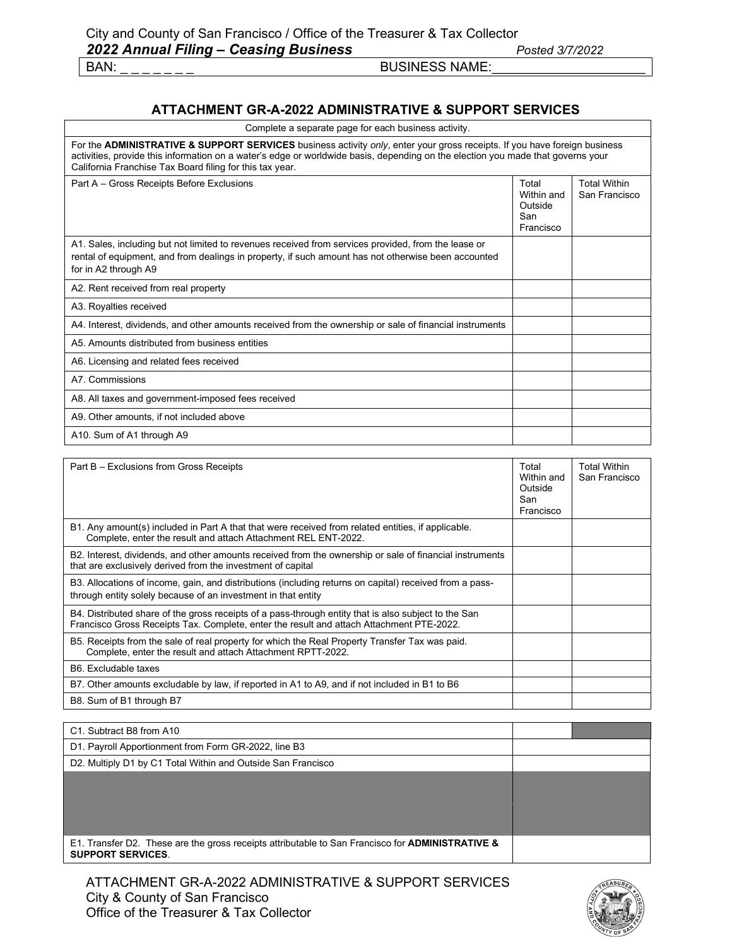### **ATTACHMENT GR-A-2022 ADMINISTRATIVE & SUPPORT SERVICES**

| Complete a separate page for each business activity. |  |  |
|------------------------------------------------------|--|--|
|------------------------------------------------------|--|--|

| For the <b>ADMINISTRATIVE &amp; SUPPORT SERVICES</b> business activity only, enter your gross receipts. If you have foreign business<br>activities, provide this information on a water's edge or worldwide basis, depending on the election you made that governs your<br>California Franchise Tax Board filing for this tax year. |                                                    |                                      |
|-------------------------------------------------------------------------------------------------------------------------------------------------------------------------------------------------------------------------------------------------------------------------------------------------------------------------------------|----------------------------------------------------|--------------------------------------|
| Part A - Gross Receipts Before Exclusions                                                                                                                                                                                                                                                                                           | Total<br>Within and<br>Outside<br>San<br>Francisco | <b>Total Within</b><br>San Francisco |
| A1. Sales, including but not limited to revenues received from services provided, from the lease or<br>rental of equipment, and from dealings in property, if such amount has not otherwise been accounted<br>for in A2 through A9                                                                                                  |                                                    |                                      |
| A2. Rent received from real property                                                                                                                                                                                                                                                                                                |                                                    |                                      |
| A3. Royalties received                                                                                                                                                                                                                                                                                                              |                                                    |                                      |
| A4. Interest, dividends, and other amounts received from the ownership or sale of financial instruments                                                                                                                                                                                                                             |                                                    |                                      |
| A5. Amounts distributed from business entities                                                                                                                                                                                                                                                                                      |                                                    |                                      |
| A6. Licensing and related fees received                                                                                                                                                                                                                                                                                             |                                                    |                                      |
| A7. Commissions                                                                                                                                                                                                                                                                                                                     |                                                    |                                      |
| A8. All taxes and government-imposed fees received                                                                                                                                                                                                                                                                                  |                                                    |                                      |
| A9. Other amounts, if not included above                                                                                                                                                                                                                                                                                            |                                                    |                                      |
| A10. Sum of A1 through A9                                                                                                                                                                                                                                                                                                           |                                                    |                                      |

| Part B – Exclusions from Gross Receipts                                                                                                                                                          | Total<br>Within and<br>Outside<br>San<br>Francisco | <b>Total Within</b><br>San Francisco |
|--------------------------------------------------------------------------------------------------------------------------------------------------------------------------------------------------|----------------------------------------------------|--------------------------------------|
| B1. Any amount(s) included in Part A that that were received from related entities, if applicable.<br>Complete, enter the result and attach Attachment REL ENT-2022.                             |                                                    |                                      |
| B2. Interest, dividends, and other amounts received from the ownership or sale of financial instruments<br>that are exclusively derived from the investment of capital                           |                                                    |                                      |
| B3. Allocations of income, gain, and distributions (including returns on capital) received from a pass-<br>through entity solely because of an investment in that entity                         |                                                    |                                      |
| B4. Distributed share of the gross receipts of a pass-through entity that is also subject to the San<br>Francisco Gross Receipts Tax. Complete, enter the result and attach Attachment PTE-2022. |                                                    |                                      |
| B5. Receipts from the sale of real property for which the Real Property Transfer Tax was paid.<br>Complete, enter the result and attach Attachment RPTT-2022.                                    |                                                    |                                      |
| B6. Excludable taxes                                                                                                                                                                             |                                                    |                                      |
| B7. Other amounts excludable by law, if reported in A1 to A9, and if not included in B1 to B6                                                                                                    |                                                    |                                      |
| B8. Sum of B1 through B7                                                                                                                                                                         |                                                    |                                      |

| C1. Subtract B8 from A10                                                                                                                |  |
|-----------------------------------------------------------------------------------------------------------------------------------------|--|
| D1. Payroll Apportionment from Form GR-2022, line B3                                                                                    |  |
| D2. Multiply D1 by C1 Total Within and Outside San Francisco                                                                            |  |
|                                                                                                                                         |  |
|                                                                                                                                         |  |
|                                                                                                                                         |  |
|                                                                                                                                         |  |
| E1. Transfer D2. These are the gross receipts attributable to San Francisco for <b>ADMINISTRATIVE &amp;</b><br><b>SUPPORT SERVICES.</b> |  |

ATTACHMENT GR-A-2022 ADMINISTRATIVE & SUPPORT SERVICES City & County of San Francisco Office of the Treasurer & Tax Collector

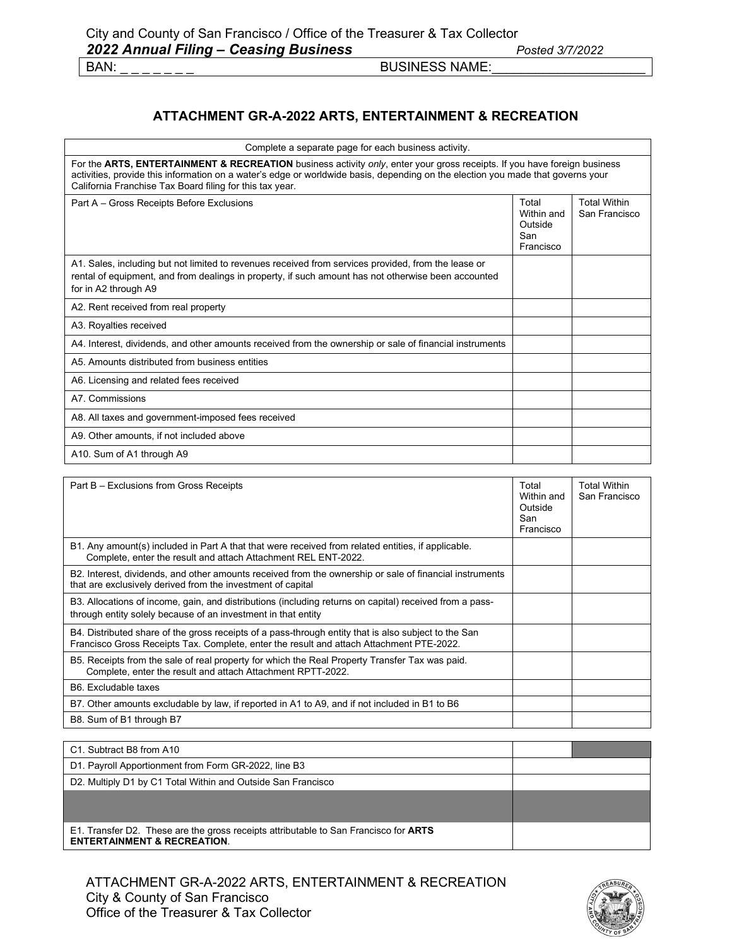### **ATTACHMENT GR-A-2022 ARTS, ENTERTAINMENT & RECREATION**

| Complete a separate page for each business activity.                                                                                                                                                                                                                                                                    |                                                    |                                      |
|-------------------------------------------------------------------------------------------------------------------------------------------------------------------------------------------------------------------------------------------------------------------------------------------------------------------------|----------------------------------------------------|--------------------------------------|
| For the ARTS, ENTERTAINMENT & RECREATION business activity only, enter your gross receipts. If you have foreign business<br>activities, provide this information on a water's edge or worldwide basis, depending on the election you made that governs your<br>California Franchise Tax Board filing for this tax year. |                                                    |                                      |
| Part A - Gross Receipts Before Exclusions                                                                                                                                                                                                                                                                               | Total<br>Within and<br>Outside<br>San<br>Francisco | <b>Total Within</b><br>San Francisco |
| A1. Sales, including but not limited to revenues received from services provided, from the lease or<br>rental of equipment, and from dealings in property, if such amount has not otherwise been accounted<br>for in A2 through A9                                                                                      |                                                    |                                      |
| A2. Rent received from real property                                                                                                                                                                                                                                                                                    |                                                    |                                      |
| A3. Royalties received                                                                                                                                                                                                                                                                                                  |                                                    |                                      |
| A4. Interest, dividends, and other amounts received from the ownership or sale of financial instruments                                                                                                                                                                                                                 |                                                    |                                      |
| A5 Amounts distributed from business entities                                                                                                                                                                                                                                                                           |                                                    |                                      |
| A6. Licensing and related fees received                                                                                                                                                                                                                                                                                 |                                                    |                                      |
| A7. Commissions                                                                                                                                                                                                                                                                                                         |                                                    |                                      |
| A8. All taxes and government-imposed fees received                                                                                                                                                                                                                                                                      |                                                    |                                      |
| A9. Other amounts, if not included above                                                                                                                                                                                                                                                                                |                                                    |                                      |
| A10. Sum of A1 through A9                                                                                                                                                                                                                                                                                               |                                                    |                                      |

| Part B – Exclusions from Gross Receipts                                                                                                                                                          | Total<br>Within and<br>Outside<br>San<br>Francisco | <b>Total Within</b><br>San Francisco |
|--------------------------------------------------------------------------------------------------------------------------------------------------------------------------------------------------|----------------------------------------------------|--------------------------------------|
| B1. Any amount(s) included in Part A that that were received from related entities, if applicable.<br>Complete, enter the result and attach Attachment REL ENT-2022.                             |                                                    |                                      |
| B2. Interest, dividends, and other amounts received from the ownership or sale of financial instruments<br>that are exclusively derived from the investment of capital                           |                                                    |                                      |
| B3. Allocations of income, gain, and distributions (including returns on capital) received from a pass-<br>through entity solely because of an investment in that entity                         |                                                    |                                      |
| B4. Distributed share of the gross receipts of a pass-through entity that is also subject to the San<br>Francisco Gross Receipts Tax. Complete, enter the result and attach Attachment PTE-2022. |                                                    |                                      |
| B5. Receipts from the sale of real property for which the Real Property Transfer Tax was paid.<br>Complete, enter the result and attach Attachment RPTT-2022.                                    |                                                    |                                      |
| B6. Excludable taxes                                                                                                                                                                             |                                                    |                                      |
| B7. Other amounts excludable by law, if reported in A1 to A9, and if not included in B1 to B6                                                                                                    |                                                    |                                      |
| B8. Sum of B1 through B7                                                                                                                                                                         |                                                    |                                      |

| C1. Subtract B8 from A10                                                                                                       |  |
|--------------------------------------------------------------------------------------------------------------------------------|--|
| D1. Payroll Apportionment from Form GR-2022, line B3                                                                           |  |
| D2. Multiply D1 by C1 Total Within and Outside San Francisco                                                                   |  |
|                                                                                                                                |  |
|                                                                                                                                |  |
| E1. Transfer D2. These are the gross receipts attributable to San Francisco for ARTS<br><b>ENTERTAINMENT &amp; RECREATION.</b> |  |

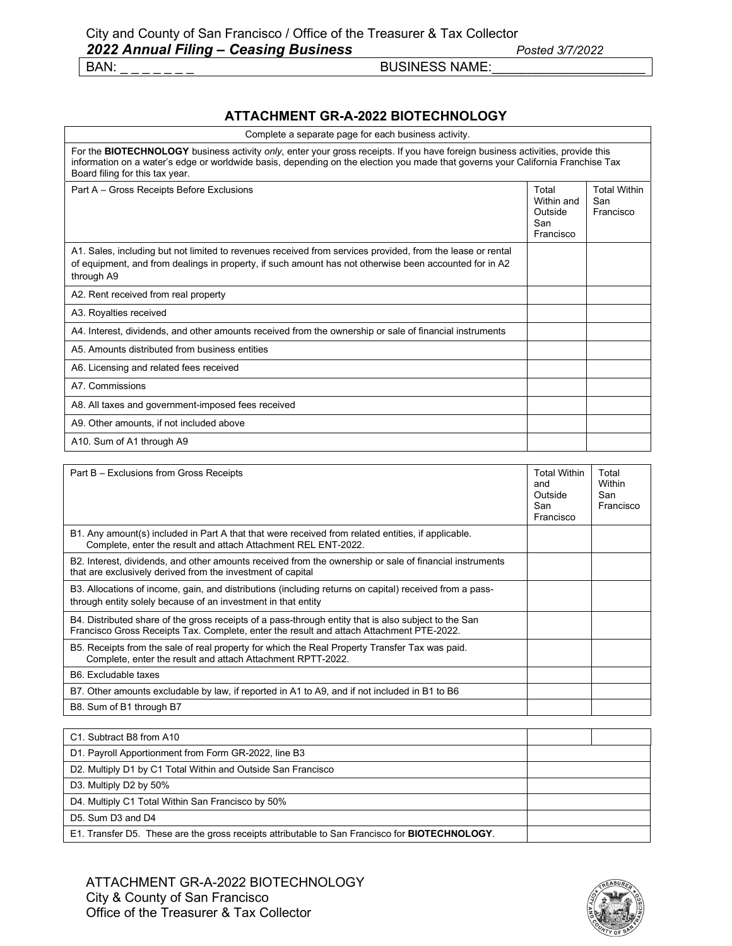### **ATTACHMENT GR-A-2022 BIOTECHNOLOGY**

| Complete a separate page for each business activity.                                                                                                                                                                                                                                                 |                                                    |                                         |
|------------------------------------------------------------------------------------------------------------------------------------------------------------------------------------------------------------------------------------------------------------------------------------------------------|----------------------------------------------------|-----------------------------------------|
| For the BIOTECHNOLOGY business activity only, enter your gross receipts. If you have foreign business activities, provide this<br>information on a water's edge or worldwide basis, depending on the election you made that governs your California Franchise Tax<br>Board filing for this tax year. |                                                    |                                         |
| Part A - Gross Receipts Before Exclusions                                                                                                                                                                                                                                                            | Total<br>Within and<br>Outside<br>San<br>Francisco | <b>Total Within</b><br>San<br>Francisco |
| A1. Sales, including but not limited to revenues received from services provided, from the lease or rental<br>of equipment, and from dealings in property, if such amount has not otherwise been accounted for in A2<br>through A9                                                                   |                                                    |                                         |
| A2. Rent received from real property                                                                                                                                                                                                                                                                 |                                                    |                                         |
| A3. Royalties received                                                                                                                                                                                                                                                                               |                                                    |                                         |
| A4. Interest, dividends, and other amounts received from the ownership or sale of financial instruments                                                                                                                                                                                              |                                                    |                                         |
| A5. Amounts distributed from business entities                                                                                                                                                                                                                                                       |                                                    |                                         |
| A6. Licensing and related fees received                                                                                                                                                                                                                                                              |                                                    |                                         |
| A7. Commissions                                                                                                                                                                                                                                                                                      |                                                    |                                         |
| A8. All taxes and government-imposed fees received                                                                                                                                                                                                                                                   |                                                    |                                         |
| A9. Other amounts, if not included above                                                                                                                                                                                                                                                             |                                                    |                                         |
| A10. Sum of A1 through A9                                                                                                                                                                                                                                                                            |                                                    |                                         |

| Part B – Exclusions from Gross Receipts                                                                                                                                                          | <b>Total Within</b><br>and<br>Outside<br>San<br>Francisco | Total<br>Within<br>San<br>Francisco |
|--------------------------------------------------------------------------------------------------------------------------------------------------------------------------------------------------|-----------------------------------------------------------|-------------------------------------|
| B1. Any amount(s) included in Part A that that were received from related entities, if applicable.<br>Complete, enter the result and attach Attachment REL ENT-2022.                             |                                                           |                                     |
| B2. Interest, dividends, and other amounts received from the ownership or sale of financial instruments<br>that are exclusively derived from the investment of capital                           |                                                           |                                     |
| B3. Allocations of income, gain, and distributions (including returns on capital) received from a pass-<br>through entity solely because of an investment in that entity                         |                                                           |                                     |
| B4. Distributed share of the gross receipts of a pass-through entity that is also subject to the San<br>Francisco Gross Receipts Tax. Complete, enter the result and attach Attachment PTE-2022. |                                                           |                                     |
| B5. Receipts from the sale of real property for which the Real Property Transfer Tax was paid.<br>Complete, enter the result and attach Attachment RPTT-2022.                                    |                                                           |                                     |
| B6. Excludable taxes                                                                                                                                                                             |                                                           |                                     |
| B7. Other amounts excludable by law, if reported in A1 to A9, and if not included in B1 to B6                                                                                                    |                                                           |                                     |
| B8. Sum of B1 through B7                                                                                                                                                                         |                                                           |                                     |

| C1. Subtract B8 from A10                                                                               |  |
|--------------------------------------------------------------------------------------------------------|--|
| D1. Payroll Apportionment from Form GR-2022, line B3                                                   |  |
| D2. Multiply D1 by C1 Total Within and Outside San Francisco                                           |  |
| D3. Multiply D2 by 50%                                                                                 |  |
| D4. Multiply C1 Total Within San Francisco by 50%                                                      |  |
| D5. Sum D3 and D4                                                                                      |  |
| E1. Transfer D5. These are the gross receipts attributable to San Francisco for <b>BIOTECHNOLOGY</b> . |  |

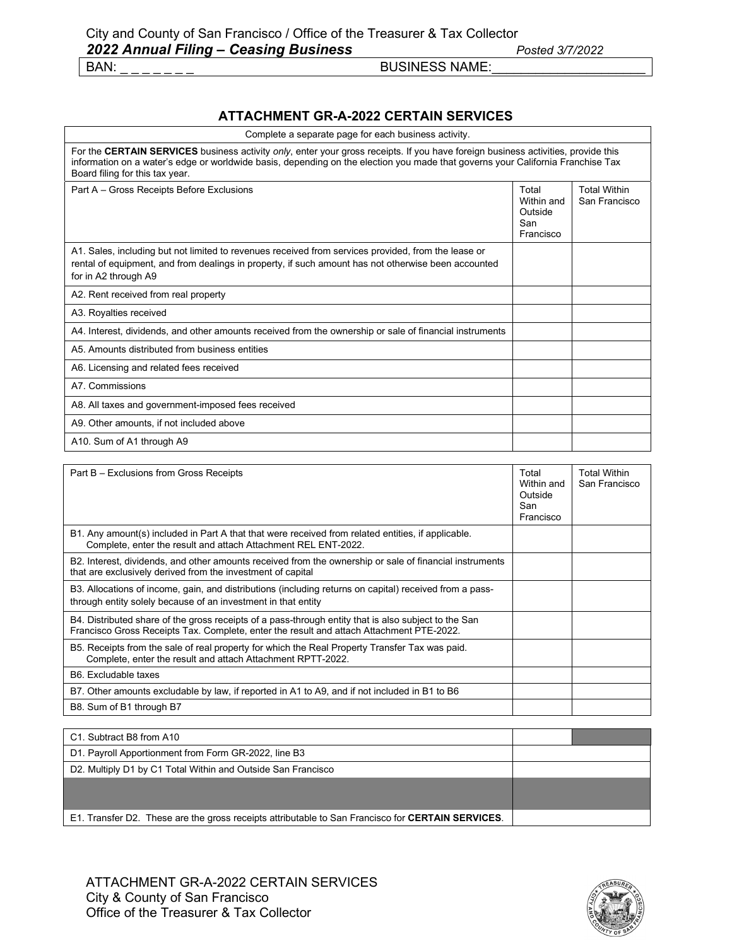#### **ATTACHMENT GR-A-2022 CERTAIN SERVICES**

| Complete a separate page for each business activity.                                                                                                                                                                                                                                                    |                                                    |                                      |
|---------------------------------------------------------------------------------------------------------------------------------------------------------------------------------------------------------------------------------------------------------------------------------------------------------|----------------------------------------------------|--------------------------------------|
| For the CERTAIN SERVICES business activity only, enter your gross receipts. If you have foreign business activities, provide this<br>information on a water's edge or worldwide basis, depending on the election you made that governs your California Franchise Tax<br>Board filing for this tax year. |                                                    |                                      |
| Part A - Gross Receipts Before Exclusions                                                                                                                                                                                                                                                               | Total<br>Within and<br>Outside<br>San<br>Francisco | <b>Total Within</b><br>San Francisco |
| A1. Sales, including but not limited to revenues received from services provided, from the lease or<br>rental of equipment, and from dealings in property, if such amount has not otherwise been accounted<br>for in A2 through A9                                                                      |                                                    |                                      |
| A2. Rent received from real property                                                                                                                                                                                                                                                                    |                                                    |                                      |
| A3. Royalties received                                                                                                                                                                                                                                                                                  |                                                    |                                      |
| A4. Interest, dividends, and other amounts received from the ownership or sale of financial instruments                                                                                                                                                                                                 |                                                    |                                      |
| A5 Amounts distributed from business entities                                                                                                                                                                                                                                                           |                                                    |                                      |
| A6. Licensing and related fees received                                                                                                                                                                                                                                                                 |                                                    |                                      |
| A7. Commissions                                                                                                                                                                                                                                                                                         |                                                    |                                      |
| A8. All taxes and government-imposed fees received                                                                                                                                                                                                                                                      |                                                    |                                      |
| A9. Other amounts, if not included above                                                                                                                                                                                                                                                                |                                                    |                                      |
| A10. Sum of A1 through A9                                                                                                                                                                                                                                                                               |                                                    |                                      |

| Part B – Exclusions from Gross Receipts                                                                                                                                                          | Total<br>Within and<br>Outside<br>San<br>Francisco | <b>Total Within</b><br>San Francisco |
|--------------------------------------------------------------------------------------------------------------------------------------------------------------------------------------------------|----------------------------------------------------|--------------------------------------|
| B1. Any amount(s) included in Part A that that were received from related entities, if applicable.<br>Complete, enter the result and attach Attachment REL ENT-2022.                             |                                                    |                                      |
| B2. Interest, dividends, and other amounts received from the ownership or sale of financial instruments<br>that are exclusively derived from the investment of capital                           |                                                    |                                      |
| B3. Allocations of income, gain, and distributions (including returns on capital) received from a pass-<br>through entity solely because of an investment in that entity                         |                                                    |                                      |
| B4. Distributed share of the gross receipts of a pass-through entity that is also subject to the San<br>Francisco Gross Receipts Tax. Complete, enter the result and attach Attachment PTE-2022. |                                                    |                                      |
| B5. Receipts from the sale of real property for which the Real Property Transfer Tax was paid.<br>Complete, enter the result and attach Attachment RPTT-2022.                                    |                                                    |                                      |
| B6. Excludable taxes                                                                                                                                                                             |                                                    |                                      |
| B7. Other amounts excludable by law, if reported in A1 to A9, and if not included in B1 to B6                                                                                                    |                                                    |                                      |
| B8. Sum of B1 through B7                                                                                                                                                                         |                                                    |                                      |

| C1. Subtract B8 from A10                                                                          |  |
|---------------------------------------------------------------------------------------------------|--|
| D1. Payroll Apportionment from Form GR-2022, line B3                                              |  |
| D2. Multiply D1 by C1 Total Within and Outside San Francisco                                      |  |
|                                                                                                   |  |
|                                                                                                   |  |
| E1. Transfer D2. These are the gross receipts attributable to San Francisco for CERTAIN SERVICES. |  |

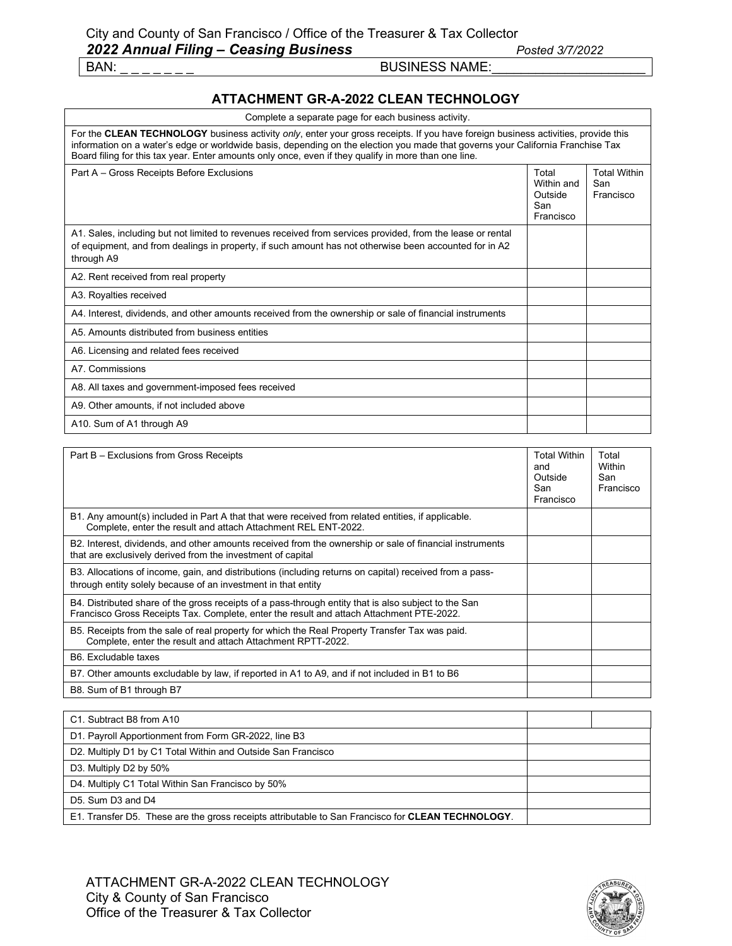### **ATTACHMENT GR-A-2022 CLEAN TECHNOLOGY**

| Complete a separate page for each business activity.                                                                                                                                                                                                                                                                                                                         |                                                    |                                         |
|------------------------------------------------------------------------------------------------------------------------------------------------------------------------------------------------------------------------------------------------------------------------------------------------------------------------------------------------------------------------------|----------------------------------------------------|-----------------------------------------|
| For the CLEAN TECHNOLOGY business activity only, enter your gross receipts. If you have foreign business activities, provide this<br>information on a water's edge or worldwide basis, depending on the election you made that governs your California Franchise Tax<br>Board filing for this tax year. Enter amounts only once, even if they qualify in more than one line. |                                                    |                                         |
| Part A - Gross Receipts Before Exclusions                                                                                                                                                                                                                                                                                                                                    | Total<br>Within and<br>Outside<br>San<br>Francisco | <b>Total Within</b><br>San<br>Francisco |
| A1. Sales, including but not limited to revenues received from services provided, from the lease or rental<br>of equipment, and from dealings in property, if such amount has not otherwise been accounted for in A2<br>through A9                                                                                                                                           |                                                    |                                         |
| A2. Rent received from real property                                                                                                                                                                                                                                                                                                                                         |                                                    |                                         |
| A3. Royalties received                                                                                                                                                                                                                                                                                                                                                       |                                                    |                                         |
| A4. Interest, dividends, and other amounts received from the ownership or sale of financial instruments                                                                                                                                                                                                                                                                      |                                                    |                                         |
| A5 Amounts distributed from business entities                                                                                                                                                                                                                                                                                                                                |                                                    |                                         |
| A6. Licensing and related fees received                                                                                                                                                                                                                                                                                                                                      |                                                    |                                         |
| A7. Commissions                                                                                                                                                                                                                                                                                                                                                              |                                                    |                                         |
| A8. All taxes and government-imposed fees received                                                                                                                                                                                                                                                                                                                           |                                                    |                                         |
| A9. Other amounts, if not included above                                                                                                                                                                                                                                                                                                                                     |                                                    |                                         |
| A10. Sum of A1 through A9                                                                                                                                                                                                                                                                                                                                                    |                                                    |                                         |

| Part B – Exclusions from Gross Receipts                                                                                                                                                          | <b>Total Within</b><br>and<br>Outside<br>San<br>Francisco | Total<br>Within<br>San<br>Francisco |
|--------------------------------------------------------------------------------------------------------------------------------------------------------------------------------------------------|-----------------------------------------------------------|-------------------------------------|
| B1. Any amount(s) included in Part A that that were received from related entities, if applicable.<br>Complete, enter the result and attach Attachment REL ENT-2022.                             |                                                           |                                     |
| B2. Interest, dividends, and other amounts received from the ownership or sale of financial instruments<br>that are exclusively derived from the investment of capital                           |                                                           |                                     |
| B3. Allocations of income, gain, and distributions (including returns on capital) received from a pass-<br>through entity solely because of an investment in that entity                         |                                                           |                                     |
| B4. Distributed share of the gross receipts of a pass-through entity that is also subject to the San<br>Francisco Gross Receipts Tax. Complete, enter the result and attach Attachment PTE-2022. |                                                           |                                     |
| B5. Receipts from the sale of real property for which the Real Property Transfer Tax was paid.<br>Complete, enter the result and attach Attachment RPTT-2022.                                    |                                                           |                                     |
| B6. Excludable taxes                                                                                                                                                                             |                                                           |                                     |
| B7. Other amounts excludable by law, if reported in A1 to A9, and if not included in B1 to B6                                                                                                    |                                                           |                                     |
| B8. Sum of B1 through B7                                                                                                                                                                         |                                                           |                                     |

| C1. Subtract B8 from A10                                                                          |  |
|---------------------------------------------------------------------------------------------------|--|
| D1. Payroll Apportionment from Form GR-2022, line B3                                              |  |
| D2. Multiply D1 by C1 Total Within and Outside San Francisco                                      |  |
| D3. Multiply D2 by 50%                                                                            |  |
| D4. Multiply C1 Total Within San Francisco by 50%                                                 |  |
| D5. Sum D3 and D4                                                                                 |  |
| E1. Transfer D5. These are the gross receipts attributable to San Francisco for CLEAN TECHNOLOGY. |  |

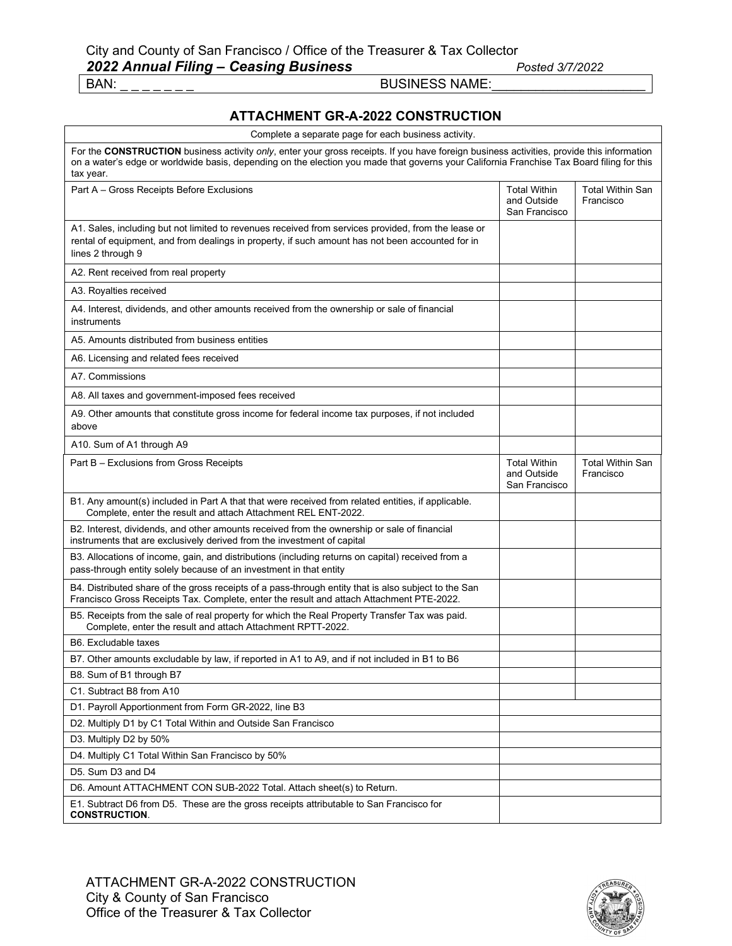r

#### BAN: \_ \_ \_ \_ \_ \_ \_ BUSINESS NAME:\_\_\_\_\_\_\_\_\_\_\_\_\_\_\_\_\_\_\_\_\_

### **ATTACHMENT GR-A-2022 CONSTRUCTION**

| Complete a separate page for each business activity.                                                                                                                                                                                                                                                |                                                     |                                      |
|-----------------------------------------------------------------------------------------------------------------------------------------------------------------------------------------------------------------------------------------------------------------------------------------------------|-----------------------------------------------------|--------------------------------------|
| For the CONSTRUCTION business activity only, enter your gross receipts. If you have foreign business activities, provide this information<br>on a water's edge or worldwide basis, depending on the election you made that governs your California Franchise Tax Board filing for this<br>tax year. |                                                     |                                      |
| Part A - Gross Receipts Before Exclusions                                                                                                                                                                                                                                                           | <b>Total Within</b><br>and Outside<br>San Francisco | <b>Total Within San</b><br>Francisco |
| A1. Sales, including but not limited to revenues received from services provided, from the lease or<br>rental of equipment, and from dealings in property, if such amount has not been accounted for in<br>lines 2 through 9                                                                        |                                                     |                                      |
| A2. Rent received from real property                                                                                                                                                                                                                                                                |                                                     |                                      |
| A3. Royalties received                                                                                                                                                                                                                                                                              |                                                     |                                      |
| A4. Interest, dividends, and other amounts received from the ownership or sale of financial<br>instruments                                                                                                                                                                                          |                                                     |                                      |
| A5. Amounts distributed from business entities                                                                                                                                                                                                                                                      |                                                     |                                      |
| A6. Licensing and related fees received                                                                                                                                                                                                                                                             |                                                     |                                      |
| A7. Commissions                                                                                                                                                                                                                                                                                     |                                                     |                                      |
| A8. All taxes and government-imposed fees received                                                                                                                                                                                                                                                  |                                                     |                                      |
| A9. Other amounts that constitute gross income for federal income tax purposes, if not included<br>above                                                                                                                                                                                            |                                                     |                                      |
| A10. Sum of A1 through A9                                                                                                                                                                                                                                                                           |                                                     |                                      |
| Part B - Exclusions from Gross Receipts                                                                                                                                                                                                                                                             | <b>Total Within</b><br>and Outside<br>San Francisco | <b>Total Within San</b><br>Francisco |
| B1. Any amount(s) included in Part A that that were received from related entities, if applicable.<br>Complete, enter the result and attach Attachment REL ENT-2022.                                                                                                                                |                                                     |                                      |
| B2. Interest, dividends, and other amounts received from the ownership or sale of financial<br>instruments that are exclusively derived from the investment of capital                                                                                                                              |                                                     |                                      |
| B3. Allocations of income, gain, and distributions (including returns on capital) received from a<br>pass-through entity solely because of an investment in that entity                                                                                                                             |                                                     |                                      |
| B4. Distributed share of the gross receipts of a pass-through entity that is also subject to the San<br>Francisco Gross Receipts Tax. Complete, enter the result and attach Attachment PTE-2022.                                                                                                    |                                                     |                                      |
| B5. Receipts from the sale of real property for which the Real Property Transfer Tax was paid.<br>Complete, enter the result and attach Attachment RPTT-2022.                                                                                                                                       |                                                     |                                      |
| B6. Excludable taxes                                                                                                                                                                                                                                                                                |                                                     |                                      |
| B7. Other amounts excludable by law, if reported in A1 to A9, and if not included in B1 to B6                                                                                                                                                                                                       |                                                     |                                      |
| B8. Sum of B1 through B7                                                                                                                                                                                                                                                                            |                                                     |                                      |
| C1. Subtract B8 from A10                                                                                                                                                                                                                                                                            |                                                     |                                      |
| D1. Payroll Apportionment from Form GR-2022, line B3                                                                                                                                                                                                                                                |                                                     |                                      |
| D2. Multiply D1 by C1 Total Within and Outside San Francisco                                                                                                                                                                                                                                        |                                                     |                                      |
| D3. Multiply D2 by 50%                                                                                                                                                                                                                                                                              |                                                     |                                      |
| D4. Multiply C1 Total Within San Francisco by 50%                                                                                                                                                                                                                                                   |                                                     |                                      |
| D5. Sum D3 and D4                                                                                                                                                                                                                                                                                   |                                                     |                                      |
| D6. Amount ATTACHMENT CON SUB-2022 Total. Attach sheet(s) to Return.                                                                                                                                                                                                                                |                                                     |                                      |
| E1. Subtract D6 from D5. These are the gross receipts attributable to San Francisco for<br><b>CONSTRUCTION.</b>                                                                                                                                                                                     |                                                     |                                      |

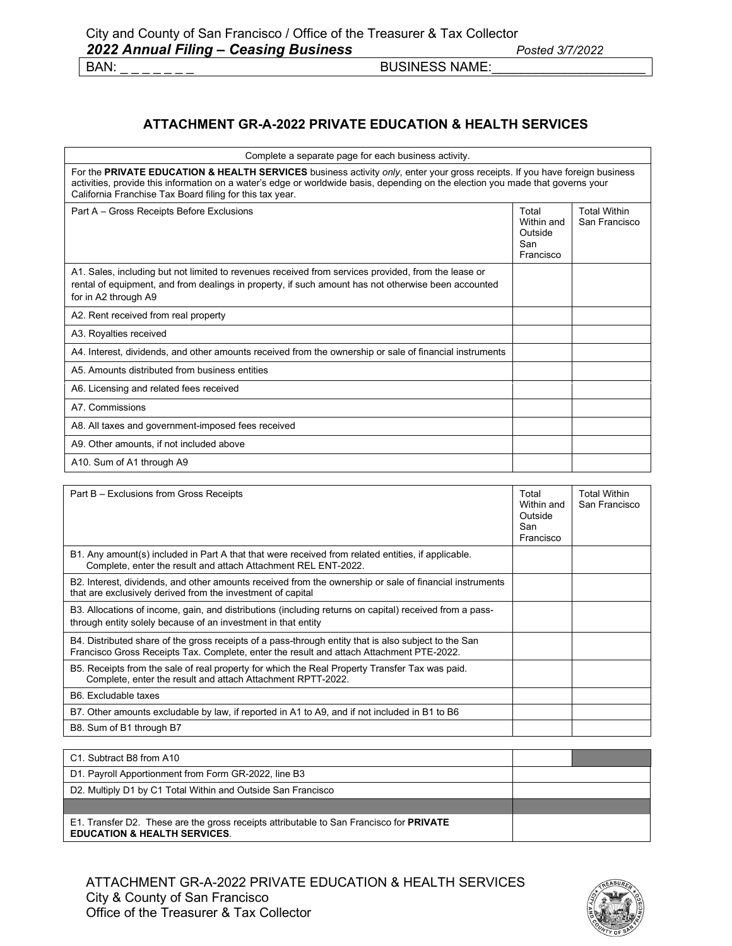### **ATTACHMENT GR-A-2022 PRIVATE EDUCATION & HEALTH SERVICES**

| Complete a separate page for each business activity.                                                                                                                                                                                                                                                                       |                                                    |                                      |
|----------------------------------------------------------------------------------------------------------------------------------------------------------------------------------------------------------------------------------------------------------------------------------------------------------------------------|----------------------------------------------------|--------------------------------------|
| For the PRIVATE EDUCATION & HEALTH SERVICES business activity only, enter your gross receipts. If you have foreign business<br>activities, provide this information on a water's edge or worldwide basis, depending on the election you made that governs your<br>California Franchise Tax Board filing for this tax year. |                                                    |                                      |
| Part A - Gross Receipts Before Exclusions                                                                                                                                                                                                                                                                                  | Total<br>Within and<br>Outside<br>San<br>Francisco | <b>Total Within</b><br>San Francisco |
| A1. Sales, including but not limited to revenues received from services provided, from the lease or<br>rental of equipment, and from dealings in property, if such amount has not otherwise been accounted<br>for in A2 through A9                                                                                         |                                                    |                                      |
| A2. Rent received from real property                                                                                                                                                                                                                                                                                       |                                                    |                                      |
| A3. Royalties received                                                                                                                                                                                                                                                                                                     |                                                    |                                      |
| A4. Interest, dividends, and other amounts received from the ownership or sale of financial instruments                                                                                                                                                                                                                    |                                                    |                                      |
| A5. Amounts distributed from business entities                                                                                                                                                                                                                                                                             |                                                    |                                      |
| A6. Licensing and related fees received                                                                                                                                                                                                                                                                                    |                                                    |                                      |
| A7. Commissions                                                                                                                                                                                                                                                                                                            |                                                    |                                      |
| A8. All taxes and government-imposed fees received                                                                                                                                                                                                                                                                         |                                                    |                                      |
| A9. Other amounts, if not included above                                                                                                                                                                                                                                                                                   |                                                    |                                      |
| A10. Sum of A1 through A9                                                                                                                                                                                                                                                                                                  |                                                    |                                      |
| Part B - Exclusions from Gross Receipts                                                                                                                                                                                                                                                                                    | Total<br>Within and<br>Outside<br>San<br>$\sim$    | <b>Total Within</b><br>San Francisco |

|                                                                                                                                                                                                  | Francisco |  |
|--------------------------------------------------------------------------------------------------------------------------------------------------------------------------------------------------|-----------|--|
| B1. Any amount(s) included in Part A that that were received from related entities, if applicable.<br>Complete, enter the result and attach Attachment REL ENT-2022.                             |           |  |
| B2. Interest, dividends, and other amounts received from the ownership or sale of financial instruments<br>that are exclusively derived from the investment of capital                           |           |  |
| B3. Allocations of income, gain, and distributions (including returns on capital) received from a pass-<br>through entity solely because of an investment in that entity                         |           |  |
| B4. Distributed share of the gross receipts of a pass-through entity that is also subject to the San<br>Francisco Gross Receipts Tax. Complete, enter the result and attach Attachment PTE-2022. |           |  |
| B5. Receipts from the sale of real property for which the Real Property Transfer Tax was paid.<br>Complete, enter the result and attach Attachment RPTT-2022.                                    |           |  |
| B6. Excludable taxes                                                                                                                                                                             |           |  |
| B7. Other amounts excludable by law, if reported in A1 to A9, and if not included in B1 to B6                                                                                                    |           |  |
| B8. Sum of B1 through B7                                                                                                                                                                         |           |  |

| C1. Subtract B8 from A10                                                                                                           |  |
|------------------------------------------------------------------------------------------------------------------------------------|--|
| D1. Payroll Apportionment from Form GR-2022, line B3                                                                               |  |
| D2. Multiply D1 by C1 Total Within and Outside San Francisco                                                                       |  |
|                                                                                                                                    |  |
| E1. Transfer D2. These are the gross receipts attributable to San Francisco for PRIVATE<br><b>EDUCATION &amp; HEALTH SERVICES.</b> |  |

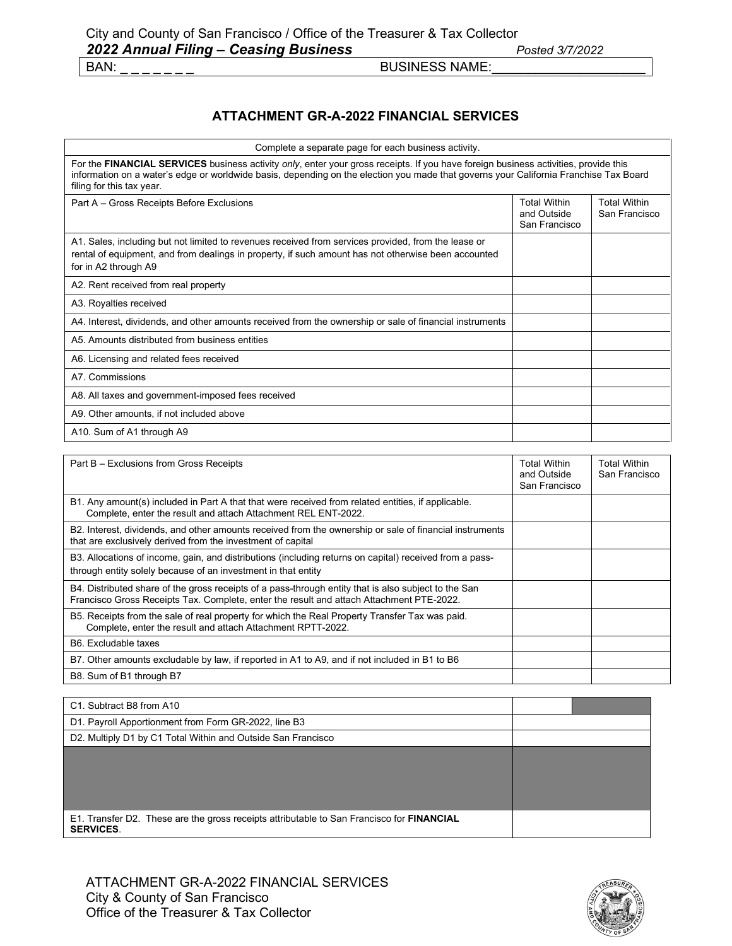BUSINESS NAME:

### **ATTACHMENT GR-A-2022 FINANCIAL SERVICES**

| Complete a separate page for each business activity.                                                                                                                                                                                                                                                      |                                                     |                                      |
|-----------------------------------------------------------------------------------------------------------------------------------------------------------------------------------------------------------------------------------------------------------------------------------------------------------|-----------------------------------------------------|--------------------------------------|
| For the FINANCIAL SERVICES business activity only, enter your gross receipts. If you have foreign business activities, provide this<br>information on a water's edge or worldwide basis, depending on the election you made that governs your California Franchise Tax Board<br>filing for this tax year. |                                                     |                                      |
| Part A – Gross Receipts Before Exclusions                                                                                                                                                                                                                                                                 | <b>Total Within</b><br>and Outside<br>San Francisco | <b>Total Within</b><br>San Francisco |
| A1. Sales, including but not limited to revenues received from services provided, from the lease or<br>rental of equipment, and from dealings in property, if such amount has not otherwise been accounted<br>for in A2 through A9                                                                        |                                                     |                                      |
| A2. Rent received from real property                                                                                                                                                                                                                                                                      |                                                     |                                      |
| A3. Royalties received                                                                                                                                                                                                                                                                                    |                                                     |                                      |
| A4. Interest, dividends, and other amounts received from the ownership or sale of financial instruments                                                                                                                                                                                                   |                                                     |                                      |
| A5. Amounts distributed from business entities                                                                                                                                                                                                                                                            |                                                     |                                      |
| A6. Licensing and related fees received                                                                                                                                                                                                                                                                   |                                                     |                                      |
| A7 Commissions                                                                                                                                                                                                                                                                                            |                                                     |                                      |
| A8. All taxes and government-imposed fees received                                                                                                                                                                                                                                                        |                                                     |                                      |
| A9. Other amounts, if not included above                                                                                                                                                                                                                                                                  |                                                     |                                      |
| A10. Sum of A1 through A9                                                                                                                                                                                                                                                                                 |                                                     |                                      |
|                                                                                                                                                                                                                                                                                                           |                                                     |                                      |
| Part B - Exclusions from Gross Receipts                                                                                                                                                                                                                                                                   | <b>Total Within</b><br>and Outside<br>San Francisco | <b>Total Within</b><br>San Francisco |

|                                                                                                                                                                                                  | ana oawa<br>San Francisco |  |
|--------------------------------------------------------------------------------------------------------------------------------------------------------------------------------------------------|---------------------------|--|
| B1. Any amount(s) included in Part A that that were received from related entities, if applicable.<br>Complete, enter the result and attach Attachment REL ENT-2022.                             |                           |  |
| B2. Interest, dividends, and other amounts received from the ownership or sale of financial instruments<br>that are exclusively derived from the investment of capital                           |                           |  |
| B3. Allocations of income, gain, and distributions (including returns on capital) received from a pass-<br>through entity solely because of an investment in that entity                         |                           |  |
| B4. Distributed share of the gross receipts of a pass-through entity that is also subject to the San<br>Francisco Gross Receipts Tax. Complete, enter the result and attach Attachment PTE-2022. |                           |  |
| B5. Receipts from the sale of real property for which the Real Property Transfer Tax was paid.<br>Complete, enter the result and attach Attachment RPTT-2022.                                    |                           |  |
| B6. Excludable taxes                                                                                                                                                                             |                           |  |
| B7. Other amounts excludable by law, if reported in A1 to A9, and if not included in B1 to B6                                                                                                    |                           |  |
| B8. Sum of B1 through B7                                                                                                                                                                         |                           |  |

| C1. Subtract B8 from A10                                                                                            |  |
|---------------------------------------------------------------------------------------------------------------------|--|
| D1. Payroll Apportionment from Form GR-2022, line B3                                                                |  |
| D2. Multiply D1 by C1 Total Within and Outside San Francisco                                                        |  |
|                                                                                                                     |  |
|                                                                                                                     |  |
|                                                                                                                     |  |
|                                                                                                                     |  |
| E1. Transfer D2. These are the gross receipts attributable to San Francisco for <b>FINANCIAL</b><br><b>SERVICES</b> |  |

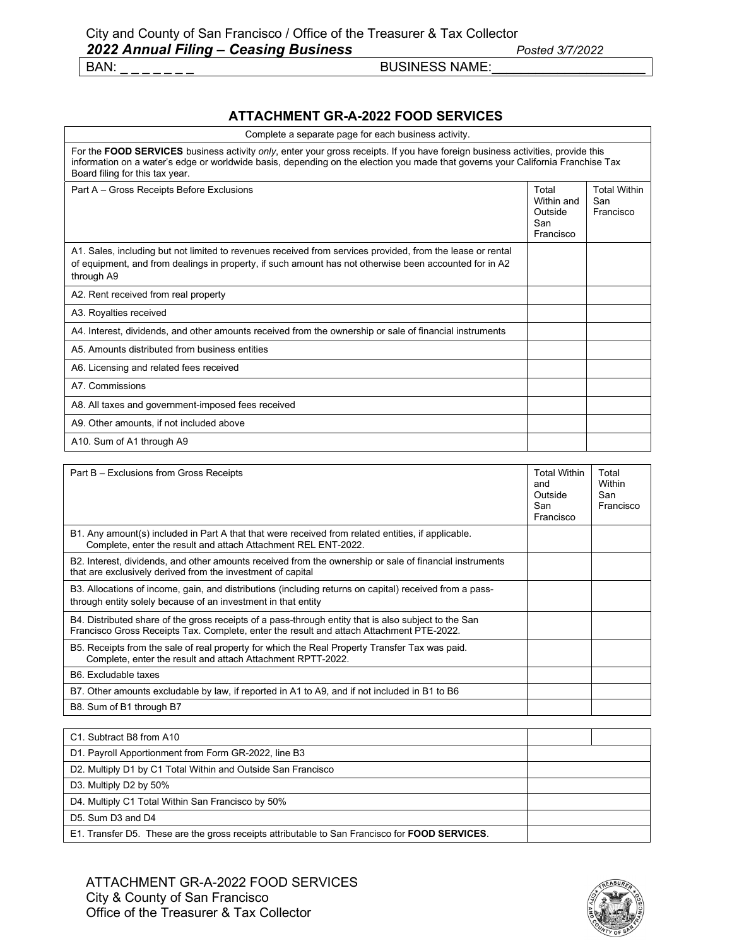### **ATTACHMENT GR-A-2022 FOOD SERVICES**

| Complete a separate page for each business activity.                                                                                                                                                                                                                                                 |                                                    |                                         |
|------------------------------------------------------------------------------------------------------------------------------------------------------------------------------------------------------------------------------------------------------------------------------------------------------|----------------------------------------------------|-----------------------------------------|
| For the FOOD SERVICES business activity only, enter your gross receipts. If you have foreign business activities, provide this<br>information on a water's edge or worldwide basis, depending on the election you made that governs your California Franchise Tax<br>Board filing for this tax year. |                                                    |                                         |
| Part A - Gross Receipts Before Exclusions                                                                                                                                                                                                                                                            | Total<br>Within and<br>Outside<br>San<br>Francisco | <b>Total Within</b><br>San<br>Francisco |
| A1. Sales, including but not limited to revenues received from services provided, from the lease or rental<br>of equipment, and from dealings in property, if such amount has not otherwise been accounted for in A2<br>through A9                                                                   |                                                    |                                         |
| A2. Rent received from real property                                                                                                                                                                                                                                                                 |                                                    |                                         |
| A3. Royalties received                                                                                                                                                                                                                                                                               |                                                    |                                         |
| A4. Interest, dividends, and other amounts received from the ownership or sale of financial instruments                                                                                                                                                                                              |                                                    |                                         |
| A5. Amounts distributed from business entities                                                                                                                                                                                                                                                       |                                                    |                                         |
| A6. Licensing and related fees received                                                                                                                                                                                                                                                              |                                                    |                                         |
| A7 Commissions                                                                                                                                                                                                                                                                                       |                                                    |                                         |
| A8. All taxes and government-imposed fees received                                                                                                                                                                                                                                                   |                                                    |                                         |
| A9. Other amounts, if not included above                                                                                                                                                                                                                                                             |                                                    |                                         |
| A10. Sum of A1 through A9                                                                                                                                                                                                                                                                            |                                                    |                                         |

| Part B - Exclusions from Gross Receipts                                                                                                                                                          | <b>Total Within</b><br>and<br>Outside<br>San<br>Francisco | Total<br>Within<br>San<br>Francisco |
|--------------------------------------------------------------------------------------------------------------------------------------------------------------------------------------------------|-----------------------------------------------------------|-------------------------------------|
| B1. Any amount(s) included in Part A that that were received from related entities, if applicable.<br>Complete, enter the result and attach Attachment REL ENT-2022.                             |                                                           |                                     |
| B2. Interest, dividends, and other amounts received from the ownership or sale of financial instruments<br>that are exclusively derived from the investment of capital                           |                                                           |                                     |
| B3. Allocations of income, gain, and distributions (including returns on capital) received from a pass-<br>through entity solely because of an investment in that entity                         |                                                           |                                     |
| B4. Distributed share of the gross receipts of a pass-through entity that is also subject to the San<br>Francisco Gross Receipts Tax. Complete, enter the result and attach Attachment PTE-2022. |                                                           |                                     |
| B5. Receipts from the sale of real property for which the Real Property Transfer Tax was paid.<br>Complete, enter the result and attach Attachment RPTT-2022.                                    |                                                           |                                     |
| B6. Excludable taxes                                                                                                                                                                             |                                                           |                                     |
| B7. Other amounts excludable by law, if reported in A1 to A9, and if not included in B1 to B6                                                                                                    |                                                           |                                     |
| B8. Sum of B1 through B7                                                                                                                                                                         |                                                           |                                     |

| C1. Subtract B8 from A10                                                                       |  |
|------------------------------------------------------------------------------------------------|--|
| D1. Payroll Apportionment from Form GR-2022, line B3                                           |  |
| D2. Multiply D1 by C1 Total Within and Outside San Francisco                                   |  |
| D3. Multiply D2 by 50%                                                                         |  |
| D4. Multiply C1 Total Within San Francisco by 50%                                              |  |
| D5. Sum D3 and D4                                                                              |  |
| E1. Transfer D5. These are the gross receipts attributable to San Francisco for FOOD SERVICES. |  |

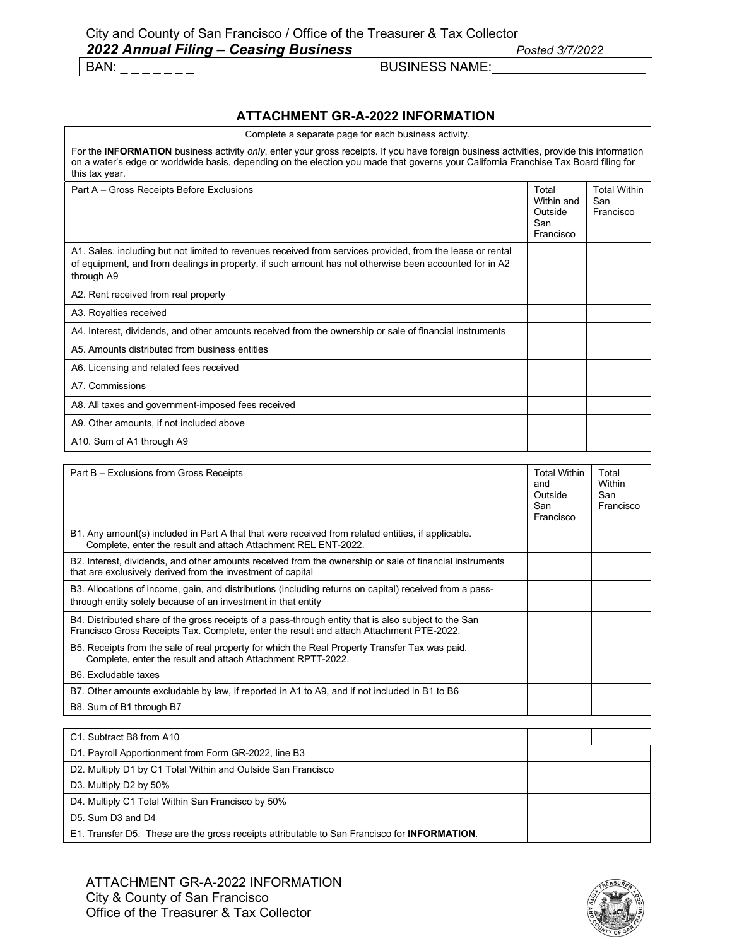### **ATTACHMENT GR-A-2022 INFORMATION**

| Complete a separate page for each business activity.                                                                                                                                                                                                                                               |                                                    |                                         |
|----------------------------------------------------------------------------------------------------------------------------------------------------------------------------------------------------------------------------------------------------------------------------------------------------|----------------------------------------------------|-----------------------------------------|
| For the INFORMATION business activity only, enter your gross receipts. If you have foreign business activities, provide this information<br>on a water's edge or worldwide basis, depending on the election you made that governs your California Franchise Tax Board filing for<br>this tax year. |                                                    |                                         |
| Part A - Gross Receipts Before Exclusions                                                                                                                                                                                                                                                          | Total<br>Within and<br>Outside<br>San<br>Francisco | <b>Total Within</b><br>San<br>Francisco |
| A1. Sales, including but not limited to revenues received from services provided, from the lease or rental<br>of equipment, and from dealings in property, if such amount has not otherwise been accounted for in A2<br>through A9                                                                 |                                                    |                                         |
| A2. Rent received from real property                                                                                                                                                                                                                                                               |                                                    |                                         |
| A3. Royalties received                                                                                                                                                                                                                                                                             |                                                    |                                         |
| A4. Interest, dividends, and other amounts received from the ownership or sale of financial instruments                                                                                                                                                                                            |                                                    |                                         |
| A5. Amounts distributed from business entities                                                                                                                                                                                                                                                     |                                                    |                                         |
| A6. Licensing and related fees received                                                                                                                                                                                                                                                            |                                                    |                                         |
| A7. Commissions                                                                                                                                                                                                                                                                                    |                                                    |                                         |
| A8. All taxes and government-imposed fees received                                                                                                                                                                                                                                                 |                                                    |                                         |
| A9. Other amounts, if not included above                                                                                                                                                                                                                                                           |                                                    |                                         |
| A10. Sum of A1 through A9                                                                                                                                                                                                                                                                          |                                                    |                                         |

| Part B - Exclusions from Gross Receipts                                                                                                                                                          | <b>Total Within</b><br>and<br>Outside<br>San<br>Francisco | Total<br>Within<br>San<br>Francisco |
|--------------------------------------------------------------------------------------------------------------------------------------------------------------------------------------------------|-----------------------------------------------------------|-------------------------------------|
| B1. Any amount(s) included in Part A that that were received from related entities, if applicable.<br>Complete, enter the result and attach Attachment REL ENT-2022.                             |                                                           |                                     |
| B2. Interest, dividends, and other amounts received from the ownership or sale of financial instruments<br>that are exclusively derived from the investment of capital                           |                                                           |                                     |
| B3. Allocations of income, gain, and distributions (including returns on capital) received from a pass-<br>through entity solely because of an investment in that entity                         |                                                           |                                     |
| B4. Distributed share of the gross receipts of a pass-through entity that is also subject to the San<br>Francisco Gross Receipts Tax. Complete, enter the result and attach Attachment PTE-2022. |                                                           |                                     |
| B5. Receipts from the sale of real property for which the Real Property Transfer Tax was paid.<br>Complete, enter the result and attach Attachment RPTT-2022.                                    |                                                           |                                     |
| B6. Excludable taxes                                                                                                                                                                             |                                                           |                                     |
| B7. Other amounts excludable by law, if reported in A1 to A9, and if not included in B1 to B6                                                                                                    |                                                           |                                     |
| B8. Sum of B1 through B7                                                                                                                                                                         |                                                           |                                     |

| C1. Subtract B8 from A10                                                                     |  |
|----------------------------------------------------------------------------------------------|--|
| D1. Payroll Apportionment from Form GR-2022, line B3                                         |  |
| D2. Multiply D1 by C1 Total Within and Outside San Francisco                                 |  |
| D3. Multiply D2 by 50%                                                                       |  |
| D4. Multiply C1 Total Within San Francisco by 50%                                            |  |
| D5. Sum D3 and D4                                                                            |  |
| E1. Transfer D5. These are the gross receipts attributable to San Francisco for INFORMATION. |  |

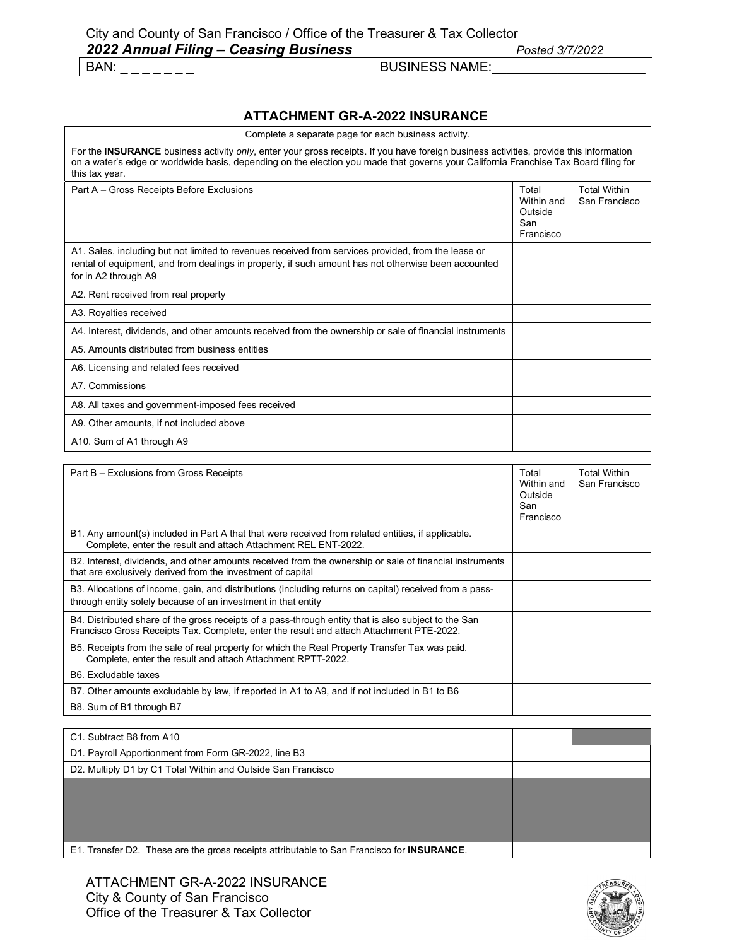### **ATTACHMENT GR-A-2022 INSURANCE**

| Complete a separate page for each business activity.                                                                                                                                                                                                                                             |                                                    |                                      |
|--------------------------------------------------------------------------------------------------------------------------------------------------------------------------------------------------------------------------------------------------------------------------------------------------|----------------------------------------------------|--------------------------------------|
| For the INSURANCE business activity only, enter your gross receipts. If you have foreign business activities, provide this information<br>on a water's edge or worldwide basis, depending on the election you made that governs your California Franchise Tax Board filing for<br>this tax year. |                                                    |                                      |
| Part A - Gross Receipts Before Exclusions                                                                                                                                                                                                                                                        | Total<br>Within and<br>Outside<br>San<br>Francisco | <b>Total Within</b><br>San Francisco |
| A1. Sales, including but not limited to revenues received from services provided, from the lease or<br>rental of equipment, and from dealings in property, if such amount has not otherwise been accounted<br>for in A2 through A9                                                               |                                                    |                                      |
| A2. Rent received from real property                                                                                                                                                                                                                                                             |                                                    |                                      |
| A3. Royalties received                                                                                                                                                                                                                                                                           |                                                    |                                      |
| A4. Interest, dividends, and other amounts received from the ownership or sale of financial instruments                                                                                                                                                                                          |                                                    |                                      |
| A5. Amounts distributed from business entities                                                                                                                                                                                                                                                   |                                                    |                                      |
| A6. Licensing and related fees received                                                                                                                                                                                                                                                          |                                                    |                                      |
| A7. Commissions                                                                                                                                                                                                                                                                                  |                                                    |                                      |
| A8. All taxes and government-imposed fees received                                                                                                                                                                                                                                               |                                                    |                                      |
| A9. Other amounts, if not included above                                                                                                                                                                                                                                                         |                                                    |                                      |
| A10. Sum of A1 through A9                                                                                                                                                                                                                                                                        |                                                    |                                      |

| Part B - Exclusions from Gross Receipts                                                                                                                                                          | Total<br>Within and<br>Outside<br>San<br>Francisco | <b>Total Within</b><br>San Francisco |
|--------------------------------------------------------------------------------------------------------------------------------------------------------------------------------------------------|----------------------------------------------------|--------------------------------------|
| B1. Any amount(s) included in Part A that that were received from related entities, if applicable.<br>Complete, enter the result and attach Attachment REL ENT-2022.                             |                                                    |                                      |
| B2. Interest, dividends, and other amounts received from the ownership or sale of financial instruments<br>that are exclusively derived from the investment of capital                           |                                                    |                                      |
| B3. Allocations of income, gain, and distributions (including returns on capital) received from a pass-<br>through entity solely because of an investment in that entity                         |                                                    |                                      |
| B4. Distributed share of the gross receipts of a pass-through entity that is also subject to the San<br>Francisco Gross Receipts Tax. Complete, enter the result and attach Attachment PTE-2022. |                                                    |                                      |
| B5. Receipts from the sale of real property for which the Real Property Transfer Tax was paid.<br>Complete, enter the result and attach Attachment RPTT-2022.                                    |                                                    |                                      |
| B6. Excludable taxes                                                                                                                                                                             |                                                    |                                      |
| B7. Other amounts excludable by law, if reported in A1 to A9, and if not included in B1 to B6                                                                                                    |                                                    |                                      |
| B8. Sum of B1 through B7                                                                                                                                                                         |                                                    |                                      |

| C1. Subtract B8 from A10                                                                           |  |
|----------------------------------------------------------------------------------------------------|--|
| D1. Payroll Apportionment from Form GR-2022, line B3                                               |  |
| D2. Multiply D1 by C1 Total Within and Outside San Francisco                                       |  |
|                                                                                                    |  |
|                                                                                                    |  |
|                                                                                                    |  |
|                                                                                                    |  |
| E1. Transfer D2. These are the gross receipts attributable to San Francisco for <b>INSURANCE</b> . |  |

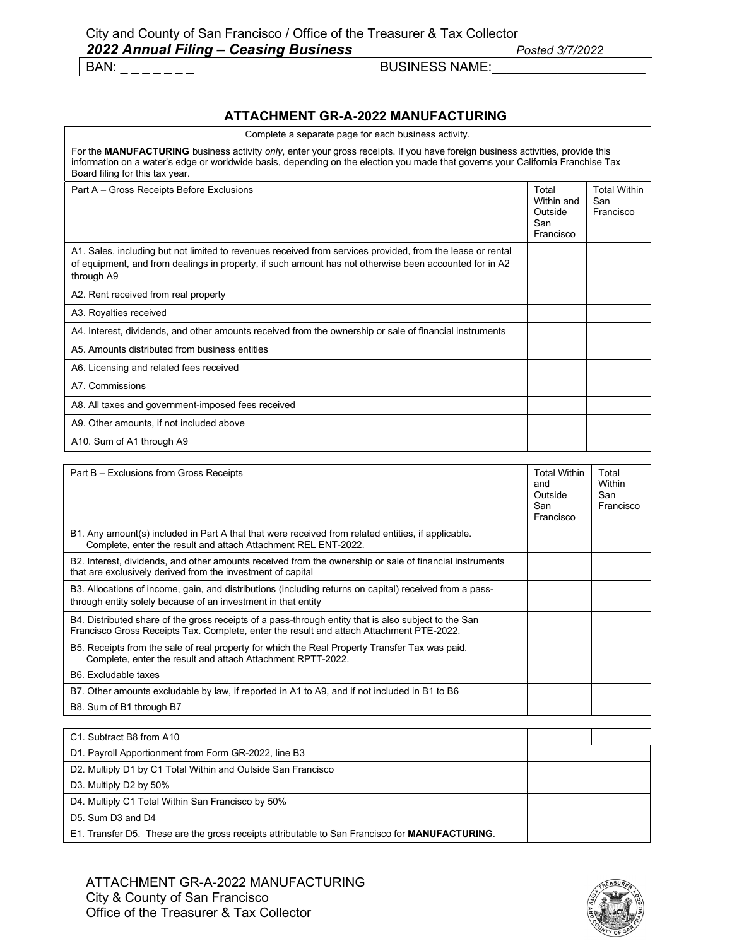### **ATTACHMENT GR-A-2022 MANUFACTURING**

| Complete a separate page for each business activity.                                                                                                                                                                                                                                                 |                                                    |                                         |
|------------------------------------------------------------------------------------------------------------------------------------------------------------------------------------------------------------------------------------------------------------------------------------------------------|----------------------------------------------------|-----------------------------------------|
| For the MANUFACTURING business activity only, enter your gross receipts. If you have foreign business activities, provide this<br>information on a water's edge or worldwide basis, depending on the election you made that governs your California Franchise Tax<br>Board filing for this tax year. |                                                    |                                         |
| Part A - Gross Receipts Before Exclusions                                                                                                                                                                                                                                                            | Total<br>Within and<br>Outside<br>San<br>Francisco | <b>Total Within</b><br>San<br>Francisco |
| A1. Sales, including but not limited to revenues received from services provided, from the lease or rental<br>of equipment, and from dealings in property, if such amount has not otherwise been accounted for in A2<br>through A9                                                                   |                                                    |                                         |
| A2. Rent received from real property                                                                                                                                                                                                                                                                 |                                                    |                                         |
| A3. Royalties received                                                                                                                                                                                                                                                                               |                                                    |                                         |
| A4. Interest, dividends, and other amounts received from the ownership or sale of financial instruments                                                                                                                                                                                              |                                                    |                                         |
| A5. Amounts distributed from business entities                                                                                                                                                                                                                                                       |                                                    |                                         |
| A6. Licensing and related fees received                                                                                                                                                                                                                                                              |                                                    |                                         |
| A7. Commissions                                                                                                                                                                                                                                                                                      |                                                    |                                         |
| A8. All taxes and government-imposed fees received                                                                                                                                                                                                                                                   |                                                    |                                         |
| A9. Other amounts, if not included above                                                                                                                                                                                                                                                             |                                                    |                                         |
| A10. Sum of A1 through A9                                                                                                                                                                                                                                                                            |                                                    |                                         |

| Part B - Exclusions from Gross Receipts                                                                                                                                                          | <b>Total Within</b><br>and<br>Outside<br>San<br>Francisco | Total<br>Within<br>San<br>Francisco |
|--------------------------------------------------------------------------------------------------------------------------------------------------------------------------------------------------|-----------------------------------------------------------|-------------------------------------|
| B1. Any amount(s) included in Part A that that were received from related entities, if applicable.<br>Complete, enter the result and attach Attachment REL ENT-2022.                             |                                                           |                                     |
| B2. Interest, dividends, and other amounts received from the ownership or sale of financial instruments<br>that are exclusively derived from the investment of capital                           |                                                           |                                     |
| B3. Allocations of income, gain, and distributions (including returns on capital) received from a pass-<br>through entity solely because of an investment in that entity                         |                                                           |                                     |
| B4. Distributed share of the gross receipts of a pass-through entity that is also subject to the San<br>Francisco Gross Receipts Tax. Complete, enter the result and attach Attachment PTE-2022. |                                                           |                                     |
| B5. Receipts from the sale of real property for which the Real Property Transfer Tax was paid.<br>Complete, enter the result and attach Attachment RPTT-2022.                                    |                                                           |                                     |
| B6. Excludable taxes                                                                                                                                                                             |                                                           |                                     |
| B7. Other amounts excludable by law, if reported in A1 to A9, and if not included in B1 to B6                                                                                                    |                                                           |                                     |
| B8. Sum of B1 through B7                                                                                                                                                                         |                                                           |                                     |

| C1. Subtract B8 from A10                                                                       |  |
|------------------------------------------------------------------------------------------------|--|
| D1. Payroll Apportionment from Form GR-2022, line B3                                           |  |
| D2. Multiply D1 by C1 Total Within and Outside San Francisco                                   |  |
| D3. Multiply D2 by 50%                                                                         |  |
| D4. Multiply C1 Total Within San Francisco by 50%                                              |  |
| D5. Sum D3 and D4                                                                              |  |
| E1. Transfer D5. These are the gross receipts attributable to San Francisco for MANUFACTURING. |  |

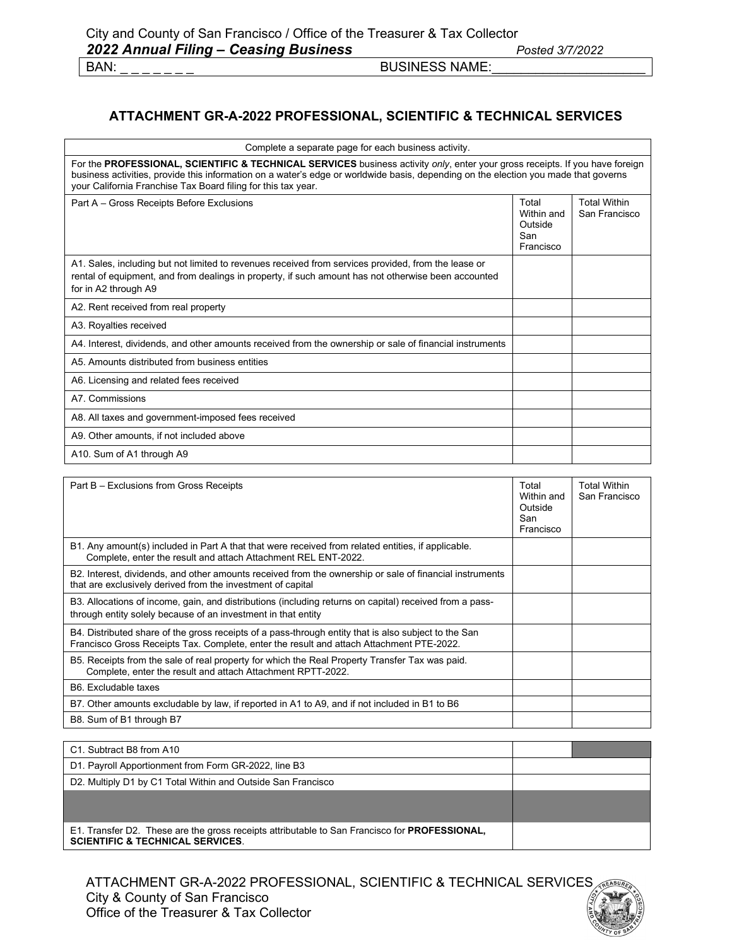### **ATTACHMENT GR-A-2022 PROFESSIONAL, SCIENTIFIC & TECHNICAL SERVICES**

| Complete a separate page for each business activity.                                                                                                                                                                                                                                                                                 |                                                    |                                      |
|--------------------------------------------------------------------------------------------------------------------------------------------------------------------------------------------------------------------------------------------------------------------------------------------------------------------------------------|----------------------------------------------------|--------------------------------------|
| For the PROFESSIONAL, SCIENTIFIC & TECHNICAL SERVICES business activity only, enter your gross receipts. If you have foreign<br>business activities, provide this information on a water's edge or worldwide basis, depending on the election you made that governs<br>your California Franchise Tax Board filing for this tax year. |                                                    |                                      |
| Part A - Gross Receipts Before Exclusions                                                                                                                                                                                                                                                                                            | Total<br>Within and<br>Outside<br>San<br>Francisco | <b>Total Within</b><br>San Francisco |
| A1. Sales, including but not limited to revenues received from services provided, from the lease or<br>rental of equipment, and from dealings in property, if such amount has not otherwise been accounted<br>for in A2 through A9                                                                                                   |                                                    |                                      |
| A2. Rent received from real property                                                                                                                                                                                                                                                                                                 |                                                    |                                      |
| A3. Royalties received                                                                                                                                                                                                                                                                                                               |                                                    |                                      |
| A4. Interest, dividends, and other amounts received from the ownership or sale of financial instruments                                                                                                                                                                                                                              |                                                    |                                      |
| A5. Amounts distributed from business entities                                                                                                                                                                                                                                                                                       |                                                    |                                      |
| A6. Licensing and related fees received                                                                                                                                                                                                                                                                                              |                                                    |                                      |
| A7. Commissions                                                                                                                                                                                                                                                                                                                      |                                                    |                                      |
| A8. All taxes and government-imposed fees received                                                                                                                                                                                                                                                                                   |                                                    |                                      |
| A9. Other amounts, if not included above                                                                                                                                                                                                                                                                                             |                                                    |                                      |
| A10. Sum of A1 through A9                                                                                                                                                                                                                                                                                                            |                                                    |                                      |

| Part B – Exclusions from Gross Receipts                                                                                                                                                          | Total<br>Within and<br>Outside<br>San<br>Francisco | <b>Total Within</b><br>San Francisco |
|--------------------------------------------------------------------------------------------------------------------------------------------------------------------------------------------------|----------------------------------------------------|--------------------------------------|
| B1. Any amount(s) included in Part A that that were received from related entities, if applicable.<br>Complete, enter the result and attach Attachment REL ENT-2022.                             |                                                    |                                      |
| B2. Interest, dividends, and other amounts received from the ownership or sale of financial instruments<br>that are exclusively derived from the investment of capital                           |                                                    |                                      |
| B3. Allocations of income, gain, and distributions (including returns on capital) received from a pass-<br>through entity solely because of an investment in that entity                         |                                                    |                                      |
| B4. Distributed share of the gross receipts of a pass-through entity that is also subject to the San<br>Francisco Gross Receipts Tax. Complete, enter the result and attach Attachment PTE-2022. |                                                    |                                      |
| B5. Receipts from the sale of real property for which the Real Property Transfer Tax was paid.<br>Complete, enter the result and attach Attachment RPTT-2022.                                    |                                                    |                                      |
| B6. Excludable taxes                                                                                                                                                                             |                                                    |                                      |
| B7. Other amounts excludable by law, if reported in A1 to A9, and if not included in B1 to B6                                                                                                    |                                                    |                                      |
| B8. Sum of B1 through B7                                                                                                                                                                         |                                                    |                                      |

| C1. Subtract B8 from A10                                                                                                                     |  |
|----------------------------------------------------------------------------------------------------------------------------------------------|--|
| D1. Payroll Apportionment from Form GR-2022, line B3                                                                                         |  |
| D2. Multiply D1 by C1 Total Within and Outside San Francisco                                                                                 |  |
|                                                                                                                                              |  |
|                                                                                                                                              |  |
| E1. Transfer D2. These are the gross receipts attributable to San Francisco for PROFESSIONAL,<br><b>SCIENTIFIC &amp; TECHNICAL SERVICES.</b> |  |

ATTACHMENT GR-A-2022 PROFESSIONAL, SCIENTIFIC & TECHNICAL SERVICES City & County of San Francisco Office of the Treasurer & Tax Collector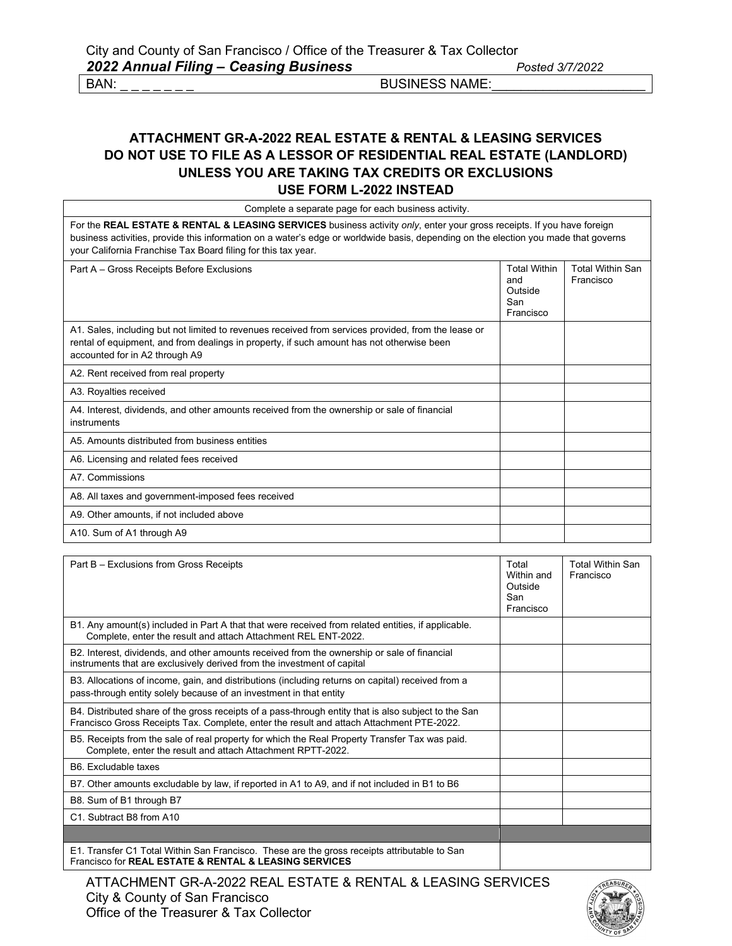### **ATTACHMENT GR-A-2022 REAL ESTATE & RENTAL & LEASING SERVICES DO NOT USE TO FILE AS A LESSOR OF RESIDENTIAL REAL ESTATE (LANDLORD) UNLESS YOU ARE TAKING TAX CREDITS OR EXCLUSIONS USE FORM L-2022 INSTEAD**

| Complete a separate page for each business activity.                                                                                                                                                                                                                                                                           |                                                           |                                      |
|--------------------------------------------------------------------------------------------------------------------------------------------------------------------------------------------------------------------------------------------------------------------------------------------------------------------------------|-----------------------------------------------------------|--------------------------------------|
| For the REAL ESTATE & RENTAL & LEASING SERVICES business activity only, enter your gross receipts. If you have foreign<br>business activities, provide this information on a water's edge or worldwide basis, depending on the election you made that governs<br>your California Franchise Tax Board filing for this tax year. |                                                           |                                      |
| Part A – Gross Receipts Before Exclusions                                                                                                                                                                                                                                                                                      | <b>Total Within</b><br>and<br>Outside<br>San<br>Francisco | <b>Total Within San</b><br>Francisco |
| A1. Sales, including but not limited to revenues received from services provided, from the lease or<br>rental of equipment, and from dealings in property, if such amount has not otherwise been<br>accounted for in A2 through A9                                                                                             |                                                           |                                      |
| A2. Rent received from real property                                                                                                                                                                                                                                                                                           |                                                           |                                      |
| A3. Royalties received                                                                                                                                                                                                                                                                                                         |                                                           |                                      |
| A4. Interest, dividends, and other amounts received from the ownership or sale of financial<br>instruments                                                                                                                                                                                                                     |                                                           |                                      |
| A5 Amounts distributed from business entities                                                                                                                                                                                                                                                                                  |                                                           |                                      |
| A6. Licensing and related fees received                                                                                                                                                                                                                                                                                        |                                                           |                                      |
| A7. Commissions                                                                                                                                                                                                                                                                                                                |                                                           |                                      |
| A8. All taxes and government-imposed fees received                                                                                                                                                                                                                                                                             |                                                           |                                      |
| A9. Other amounts, if not included above                                                                                                                                                                                                                                                                                       |                                                           |                                      |
| A10. Sum of A1 through A9                                                                                                                                                                                                                                                                                                      |                                                           |                                      |

| Part B - Exclusions from Gross Receipts                                                                                                                                                          | Total<br>Within and<br>Outside<br>San<br>Francisco | <b>Total Within San</b><br>Francisco |
|--------------------------------------------------------------------------------------------------------------------------------------------------------------------------------------------------|----------------------------------------------------|--------------------------------------|
| B1. Any amount(s) included in Part A that that were received from related entities, if applicable.<br>Complete, enter the result and attach Attachment REL ENT-2022.                             |                                                    |                                      |
| B2. Interest, dividends, and other amounts received from the ownership or sale of financial<br>instruments that are exclusively derived from the investment of capital                           |                                                    |                                      |
| B3. Allocations of income, gain, and distributions (including returns on capital) received from a<br>pass-through entity solely because of an investment in that entity                          |                                                    |                                      |
| B4. Distributed share of the gross receipts of a pass-through entity that is also subject to the San<br>Francisco Gross Receipts Tax. Complete, enter the result and attach Attachment PTE-2022. |                                                    |                                      |
| B5. Receipts from the sale of real property for which the Real Property Transfer Tax was paid.<br>Complete, enter the result and attach Attachment RPTT-2022.                                    |                                                    |                                      |
| B6. Excludable taxes                                                                                                                                                                             |                                                    |                                      |
| B7. Other amounts excludable by law, if reported in A1 to A9, and if not included in B1 to B6                                                                                                    |                                                    |                                      |
| B8. Sum of B1 through B7                                                                                                                                                                         |                                                    |                                      |
| C1. Subtract B8 from A10                                                                                                                                                                         |                                                    |                                      |
|                                                                                                                                                                                                  |                                                    |                                      |
| E1. Transfer C1 Total Within San Francisco. These are the gross receipts attributable to San<br>Francisco for <b>REAL ESTATE &amp; RENTAL &amp; LEASING SERVICES</b>                             |                                                    |                                      |

ATTACHMENT GR-A-2022 REAL ESTATE & RENTAL & LEASING SERVICES City & County of San Francisco Office of the Treasurer & Tax Collector

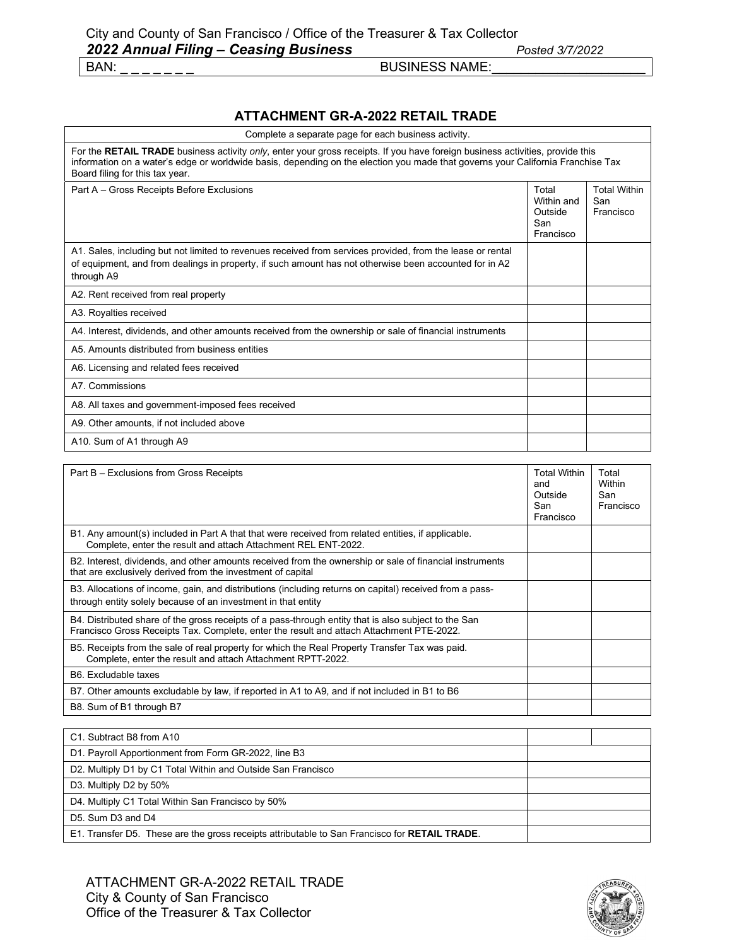### **ATTACHMENT GR-A-2022 RETAIL TRADE**

| Complete a separate page for each business activity.                                                                                                                                                                                                                                                |                                                    |                                         |
|-----------------------------------------------------------------------------------------------------------------------------------------------------------------------------------------------------------------------------------------------------------------------------------------------------|----------------------------------------------------|-----------------------------------------|
| For the RETAIL TRADE business activity only, enter your gross receipts. If you have foreign business activities, provide this<br>information on a water's edge or worldwide basis, depending on the election you made that governs your California Franchise Tax<br>Board filing for this tax year. |                                                    |                                         |
| Part A - Gross Receipts Before Exclusions                                                                                                                                                                                                                                                           | Total<br>Within and<br>Outside<br>San<br>Francisco | <b>Total Within</b><br>San<br>Francisco |
| A1. Sales, including but not limited to revenues received from services provided, from the lease or rental<br>of equipment, and from dealings in property, if such amount has not otherwise been accounted for in A2<br>through A9                                                                  |                                                    |                                         |
| A2. Rent received from real property                                                                                                                                                                                                                                                                |                                                    |                                         |
| A3. Royalties received                                                                                                                                                                                                                                                                              |                                                    |                                         |
| A4. Interest, dividends, and other amounts received from the ownership or sale of financial instruments                                                                                                                                                                                             |                                                    |                                         |
| A5. Amounts distributed from business entities                                                                                                                                                                                                                                                      |                                                    |                                         |
| A6. Licensing and related fees received                                                                                                                                                                                                                                                             |                                                    |                                         |
| A7. Commissions                                                                                                                                                                                                                                                                                     |                                                    |                                         |
| A8. All taxes and government-imposed fees received                                                                                                                                                                                                                                                  |                                                    |                                         |
| A9. Other amounts, if not included above                                                                                                                                                                                                                                                            |                                                    |                                         |
| A10. Sum of A1 through A9                                                                                                                                                                                                                                                                           |                                                    |                                         |

| Part B - Exclusions from Gross Receipts                                                                                                                                                          | <b>Total Within</b><br>and<br>Outside<br>San<br>Francisco | Total<br>Within<br>San<br>Francisco |
|--------------------------------------------------------------------------------------------------------------------------------------------------------------------------------------------------|-----------------------------------------------------------|-------------------------------------|
| B1. Any amount(s) included in Part A that that were received from related entities, if applicable.<br>Complete, enter the result and attach Attachment REL ENT-2022.                             |                                                           |                                     |
| B2. Interest, dividends, and other amounts received from the ownership or sale of financial instruments<br>that are exclusively derived from the investment of capital                           |                                                           |                                     |
| B3. Allocations of income, gain, and distributions (including returns on capital) received from a pass-<br>through entity solely because of an investment in that entity                         |                                                           |                                     |
| B4. Distributed share of the gross receipts of a pass-through entity that is also subject to the San<br>Francisco Gross Receipts Tax. Complete, enter the result and attach Attachment PTE-2022. |                                                           |                                     |
| B5. Receipts from the sale of real property for which the Real Property Transfer Tax was paid.<br>Complete, enter the result and attach Attachment RPTT-2022.                                    |                                                           |                                     |
| B6. Excludable taxes                                                                                                                                                                             |                                                           |                                     |
| B7. Other amounts excludable by law, if reported in A1 to A9, and if not included in B1 to B6                                                                                                    |                                                           |                                     |
| B8. Sum of B1 through B7                                                                                                                                                                         |                                                           |                                     |

| C1. Subtract B8 from A10                                                                              |  |
|-------------------------------------------------------------------------------------------------------|--|
| D1. Payroll Apportionment from Form GR-2022, line B3                                                  |  |
| D2. Multiply D1 by C1 Total Within and Outside San Francisco                                          |  |
| D3. Multiply D2 by 50%                                                                                |  |
| D4. Multiply C1 Total Within San Francisco by 50%                                                     |  |
| D5. Sum D3 and D4                                                                                     |  |
| E1. Transfer D5. These are the gross receipts attributable to San Francisco for <b>RETAIL TRADE</b> . |  |

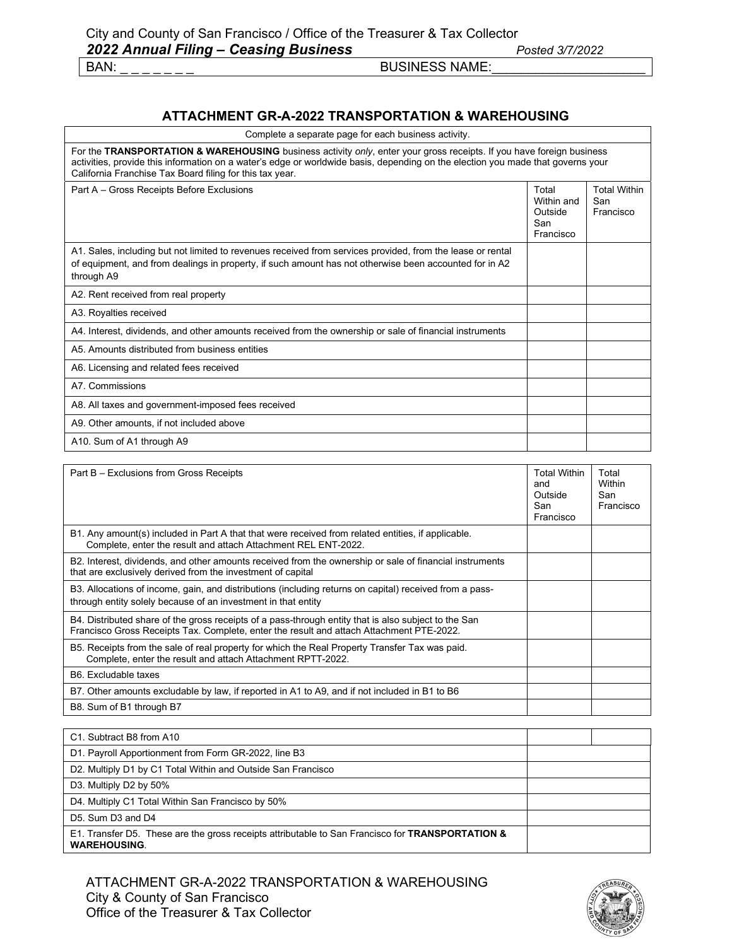### **ATTACHMENT GR-A-2022 TRANSPORTATION & WAREHOUSING**

| Complete a separate page for each business activity.                                                                                                                                                                                                                                                                |                                                    |                                         |
|---------------------------------------------------------------------------------------------------------------------------------------------------------------------------------------------------------------------------------------------------------------------------------------------------------------------|----------------------------------------------------|-----------------------------------------|
| For the TRANSPORTATION & WAREHOUSING business activity only, enter your gross receipts. If you have foreign business<br>activities, provide this information on a water's edge or worldwide basis, depending on the election you made that governs your<br>California Franchise Tax Board filing for this tax year. |                                                    |                                         |
| Part A - Gross Receipts Before Exclusions                                                                                                                                                                                                                                                                           | Total<br>Within and<br>Outside<br>San<br>Francisco | <b>Total Within</b><br>San<br>Francisco |
| A1. Sales, including but not limited to revenues received from services provided, from the lease or rental<br>of equipment, and from dealings in property, if such amount has not otherwise been accounted for in A2<br>through A9                                                                                  |                                                    |                                         |
| A2. Rent received from real property                                                                                                                                                                                                                                                                                |                                                    |                                         |
| A3. Royalties received                                                                                                                                                                                                                                                                                              |                                                    |                                         |
| A4. Interest, dividends, and other amounts received from the ownership or sale of financial instruments                                                                                                                                                                                                             |                                                    |                                         |
| A5. Amounts distributed from business entities                                                                                                                                                                                                                                                                      |                                                    |                                         |
| A6. Licensing and related fees received                                                                                                                                                                                                                                                                             |                                                    |                                         |
| A7. Commissions                                                                                                                                                                                                                                                                                                     |                                                    |                                         |
| A8. All taxes and government-imposed fees received                                                                                                                                                                                                                                                                  |                                                    |                                         |
| A9. Other amounts, if not included above                                                                                                                                                                                                                                                                            |                                                    |                                         |
| A10. Sum of A1 through A9                                                                                                                                                                                                                                                                                           |                                                    |                                         |

| Part B - Exclusions from Gross Receipts                                                                                                                                                          | <b>Total Within</b><br>and<br>Outside<br>San<br>Francisco | Total<br>Within<br>San<br>Francisco |
|--------------------------------------------------------------------------------------------------------------------------------------------------------------------------------------------------|-----------------------------------------------------------|-------------------------------------|
| B1. Any amount(s) included in Part A that that were received from related entities, if applicable.<br>Complete, enter the result and attach Attachment REL ENT-2022.                             |                                                           |                                     |
| B2. Interest, dividends, and other amounts received from the ownership or sale of financial instruments<br>that are exclusively derived from the investment of capital                           |                                                           |                                     |
| B3. Allocations of income, gain, and distributions (including returns on capital) received from a pass-<br>through entity solely because of an investment in that entity                         |                                                           |                                     |
| B4. Distributed share of the gross receipts of a pass-through entity that is also subject to the San<br>Francisco Gross Receipts Tax. Complete, enter the result and attach Attachment PTE-2022. |                                                           |                                     |
| B5. Receipts from the sale of real property for which the Real Property Transfer Tax was paid.<br>Complete, enter the result and attach Attachment RPTT-2022.                                    |                                                           |                                     |
| B6. Excludable taxes                                                                                                                                                                             |                                                           |                                     |
| B7. Other amounts excludable by law, if reported in A1 to A9, and if not included in B1 to B6                                                                                                    |                                                           |                                     |
| B8. Sum of B1 through B7                                                                                                                                                                         |                                                           |                                     |

| C1. Subtract B8 from A10                                                                                               |  |
|------------------------------------------------------------------------------------------------------------------------|--|
| D1. Payroll Apportionment from Form GR-2022, line B3                                                                   |  |
| D2. Multiply D1 by C1 Total Within and Outside San Francisco                                                           |  |
| D3. Multiply D2 by 50%                                                                                                 |  |
| D4. Multiply C1 Total Within San Francisco by 50%                                                                      |  |
| D5. Sum D3 and D4                                                                                                      |  |
| E1. Transfer D5. These are the gross receipts attributable to San Francisco for TRANSPORTATION &<br><b>WAREHOUSING</b> |  |

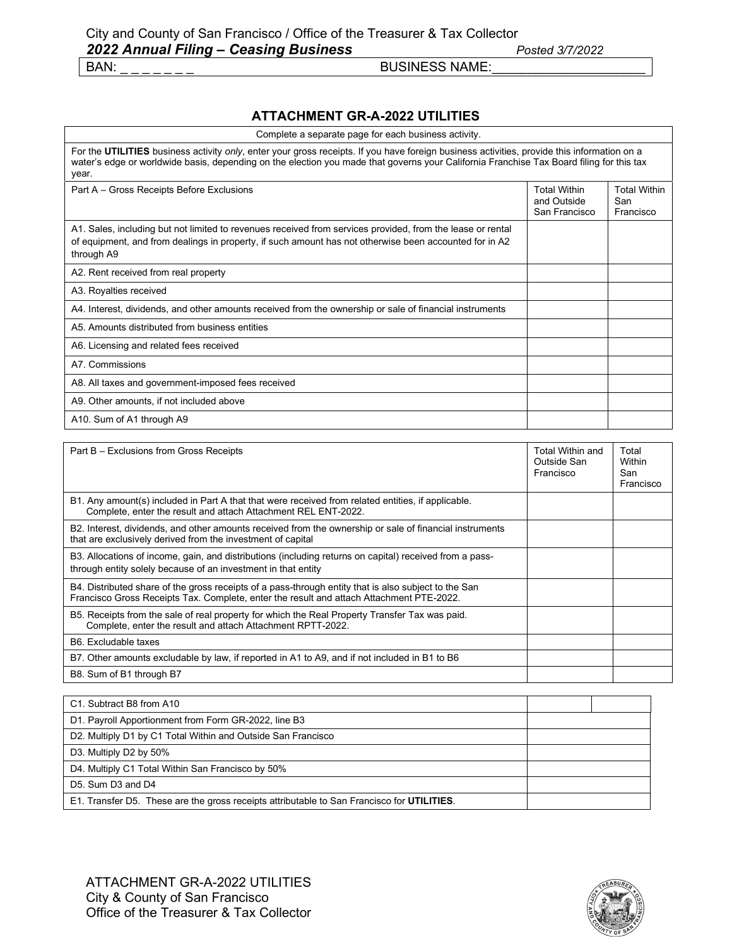### **ATTACHMENT GR-A-2022 UTILITIES**

| Complete a separate page for each business activity.                                                                                                                                                                                                                                             |  |  |  |  |  |
|--------------------------------------------------------------------------------------------------------------------------------------------------------------------------------------------------------------------------------------------------------------------------------------------------|--|--|--|--|--|
| For the UTILITIES business activity only, enter your gross receipts. If you have foreign business activities, provide this information on a<br>water's edge or worldwide basis, depending on the election you made that governs your California Franchise Tax Board filing for this tax<br>year. |  |  |  |  |  |
| <b>Total Within</b><br>Part A - Gross Receipts Before Exclusions<br>and Outside<br>San Francisco                                                                                                                                                                                                 |  |  |  |  |  |
| A1. Sales, including but not limited to revenues received from services provided, from the lease or rental<br>of equipment, and from dealings in property, if such amount has not otherwise been accounted for in A2<br>through A9                                                               |  |  |  |  |  |
| A2. Rent received from real property                                                                                                                                                                                                                                                             |  |  |  |  |  |
| A3. Royalties received                                                                                                                                                                                                                                                                           |  |  |  |  |  |
| A4. Interest, dividends, and other amounts received from the ownership or sale of financial instruments                                                                                                                                                                                          |  |  |  |  |  |
| A5. Amounts distributed from business entities                                                                                                                                                                                                                                                   |  |  |  |  |  |
| A6. Licensing and related fees received                                                                                                                                                                                                                                                          |  |  |  |  |  |
| A7. Commissions                                                                                                                                                                                                                                                                                  |  |  |  |  |  |
| A8. All taxes and government-imposed fees received                                                                                                                                                                                                                                               |  |  |  |  |  |
| A9. Other amounts, if not included above                                                                                                                                                                                                                                                         |  |  |  |  |  |
| A10. Sum of A1 through A9                                                                                                                                                                                                                                                                        |  |  |  |  |  |

| Part B – Exclusions from Gross Receipts                                                                                                                                                          | <b>Total Within and</b><br>Outside San<br>Francisco | Total<br>Within<br>San<br>Francisco |
|--------------------------------------------------------------------------------------------------------------------------------------------------------------------------------------------------|-----------------------------------------------------|-------------------------------------|
| B1. Any amount(s) included in Part A that that were received from related entities, if applicable.<br>Complete, enter the result and attach Attachment REL ENT-2022.                             |                                                     |                                     |
| B2. Interest, dividends, and other amounts received from the ownership or sale of financial instruments<br>that are exclusively derived from the investment of capital                           |                                                     |                                     |
| B3. Allocations of income, gain, and distributions (including returns on capital) received from a pass-<br>through entity solely because of an investment in that entity                         |                                                     |                                     |
| B4. Distributed share of the gross receipts of a pass-through entity that is also subject to the San<br>Francisco Gross Receipts Tax. Complete, enter the result and attach Attachment PTE-2022. |                                                     |                                     |
| B5. Receipts from the sale of real property for which the Real Property Transfer Tax was paid.<br>Complete, enter the result and attach Attachment RPTT-2022.                                    |                                                     |                                     |
| B6. Excludable taxes                                                                                                                                                                             |                                                     |                                     |
| B7. Other amounts excludable by law, if reported in A1 to A9, and if not included in B1 to B6                                                                                                    |                                                     |                                     |
| B8. Sum of B1 through B7                                                                                                                                                                         |                                                     |                                     |

| C1. Subtract B8 from A10                                                                   |  |
|--------------------------------------------------------------------------------------------|--|
| D1. Payroll Apportionment from Form GR-2022, line B3                                       |  |
| D2. Multiply D1 by C1 Total Within and Outside San Francisco                               |  |
| D3. Multiply D2 by 50%                                                                     |  |
| D4. Multiply C1 Total Within San Francisco by 50%                                          |  |
| D5. Sum D3 and D4                                                                          |  |
| E1. Transfer D5. These are the gross receipts attributable to San Francisco for UTILITIES. |  |

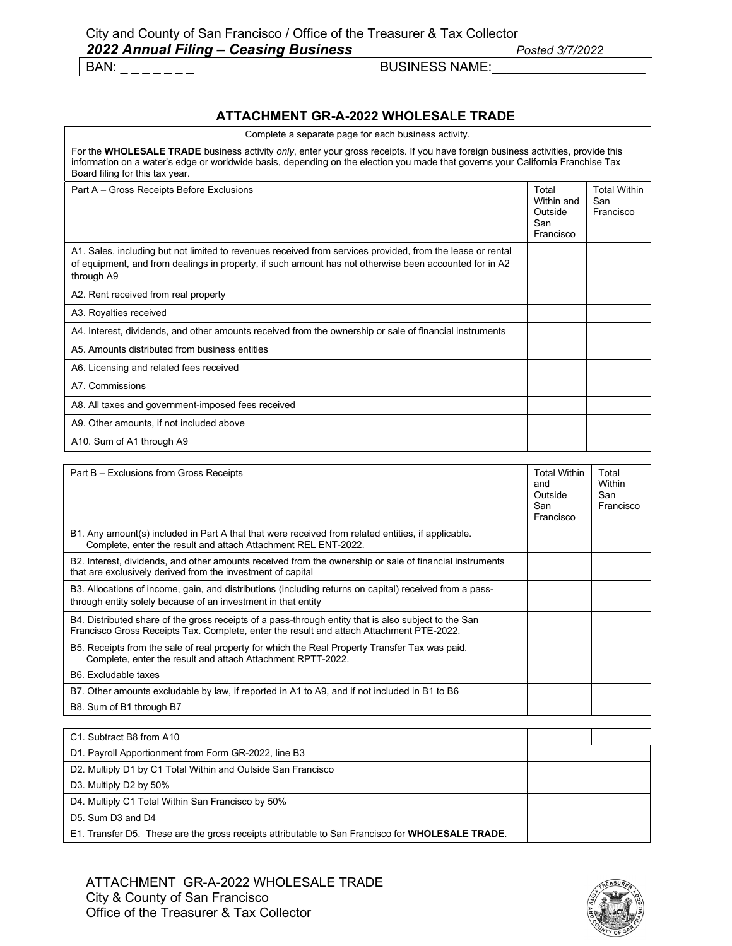### **ATTACHMENT GR-A-2022 WHOLESALE TRADE**

| Complete a separate page for each business activity.                                                                                                                                                                                                                                                   |                                                    |                                         |
|--------------------------------------------------------------------------------------------------------------------------------------------------------------------------------------------------------------------------------------------------------------------------------------------------------|----------------------------------------------------|-----------------------------------------|
| For the WHOLESALE TRADE business activity only, enter your gross receipts. If you have foreign business activities, provide this<br>information on a water's edge or worldwide basis, depending on the election you made that governs your California Franchise Tax<br>Board filing for this tax year. |                                                    |                                         |
| Part A - Gross Receipts Before Exclusions                                                                                                                                                                                                                                                              | Total<br>Within and<br>Outside<br>San<br>Francisco | <b>Total Within</b><br>San<br>Francisco |
| A1. Sales, including but not limited to revenues received from services provided, from the lease or rental<br>of equipment, and from dealings in property, if such amount has not otherwise been accounted for in A2<br>through A9                                                                     |                                                    |                                         |
| A2. Rent received from real property                                                                                                                                                                                                                                                                   |                                                    |                                         |
| A3. Royalties received                                                                                                                                                                                                                                                                                 |                                                    |                                         |
| A4. Interest, dividends, and other amounts received from the ownership or sale of financial instruments                                                                                                                                                                                                |                                                    |                                         |
| A5. Amounts distributed from business entities                                                                                                                                                                                                                                                         |                                                    |                                         |
| A6. Licensing and related fees received                                                                                                                                                                                                                                                                |                                                    |                                         |
| A7. Commissions                                                                                                                                                                                                                                                                                        |                                                    |                                         |
| A8. All taxes and government-imposed fees received                                                                                                                                                                                                                                                     |                                                    |                                         |
| A9. Other amounts, if not included above                                                                                                                                                                                                                                                               |                                                    |                                         |
| A10. Sum of A1 through A9                                                                                                                                                                                                                                                                              |                                                    |                                         |

| Part B – Exclusions from Gross Receipts                                                                                                                                                          | <b>Total Within</b><br>and<br>Outside<br>San<br>Francisco | Total<br>Within<br>San<br>Francisco |
|--------------------------------------------------------------------------------------------------------------------------------------------------------------------------------------------------|-----------------------------------------------------------|-------------------------------------|
| B1. Any amount(s) included in Part A that that were received from related entities, if applicable.<br>Complete, enter the result and attach Attachment REL ENT-2022.                             |                                                           |                                     |
| B2. Interest, dividends, and other amounts received from the ownership or sale of financial instruments<br>that are exclusively derived from the investment of capital                           |                                                           |                                     |
| B3. Allocations of income, gain, and distributions (including returns on capital) received from a pass-<br>through entity solely because of an investment in that entity                         |                                                           |                                     |
| B4. Distributed share of the gross receipts of a pass-through entity that is also subject to the San<br>Francisco Gross Receipts Tax. Complete, enter the result and attach Attachment PTE-2022. |                                                           |                                     |
| B5. Receipts from the sale of real property for which the Real Property Transfer Tax was paid.<br>Complete, enter the result and attach Attachment RPTT-2022.                                    |                                                           |                                     |
| B6. Excludable taxes                                                                                                                                                                             |                                                           |                                     |
| B7. Other amounts excludable by law, if reported in A1 to A9, and if not included in B1 to B6                                                                                                    |                                                           |                                     |
| B8. Sum of B1 through B7                                                                                                                                                                         |                                                           |                                     |

| C1. Subtract B8 from A10                                                                         |  |
|--------------------------------------------------------------------------------------------------|--|
| D1. Payroll Apportionment from Form GR-2022, line B3                                             |  |
| D2. Multiply D1 by C1 Total Within and Outside San Francisco                                     |  |
| D3. Multiply D2 by 50%                                                                           |  |
| D4. Multiply C1 Total Within San Francisco by 50%                                                |  |
| D5. Sum D3 and D4                                                                                |  |
| E1. Transfer D5. These are the gross receipts attributable to San Francisco for WHOLESALE TRADE. |  |

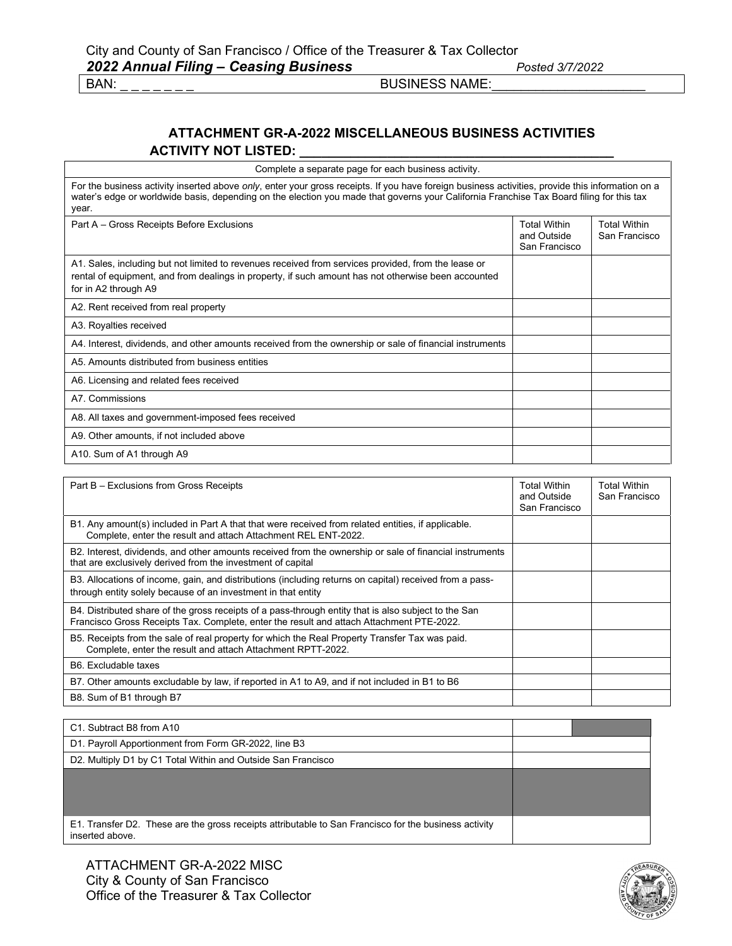### **ATTACHMENT GR-A-2022 MISCELLANEOUS BUSINESS ACTIVITIES ACTIVITY NOT LISTED: \_\_\_\_\_\_\_\_\_\_\_\_\_\_\_\_\_\_\_\_\_\_\_\_\_\_\_\_\_\_\_\_\_\_\_\_\_\_\_\_\_\_\_**

Complete a separate page for each business activity.

For the business activity inserted above *only*, enter your gross receipts. If you have foreign business activities, provide this information on a water's edge or worldwide basis, depending on the election you made that governs your California Franchise Tax Board filing for this tax year.

Part A – Gross Receipts Before Exclusions Total Within Total Within and Outside San Francisco Total Within San Francisco A1. Sales, including but not limited to revenues received from services provided, from the lease or rental of equipment, and from dealings in property, if such amount has not otherwise been accounted for in A2 through A9 A2. Rent received from real property A3. Royalties received A4. Interest, dividends, and other amounts received from the ownership or sale of financial instruments A5. Amounts distributed from business entities A6. Licensing and related fees received A7. Commissions A8. All taxes and government-imposed fees received A9. Other amounts, if not included above A10. Sum of A1 through A9

| Part B - Exclusions from Gross Receipts                                                                                                                                                          | Total Within<br>and Outside<br>San Francisco | Total Within<br>San Francisco |
|--------------------------------------------------------------------------------------------------------------------------------------------------------------------------------------------------|----------------------------------------------|-------------------------------|
| B1. Any amount(s) included in Part A that that were received from related entities, if applicable.<br>Complete, enter the result and attach Attachment REL ENT-2022.                             |                                              |                               |
| B2. Interest, dividends, and other amounts received from the ownership or sale of financial instruments<br>that are exclusively derived from the investment of capital                           |                                              |                               |
| B3. Allocations of income, gain, and distributions (including returns on capital) received from a pass-<br>through entity solely because of an investment in that entity                         |                                              |                               |
| B4. Distributed share of the gross receipts of a pass-through entity that is also subject to the San<br>Francisco Gross Receipts Tax. Complete, enter the result and attach Attachment PTE-2022. |                                              |                               |
| B5. Receipts from the sale of real property for which the Real Property Transfer Tax was paid.<br>Complete, enter the result and attach Attachment RPTT-2022.                                    |                                              |                               |
| B6. Excludable taxes                                                                                                                                                                             |                                              |                               |
| B7. Other amounts excludable by law, if reported in A1 to A9, and if not included in B1 to B6                                                                                                    |                                              |                               |
| B8. Sum of B1 through B7                                                                                                                                                                         |                                              |                               |

| C1. Subtract B8 from A10                                                                                                 |  |  |
|--------------------------------------------------------------------------------------------------------------------------|--|--|
| D1. Payroll Apportionment from Form GR-2022, line B3                                                                     |  |  |
| D2. Multiply D1 by C1 Total Within and Outside San Francisco                                                             |  |  |
|                                                                                                                          |  |  |
|                                                                                                                          |  |  |
| E1. Transfer D2. These are the gross receipts attributable to San Francisco for the business activity<br>inserted above. |  |  |

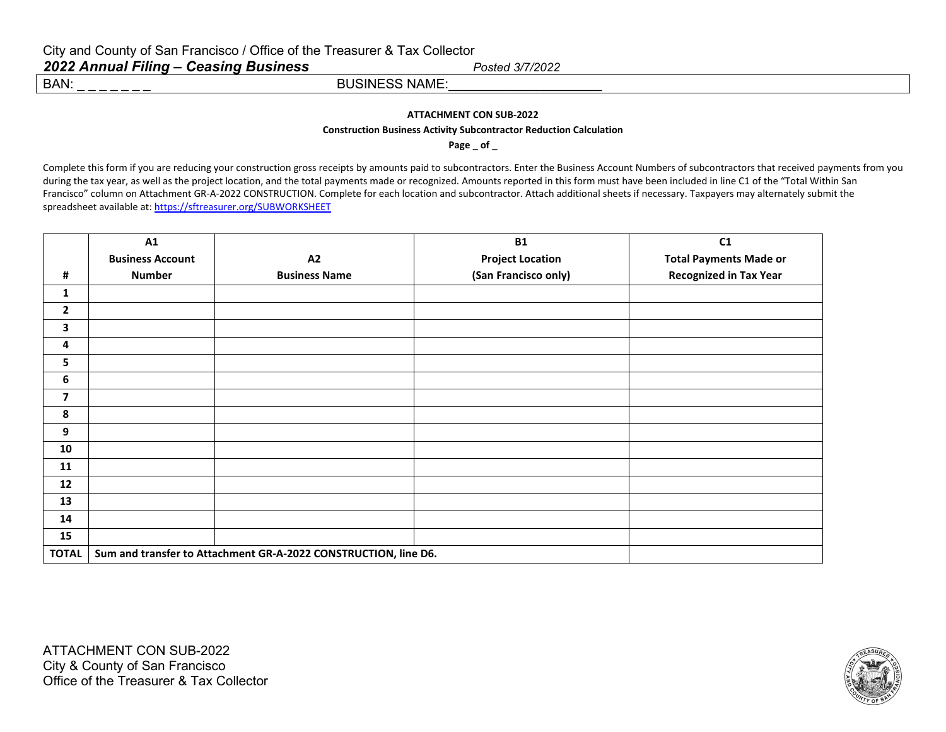#### **ATTACHMENT CON SUB-2022**

#### **Construction Business Activity Subcontractor Reduction Calculation**

**Page \_ of \_**

Complete this form if you are reducing your construction gross receipts by amounts paid to subcontractors. Enter the Business Account Numbers of subcontractors that received payments from you during the tax year, as well as the project location, and the total payments made or recognized. Amounts reported in this form must have been included in line C1 of the "Total Within San Francisco" column on Attachment GR-A-2022 CONSTRUCTION. Complete for each location and subcontractor. Attach additional sheets if necessary. Taxpayers may alternately submit the spreadsheet available at[: https://sftreasurer.org/SUBWORKSHEET](https://sftreasurer.org/SUBWORKSHEET) 

|                         | A1                                                              |                      | <b>B1</b>               | C1                            |  |
|-------------------------|-----------------------------------------------------------------|----------------------|-------------------------|-------------------------------|--|
|                         | <b>Business Account</b>                                         | A2                   | <b>Project Location</b> | <b>Total Payments Made or</b> |  |
| #                       | <b>Number</b>                                                   | <b>Business Name</b> | (San Francisco only)    | <b>Recognized in Tax Year</b> |  |
| $\mathbf{1}$            |                                                                 |                      |                         |                               |  |
| $\mathbf{2}$            |                                                                 |                      |                         |                               |  |
| 3                       |                                                                 |                      |                         |                               |  |
| 4                       |                                                                 |                      |                         |                               |  |
| 5                       |                                                                 |                      |                         |                               |  |
| 6                       |                                                                 |                      |                         |                               |  |
| $\overline{\mathbf{z}}$ |                                                                 |                      |                         |                               |  |
| 8                       |                                                                 |                      |                         |                               |  |
| 9                       |                                                                 |                      |                         |                               |  |
| 10                      |                                                                 |                      |                         |                               |  |
| 11                      |                                                                 |                      |                         |                               |  |
| 12                      |                                                                 |                      |                         |                               |  |
| 13                      |                                                                 |                      |                         |                               |  |
| 14                      |                                                                 |                      |                         |                               |  |
| 15                      |                                                                 |                      |                         |                               |  |
| <b>TOTAL</b>            | Sum and transfer to Attachment GR-A-2022 CONSTRUCTION, line D6. |                      |                         |                               |  |

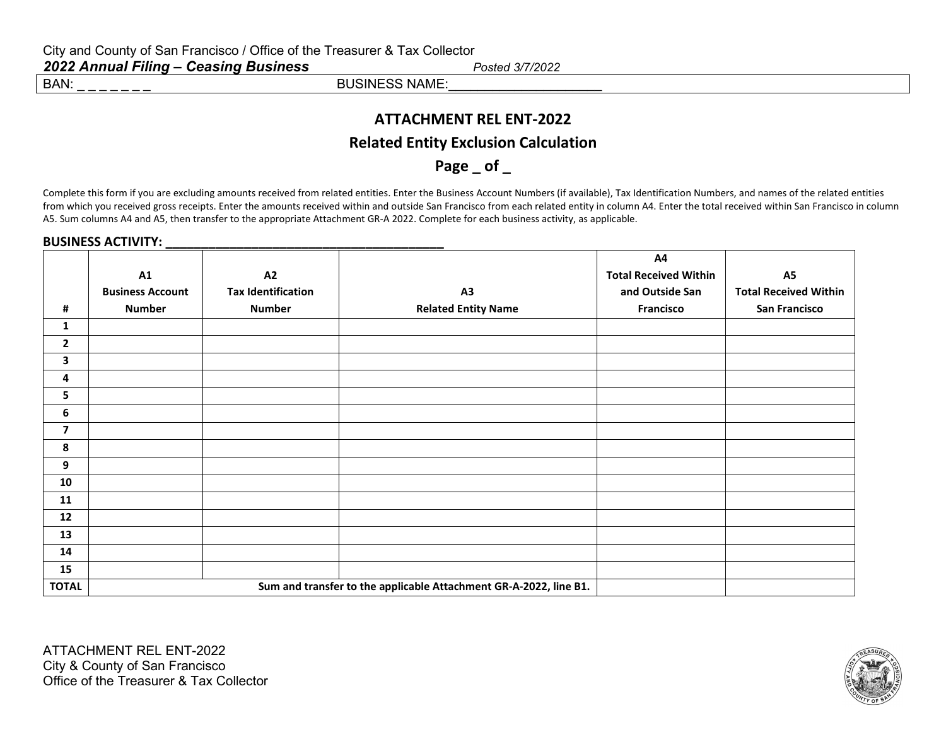### **ATTACHMENT REL ENT-2022**

### **Related Entity Exclusion Calculation**

Page of

Complete this form if you are excluding amounts received from related entities. Enter the Business Account Numbers (if available), Tax Identification Numbers, and names of the related entities from which you received gross receipts. Enter the amounts received within and outside San Francisco from each related entity in column A4. Enter the total received within San Francisco in column A5. Sum columns A4 and A5, then transfer to the appropriate Attachment GR-A 2022. Complete for each business activity, as applicable.

#### **BUSINESS ACTIVITY:**

|                         |                         |                           |                                                                   | A4                           |                              |
|-------------------------|-------------------------|---------------------------|-------------------------------------------------------------------|------------------------------|------------------------------|
|                         | A1                      | A2                        |                                                                   | <b>Total Received Within</b> | A <sub>5</sub>               |
|                         | <b>Business Account</b> | <b>Tax Identification</b> | A <sub>3</sub>                                                    | and Outside San              | <b>Total Received Within</b> |
| #                       | <b>Number</b>           | <b>Number</b>             | <b>Related Entity Name</b>                                        | <b>Francisco</b>             | <b>San Francisco</b>         |
| 1                       |                         |                           |                                                                   |                              |                              |
| $\mathbf{2}$            |                         |                           |                                                                   |                              |                              |
| 3                       |                         |                           |                                                                   |                              |                              |
| 4                       |                         |                           |                                                                   |                              |                              |
| 5                       |                         |                           |                                                                   |                              |                              |
| $\boldsymbol{6}$        |                         |                           |                                                                   |                              |                              |
| $\overline{\mathbf{z}}$ |                         |                           |                                                                   |                              |                              |
| 8                       |                         |                           |                                                                   |                              |                              |
| 9                       |                         |                           |                                                                   |                              |                              |
| 10                      |                         |                           |                                                                   |                              |                              |
| 11                      |                         |                           |                                                                   |                              |                              |
| 12                      |                         |                           |                                                                   |                              |                              |
| 13                      |                         |                           |                                                                   |                              |                              |
| 14                      |                         |                           |                                                                   |                              |                              |
| 15                      |                         |                           |                                                                   |                              |                              |
| <b>TOTAL</b>            |                         |                           | Sum and transfer to the applicable Attachment GR-A-2022, line B1. |                              |                              |



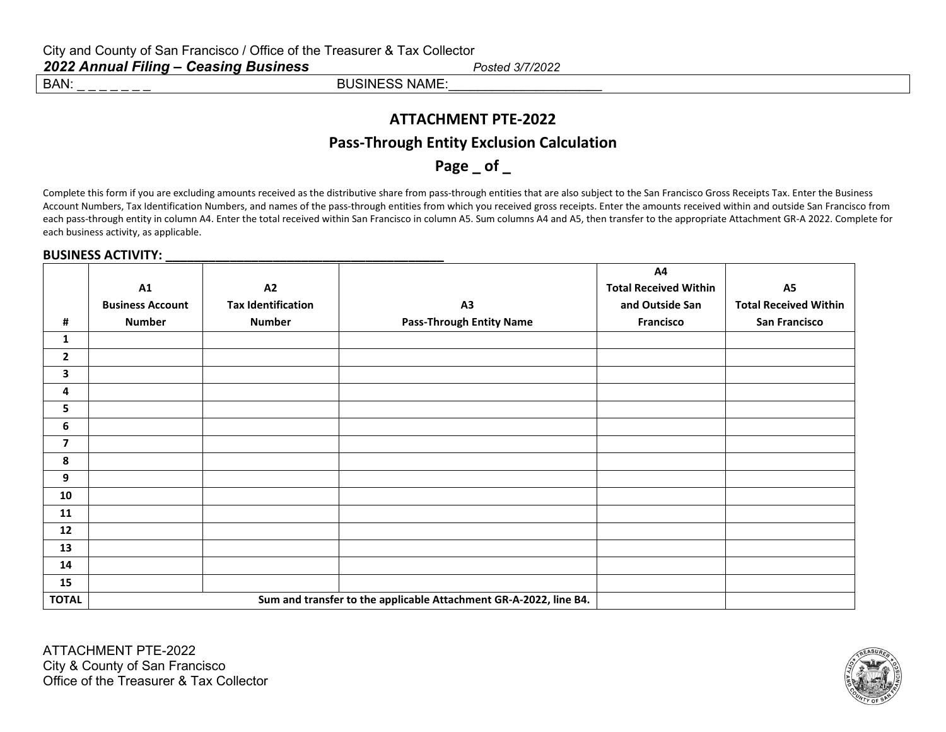### **ATTACHMENT PTE-2022**

### **Pass-Through Entity Exclusion Calculation**

Page of

Complete this form if you are excluding amounts received as the distributive share from pass-through entities that are also subject to the San Francisco Gross Receipts Tax. Enter the Business Account Numbers, Tax Identification Numbers, and names of the pass-through entities from which you received gross receipts. Enter the amounts received within and outside San Francisco from each pass-through entity in column A4. Enter the total received within San Francisco in column A5. Sum columns A4 and A5, then transfer to the appropriate Attachment GR-A 2022. Complete for each business activity, as applicable.

### **BUSINESS ACTIVITY: \_\_\_\_\_\_\_\_\_\_\_\_\_\_\_\_\_\_\_\_\_\_\_\_\_\_\_\_\_\_\_\_\_\_\_\_\_\_\_**

|                          |                         |                           |                                                                   | A4                           |                              |
|--------------------------|-------------------------|---------------------------|-------------------------------------------------------------------|------------------------------|------------------------------|
|                          | A1                      | A2                        |                                                                   | <b>Total Received Within</b> | <b>A5</b>                    |
|                          | <b>Business Account</b> | <b>Tax Identification</b> | A3                                                                | and Outside San              | <b>Total Received Within</b> |
| #                        | <b>Number</b>           | <b>Number</b>             | <b>Pass-Through Entity Name</b>                                   | <b>Francisco</b>             | <b>San Francisco</b>         |
| 1                        |                         |                           |                                                                   |                              |                              |
| $\overline{2}$           |                         |                           |                                                                   |                              |                              |
| 3                        |                         |                           |                                                                   |                              |                              |
| 4                        |                         |                           |                                                                   |                              |                              |
| 5                        |                         |                           |                                                                   |                              |                              |
| 6                        |                         |                           |                                                                   |                              |                              |
| $\overline{\phantom{a}}$ |                         |                           |                                                                   |                              |                              |
| 8                        |                         |                           |                                                                   |                              |                              |
| 9                        |                         |                           |                                                                   |                              |                              |
| 10                       |                         |                           |                                                                   |                              |                              |
| 11                       |                         |                           |                                                                   |                              |                              |
| 12                       |                         |                           |                                                                   |                              |                              |
| 13                       |                         |                           |                                                                   |                              |                              |
| 14                       |                         |                           |                                                                   |                              |                              |
| 15                       |                         |                           |                                                                   |                              |                              |
| <b>TOTAL</b>             |                         |                           | Sum and transfer to the applicable Attachment GR-A-2022, line B4. |                              |                              |

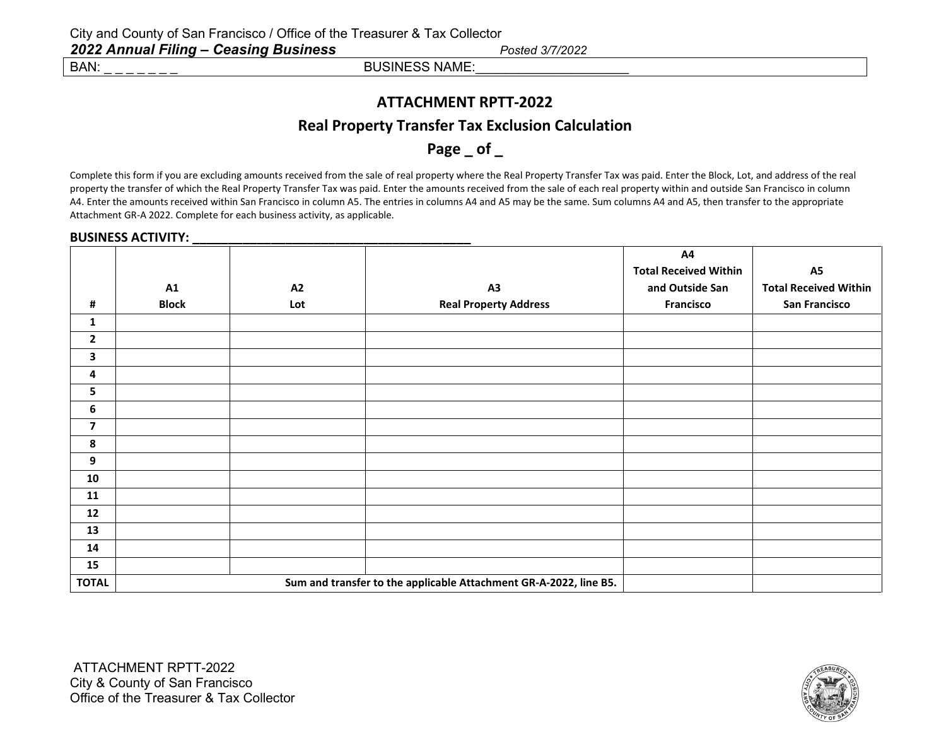### **ATTACHMENT RPTT-2022**

### **Real Property Transfer Tax Exclusion Calculation**

**Page \_ of \_**

Complete this form if you are excluding amounts received from the sale of real property where the Real Property Transfer Tax was paid. Enter the Block, Lot, and address of the real property the transfer of which the Real Property Transfer Tax was paid. Enter the amounts received from the sale of each real property within and outside San Francisco in column A4. Enter the amounts received within San Francisco in column A5. The entries in columns A4 and A5 may be the same. Sum columns A4 and A5, then transfer to the appropriate Attachment GR-A 2022. Complete for each business activity, as applicable.

#### **BUSINESS ACTIVITY:**  $\blacksquare$

|                         |              |     |                                                                   | A4                           |                              |
|-------------------------|--------------|-----|-------------------------------------------------------------------|------------------------------|------------------------------|
|                         |              |     |                                                                   | <b>Total Received Within</b> | <b>A5</b>                    |
|                         | A1           | A2  | A3                                                                | and Outside San              | <b>Total Received Within</b> |
| #                       | <b>Block</b> | Lot | <b>Real Property Address</b>                                      | Francisco                    | San Francisco                |
| 1                       |              |     |                                                                   |                              |                              |
| $\overline{2}$          |              |     |                                                                   |                              |                              |
| $\mathbf{3}$            |              |     |                                                                   |                              |                              |
| 4                       |              |     |                                                                   |                              |                              |
| 5                       |              |     |                                                                   |                              |                              |
| 6                       |              |     |                                                                   |                              |                              |
| $\overline{\mathbf{z}}$ |              |     |                                                                   |                              |                              |
| 8                       |              |     |                                                                   |                              |                              |
| $\boldsymbol{9}$        |              |     |                                                                   |                              |                              |
| 10                      |              |     |                                                                   |                              |                              |
| 11                      |              |     |                                                                   |                              |                              |
| 12                      |              |     |                                                                   |                              |                              |
| 13                      |              |     |                                                                   |                              |                              |
| 14                      |              |     |                                                                   |                              |                              |
| 15                      |              |     |                                                                   |                              |                              |
| <b>TOTAL</b>            |              |     | Sum and transfer to the applicable Attachment GR-A-2022, line B5. |                              |                              |

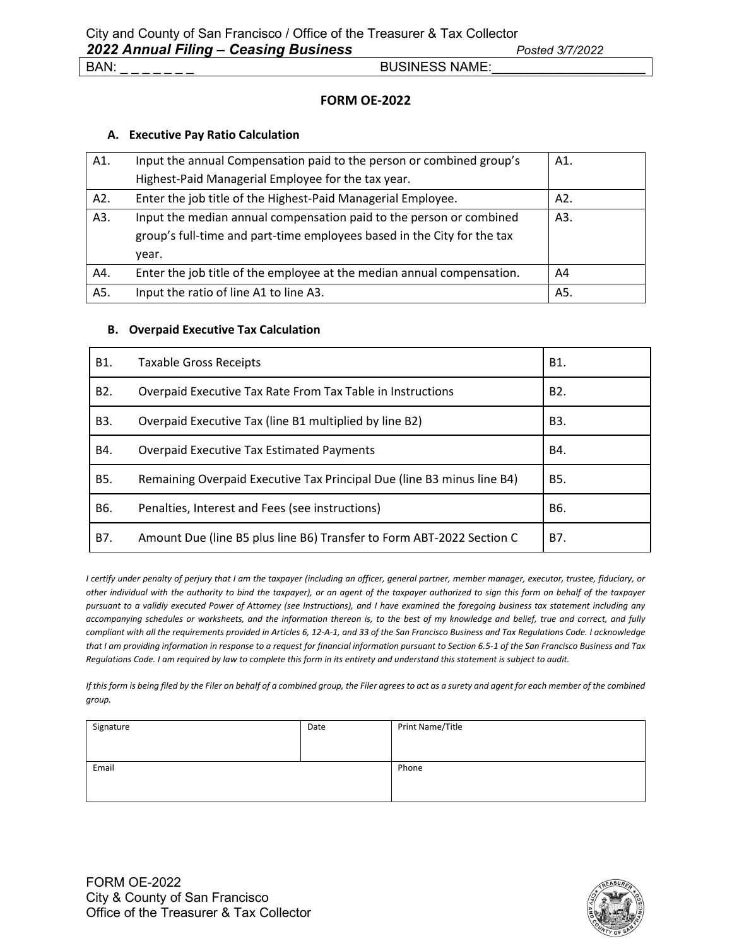### **FORM OE-2022**

### **A. Executive Pay Ratio Calculation**

| A1. | Input the annual Compensation paid to the person or combined group's    | A1. |
|-----|-------------------------------------------------------------------------|-----|
|     | Highest-Paid Managerial Employee for the tax year.                      |     |
| A2. | Enter the job title of the Highest-Paid Managerial Employee.            | A2. |
| A3. | Input the median annual compensation paid to the person or combined     | A3. |
|     | group's full-time and part-time employees based in the City for the tax |     |
|     | year.                                                                   |     |
| A4. | Enter the job title of the employee at the median annual compensation.  | A4  |
| A5. | Input the ratio of line A1 to line A3.                                  | A5. |

### **B. Overpaid Executive Tax Calculation**

| B1.              | <b>Taxable Gross Receipts</b>                                          | B1.              |
|------------------|------------------------------------------------------------------------|------------------|
| B <sub>2</sub> . | Overpaid Executive Tax Rate From Tax Table in Instructions             | B <sub>2</sub> . |
| B3.              | Overpaid Executive Tax (line B1 multiplied by line B2)                 | B3.              |
| B4.              | <b>Overpaid Executive Tax Estimated Payments</b>                       | B4.              |
| B5.              | Remaining Overpaid Executive Tax Principal Due (line B3 minus line B4) | B5.              |
| B6.              | Penalties, Interest and Fees (see instructions)                        | B6.              |
| B7.              | Amount Due (line B5 plus line B6) Transfer to Form ABT-2022 Section C  | B7.              |

*I certify under penalty of perjury that I am the taxpayer (including an officer, general partner, member manager, executor, trustee, fiduciary, or other individual with the authority to bind the taxpayer), or an agent of the taxpayer authorized to sign this form on behalf of the taxpayer pursuant to a validly executed Power of Attorney (see Instructions), and I have examined the foregoing business tax statement including any accompanying schedules or worksheets, and the information thereon is, to the best of my knowledge and belief, true and correct, and fully compliant with all the requirements provided in Articles 6, 12-A-1, and 33 of the San Francisco Business and Tax Regulations Code. I acknowledge that I am providing information in response to a request for financial information pursuant to Section 6.5-1 of the San Francisco Business and Tax Regulations Code. I am required by law to complete this form in its entirety and understand this statement is subject to audit.*

*If this form is being filed by the Filer on behalf of a combined group, the Filer agrees to act as a surety and agent for each member of the combined group.*

| Signature | Date | Print Name/Title |
|-----------|------|------------------|
|           |      |                  |
|           |      |                  |
| Email     |      | Phone            |
|           |      |                  |
|           |      |                  |
|           |      |                  |

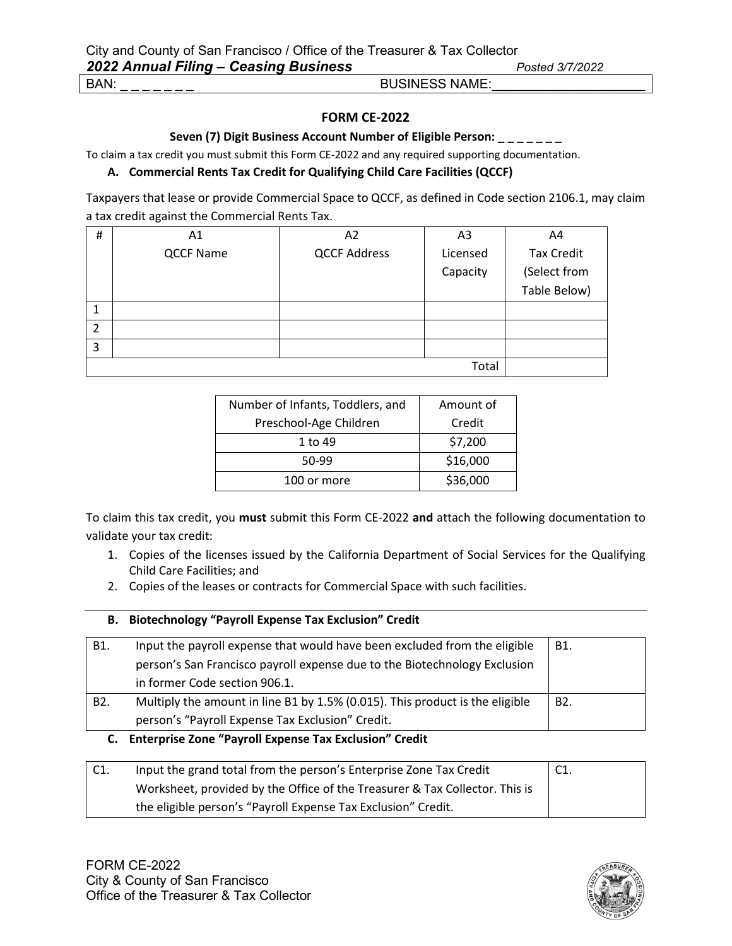### **FORM CE-2022**

#### **Seven (7) Digit Business Account Number of Eligible Person: \_ \_ \_ \_ \_ \_ \_**

To claim a tax credit you must submit this Form CE-2022 and any required supporting documentation.

### **A. Commercial Rents Tax Credit for Qualifying Child Care Facilities (QCCF)**

Taxpayers that lease or provide Commercial Space to QCCF, as defined in Code section 2106.1, may claim a tax credit against the Commercial Rents Tax.

| #              | Α1               | A2                  | A3       | A4                |
|----------------|------------------|---------------------|----------|-------------------|
|                | <b>QCCF Name</b> | <b>QCCF Address</b> | Licensed | <b>Tax Credit</b> |
|                |                  |                     | Capacity | (Select from      |
|                |                  |                     |          | Table Below)      |
| 1              |                  |                     |          |                   |
| $\overline{2}$ |                  |                     |          |                   |
| 3              |                  |                     |          |                   |
|                |                  |                     | Total    |                   |

| Number of Infants, Toddlers, and | Amount of |
|----------------------------------|-----------|
| Preschool-Age Children           | Credit    |
| 1 to 49                          | \$7,200   |
| 50-99                            | \$16,000  |
| 100 or more                      | \$36,000  |

To claim this tax credit, you **must** submit this Form CE-2022 **and** attach the following documentation to validate your tax credit:

- 1. Copies of the licenses issued by the California Department of Social Services for the Qualifying Child Care Facilities; and
- 2. Copies of the leases or contracts for Commercial Space with such facilities.

### **B. Biotechnology "Payroll Expense Tax Exclusion" Credit**

| B1.              | Input the payroll expense that would have been excluded from the eligible    | B1. |
|------------------|------------------------------------------------------------------------------|-----|
|                  | person's San Francisco payroll expense due to the Biotechnology Exclusion    |     |
|                  | in former Code section 906.1.                                                |     |
| B <sub>2</sub> . | Multiply the amount in line B1 by 1.5% (0.015). This product is the eligible | B2. |
|                  | person's "Payroll Expense Tax Exclusion" Credit.                             |     |

### **C. Enterprise Zone "Payroll Expense Tax Exclusion" Credit**

| Input the grand total from the person's Enterprise Zone Tax Credit          | C1. |
|-----------------------------------------------------------------------------|-----|
| Worksheet, provided by the Office of the Treasurer & Tax Collector. This is |     |
| the eligible person's "Payroll Expense Tax Exclusion" Credit.               |     |

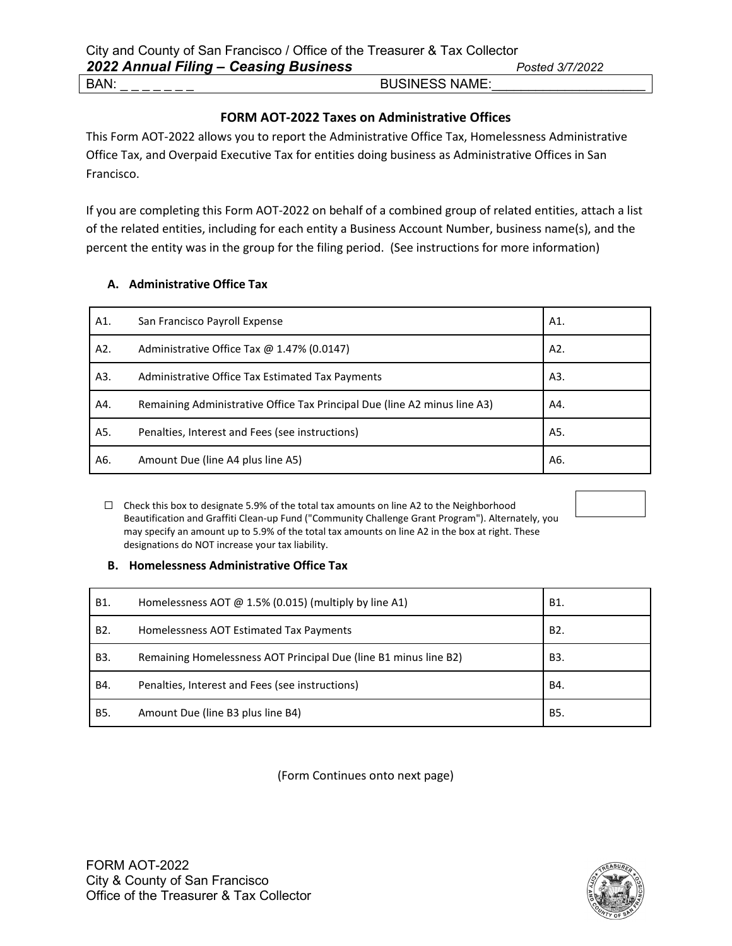### **FORM AOT-2022 Taxes on Administrative Offices**

This Form AOT-2022 allows you to report the Administrative Office Tax, Homelessness Administrative Office Tax, and Overpaid Executive Tax for entities doing business as Administrative Offices in San Francisco.

If you are completing this Form AOT-2022 on behalf of a combined group of related entities, attach a list of the related entities, including for each entity a Business Account Number, business name(s), and the percent the entity was in the group for the filing period. (See instructions for more information)

### **A. Administrative Office Tax**

| A1. | San Francisco Payroll Expense                                             | A1. |
|-----|---------------------------------------------------------------------------|-----|
| A2. | Administrative Office Tax $@$ 1.47% (0.0147)                              | A2. |
| A3. | Administrative Office Tax Estimated Tax Payments                          | A3. |
| A4. | Remaining Administrative Office Tax Principal Due (line A2 minus line A3) | A4. |
| A5. | Penalties, Interest and Fees (see instructions)                           | A5. |
| A6. | Amount Due (line A4 plus line A5)                                         | A6. |

 ☐ Check this box to designate 5.9% of the total tax amounts on line A2 to the Neighborhood Beautification and Graffiti Clean-up Fund ("Community Challenge Grant Program"). Alternately, you may specify an amount up to 5.9% of the total tax amounts on line A2 in the box at right. These designations do NOT increase your tax liability.

### **B. Homelessness Administrative Office Tax**

| B1.              | Homelessness AOT $\omega$ 1.5% (0.015) (multiply by line A1)     | B1.              |
|------------------|------------------------------------------------------------------|------------------|
| B <sub>2</sub> . | Homelessness AOT Estimated Tax Payments                          | B <sub>2</sub> . |
| B <sub>3</sub> . | Remaining Homelessness AOT Principal Due (line B1 minus line B2) | B3.              |
| B4.              | Penalties, Interest and Fees (see instructions)                  | B4.              |
| <b>B5.</b>       | Amount Due (line B3 plus line B4)                                | B5.              |

(Form Continues onto next page)

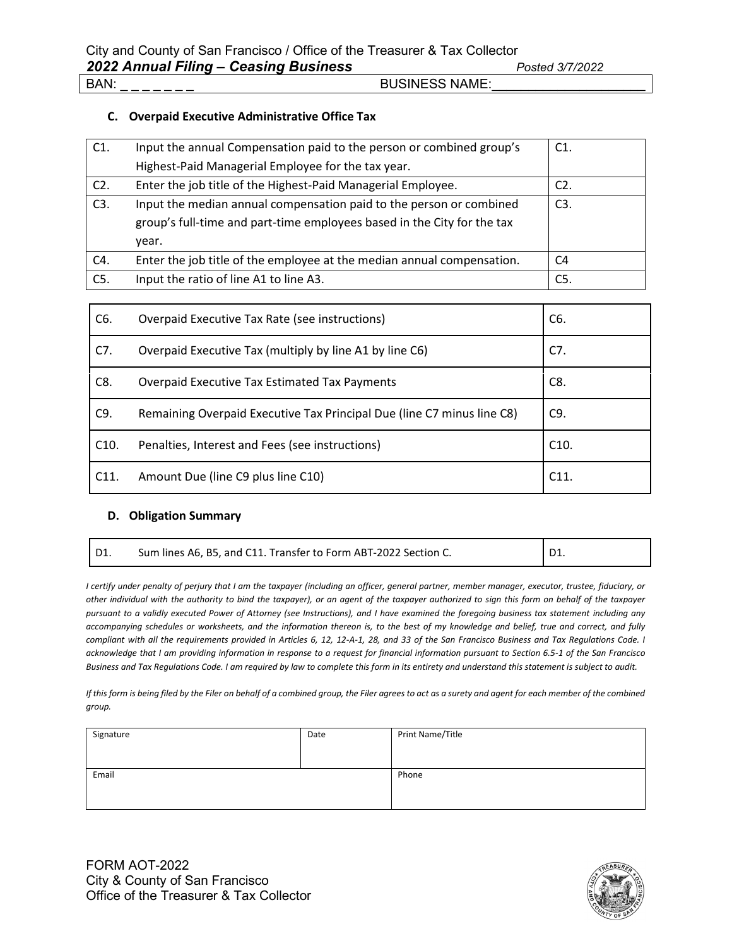#### **C. Overpaid Executive Administrative Office Tax**

| C1.    | Input the annual Compensation paid to the person or combined group's    | $C1$ .           |
|--------|-------------------------------------------------------------------------|------------------|
|        | Highest-Paid Managerial Employee for the tax year.                      |                  |
| $C2$ . | Enter the job title of the Highest-Paid Managerial Employee.            | C <sub>2</sub> . |
| C3.    | Input the median annual compensation paid to the person or combined     | C <sub>3</sub> . |
|        | group's full-time and part-time employees based in the City for the tax |                  |
|        | year.                                                                   |                  |
| C4.    | Enter the job title of the employee at the median annual compensation.  | C <sub>4</sub>   |
| C5.    | Input the ratio of line A1 to line A3.                                  | C5.              |

| C6.  | Overpaid Executive Tax Rate (see instructions)                         | C6.  |
|------|------------------------------------------------------------------------|------|
| C7.  | Overpaid Executive Tax (multiply by line A1 by line C6)                | C7.  |
| C8.  | Overpaid Executive Tax Estimated Tax Payments                          | C8.  |
| C9.  | Remaining Overpaid Executive Tax Principal Due (line C7 minus line C8) | C9.  |
| C10. | Penalties, Interest and Fees (see instructions)                        | C10. |
| C11. | Amount Due (line C9 plus line C10)                                     | C11. |

#### **D. Obligation Summary**

| D1. | Sum lines A6, B5, and C11. Transfer to Form ABT-2022 Section C. | D1. |
|-----|-----------------------------------------------------------------|-----|
|-----|-----------------------------------------------------------------|-----|

*I certify under penalty of perjury that I am the taxpayer (including an officer, general partner, member manager, executor, trustee, fiduciary, or other individual with the authority to bind the taxpayer), or an agent of the taxpayer authorized to sign this form on behalf of the taxpayer pursuant to a validly executed Power of Attorney (see Instructions), and I have examined the foregoing business tax statement including any accompanying schedules or worksheets, and the information thereon is, to the best of my knowledge and belief, true and correct, and fully compliant with all the requirements provided in Articles 6, 12, 12-A-1, 28, and 33 of the San Francisco Business and Tax Regulations Code. I acknowledge that I am providing information in response to a request for financial information pursuant to Section 6.5-1 of the San Francisco Business and Tax Regulations Code. I am required by law to complete this form in its entirety and understand this statement is subject to audit.*

*If this form is being filed by the Filer on behalf of a combined group, the Filer agrees to act as a surety and agent for each member of the combined group.*

| Signature | Date | Print Name/Title |
|-----------|------|------------------|
|           |      |                  |
| Email     |      | Phone            |
|           |      |                  |

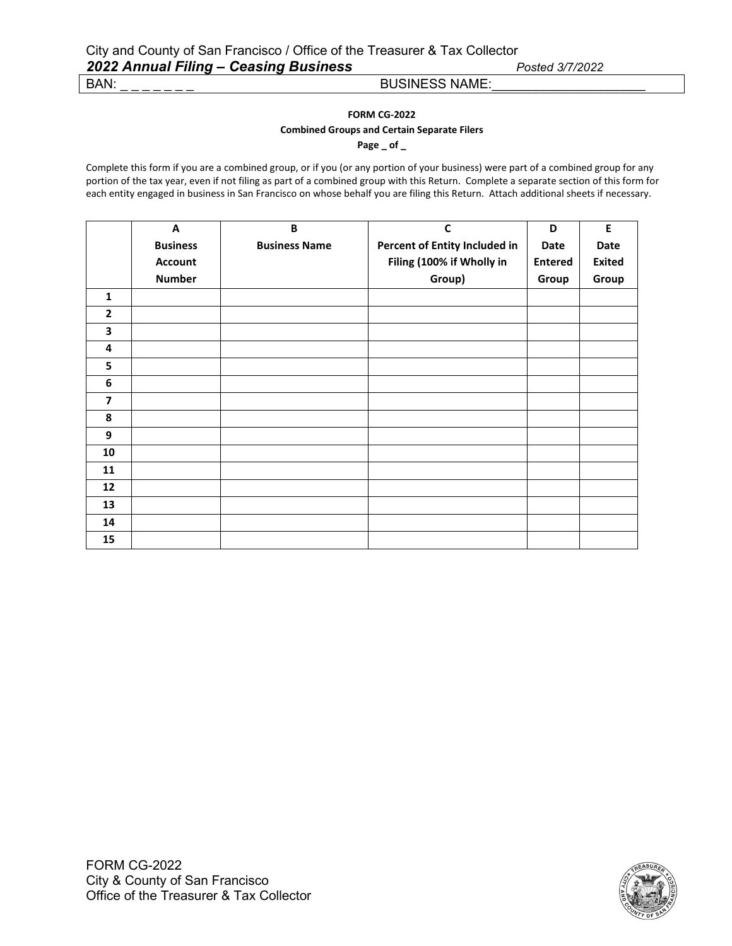# **FORM CG-2022**

### **Combined Groups and Certain Separate Filers**

**Page \_ of \_**

Complete this form if you are a combined group, or if you (or any portion of your business) were part of a combined group for any portion of the tax year, even if not filing as part of a combined group with this Return. Complete a separate section of this form for each entity engaged in business in San Francisco on whose behalf you are filing this Return. Attach additional sheets if necessary.

|                         | A               | B                    | $\mathsf{C}$                  | D              | E             |
|-------------------------|-----------------|----------------------|-------------------------------|----------------|---------------|
|                         | <b>Business</b> | <b>Business Name</b> | Percent of Entity Included in | Date           | Date          |
|                         | <b>Account</b>  |                      | Filing (100% if Wholly in     | <b>Entered</b> | <b>Exited</b> |
|                         | <b>Number</b>   |                      | Group)                        | Group          | Group         |
| $\mathbf{1}$            |                 |                      |                               |                |               |
| $\mathbf{2}$            |                 |                      |                               |                |               |
| 3                       |                 |                      |                               |                |               |
| 4                       |                 |                      |                               |                |               |
| 5                       |                 |                      |                               |                |               |
| 6                       |                 |                      |                               |                |               |
| $\overline{\mathbf{z}}$ |                 |                      |                               |                |               |
| 8                       |                 |                      |                               |                |               |
| 9                       |                 |                      |                               |                |               |
| 10                      |                 |                      |                               |                |               |
| 11                      |                 |                      |                               |                |               |
| 12                      |                 |                      |                               |                |               |
| 13                      |                 |                      |                               |                |               |
| 14                      |                 |                      |                               |                |               |
| 15                      |                 |                      |                               |                |               |

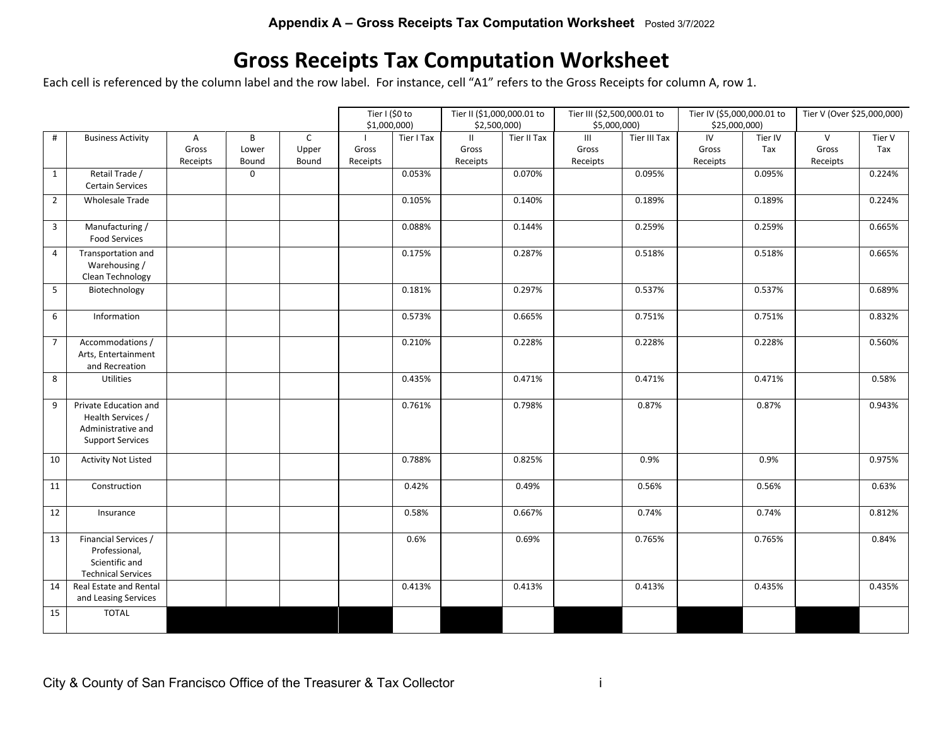# **Gross Receipts Tax Computation Worksheet**

Each cell is referenced by the column label and the row label. For instance, cell "A1" refers to the Gross Receipts for column A, row 1.

|                |                                                                                             |                        |                     |                                | Tier I (\$0 to<br>\$1,000,000 |            |                                    | Tier III (\$2,500,000.01 to<br>Tier II (\$1,000,000.01 to<br>\$5,000,000)<br>\$2,500,000) |                          |              | Tier IV (\$5,000,000.01 to<br>\$25,000,000) |                | Tier V (Over \$25,000,000)        |               |
|----------------|---------------------------------------------------------------------------------------------|------------------------|---------------------|--------------------------------|-------------------------------|------------|------------------------------------|-------------------------------------------------------------------------------------------|--------------------------|--------------|---------------------------------------------|----------------|-----------------------------------|---------------|
| $\#$           | <b>Business Activity</b>                                                                    | A<br>Gross<br>Receipts | B<br>Lower<br>Bound | $\mathsf{C}$<br>Upper<br>Bound | Gross<br>Receipts             | Tier I Tax | $\mathbf{II}$<br>Gross<br>Receipts | Tier II Tax                                                                               | III<br>Gross<br>Receipts | Tier III Tax | IV<br>Gross<br>Receipts                     | Tier IV<br>Tax | $\mathsf{V}$<br>Gross<br>Receipts | Tier V<br>Tax |
| $\mathbf{1}$   | Retail Trade /<br><b>Certain Services</b>                                                   |                        | $\mathsf 0$         |                                |                               | 0.053%     |                                    | 0.070%                                                                                    |                          | 0.095%       |                                             | 0.095%         |                                   | 0.224%        |
| $\overline{2}$ | <b>Wholesale Trade</b>                                                                      |                        |                     |                                |                               | 0.105%     |                                    | 0.140%                                                                                    |                          | 0.189%       |                                             | 0.189%         |                                   | 0.224%        |
| 3              | Manufacturing /<br><b>Food Services</b>                                                     |                        |                     |                                |                               | 0.088%     |                                    | 0.144%                                                                                    |                          | 0.259%       |                                             | 0.259%         |                                   | 0.665%        |
| $\overline{4}$ | Transportation and<br>Warehousing /<br>Clean Technology                                     |                        |                     |                                |                               | 0.175%     |                                    | 0.287%                                                                                    |                          | 0.518%       |                                             | 0.518%         |                                   | 0.665%        |
| 5              | Biotechnology                                                                               |                        |                     |                                |                               | 0.181%     |                                    | 0.297%                                                                                    |                          | 0.537%       |                                             | 0.537%         |                                   | 0.689%        |
| 6              | Information                                                                                 |                        |                     |                                |                               | 0.573%     |                                    | 0.665%                                                                                    |                          | 0.751%       |                                             | 0.751%         |                                   | 0.832%        |
| $\overline{7}$ | Accommodations /<br>Arts, Entertainment<br>and Recreation                                   |                        |                     |                                |                               | 0.210%     |                                    | 0.228%                                                                                    |                          | 0.228%       |                                             | 0.228%         |                                   | 0.560%        |
| 8              | Utilities                                                                                   |                        |                     |                                |                               | 0.435%     |                                    | 0.471%                                                                                    |                          | 0.471%       |                                             | 0.471%         |                                   | 0.58%         |
| 9              | Private Education and<br>Health Services /<br>Administrative and<br><b>Support Services</b> |                        |                     |                                |                               | 0.761%     |                                    | 0.798%                                                                                    |                          | 0.87%        |                                             | 0.87%          |                                   | 0.943%        |
| 10             | <b>Activity Not Listed</b>                                                                  |                        |                     |                                |                               | 0.788%     |                                    | 0.825%                                                                                    |                          | 0.9%         |                                             | 0.9%           |                                   | 0.975%        |
| 11             | Construction                                                                                |                        |                     |                                |                               | 0.42%      |                                    | 0.49%                                                                                     |                          | 0.56%        |                                             | 0.56%          |                                   | 0.63%         |
| 12             | Insurance                                                                                   |                        |                     |                                |                               | 0.58%      |                                    | 0.667%                                                                                    |                          | 0.74%        |                                             | 0.74%          |                                   | 0.812%        |
| 13             | Financial Services /<br>Professional,<br>Scientific and<br><b>Technical Services</b>        |                        |                     |                                |                               | 0.6%       |                                    | 0.69%                                                                                     |                          | 0.765%       |                                             | 0.765%         |                                   | 0.84%         |
| 14             | Real Estate and Rental<br>and Leasing Services                                              |                        |                     |                                |                               | 0.413%     |                                    | 0.413%                                                                                    |                          | 0.413%       |                                             | 0.435%         |                                   | 0.435%        |
| 15             | <b>TOTAL</b>                                                                                |                        |                     |                                |                               |            |                                    |                                                                                           |                          |              |                                             |                |                                   |               |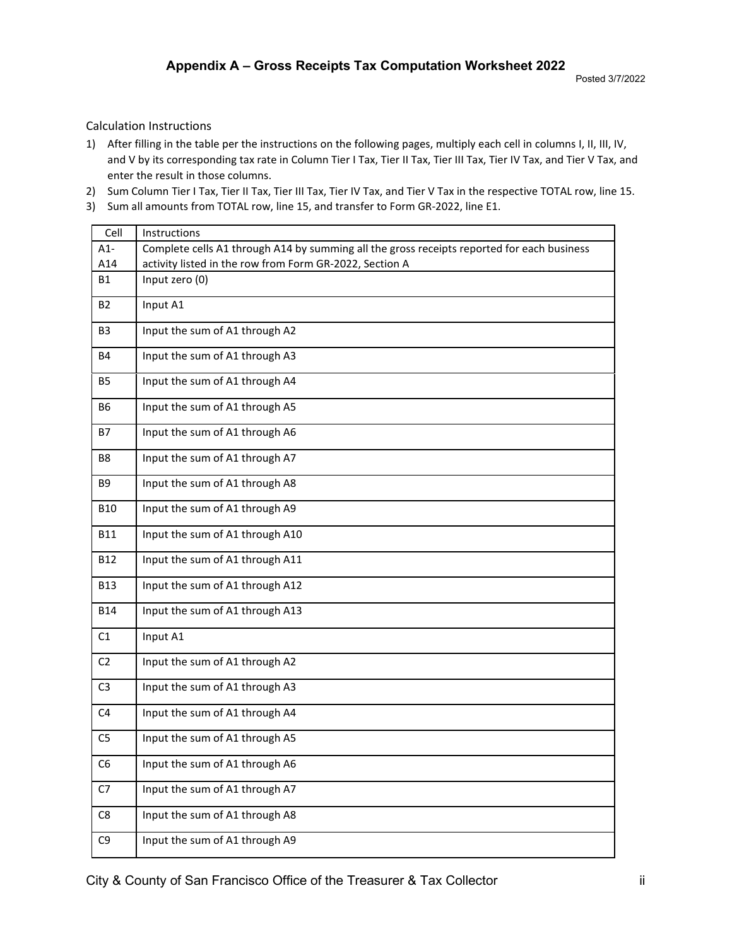#### Calculation Instructions

- 1) After filling in the table per the instructions on the following pages, multiply each cell in columns I, II, III, IV, and V by its corresponding tax rate in Column Tier I Tax, Tier II Tax, Tier III Tax, Tier IV Tax, and Tier V Tax, and enter the result in those columns.
- 2) Sum Column Tier I Tax, Tier II Tax, Tier III Tax, Tier IV Tax, and Tier V Tax in the respective TOTAL row, line 15.
- 3) Sum all amounts from TOTAL row, line 15, and transfer to Form GR-2022, line E1.

| Cell           | Instructions                                                                               |
|----------------|--------------------------------------------------------------------------------------------|
| $A1-$          | Complete cells A1 through A14 by summing all the gross receipts reported for each business |
| A14            | activity listed in the row from Form GR-2022, Section A                                    |
| <b>B1</b>      | Input zero (0)                                                                             |
| <b>B2</b>      | Input A1                                                                                   |
| B <sub>3</sub> | Input the sum of A1 through A2                                                             |
| B4             | Input the sum of A1 through A3                                                             |
| <b>B5</b>      | Input the sum of A1 through A4                                                             |
| B6             | Input the sum of A1 through A5                                                             |
| B7             | Input the sum of A1 through A6                                                             |
| B8             | Input the sum of A1 through A7                                                             |
| <b>B9</b>      | Input the sum of A1 through A8                                                             |
| <b>B10</b>     | Input the sum of A1 through A9                                                             |
| <b>B11</b>     | Input the sum of A1 through A10                                                            |
| <b>B12</b>     | Input the sum of A1 through A11                                                            |
| <b>B13</b>     | Input the sum of A1 through A12                                                            |
| <b>B14</b>     | Input the sum of A1 through A13                                                            |
| C1             | Input A1                                                                                   |
| C <sub>2</sub> | Input the sum of A1 through A2                                                             |
| C <sub>3</sub> | Input the sum of A1 through A3                                                             |
| C4             | Input the sum of A1 through A4                                                             |
| C <sub>5</sub> | Input the sum of A1 through A5                                                             |
| C6             | Input the sum of A1 through A6                                                             |
| C7             | Input the sum of A1 through A7                                                             |
| C8             | Input the sum of A1 through A8                                                             |
| C9             | Input the sum of A1 through A9                                                             |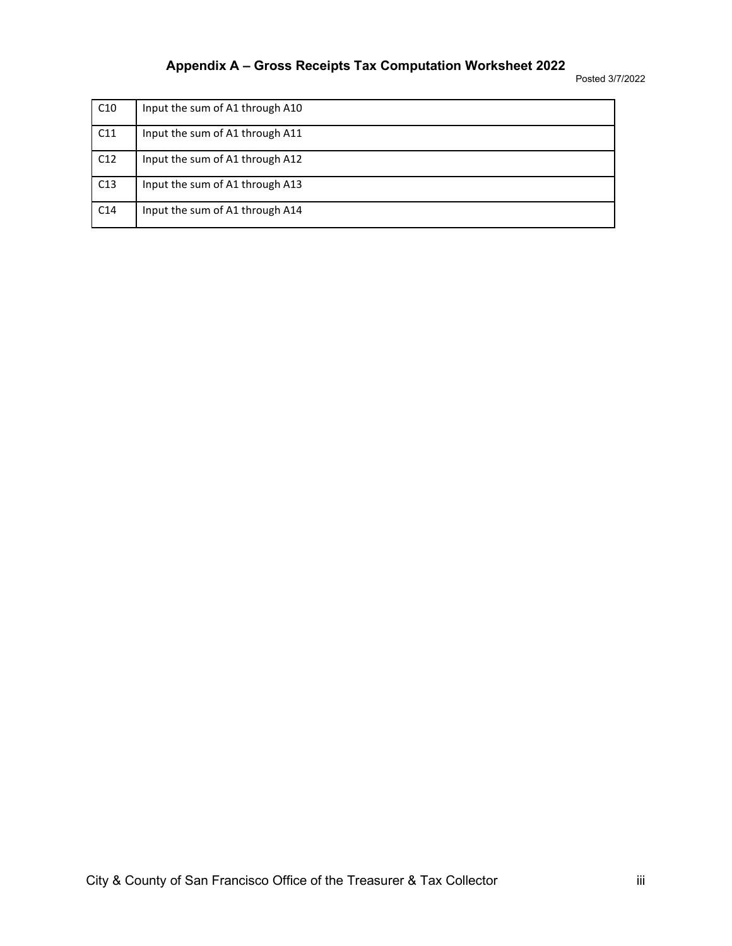Posted 3/7/2022

| C <sub>10</sub> | Input the sum of A1 through A10 |
|-----------------|---------------------------------|
| C11             | Input the sum of A1 through A11 |
| C12             | Input the sum of A1 through A12 |
| C13             | Input the sum of A1 through A13 |
| C <sub>14</sub> | Input the sum of A1 through A14 |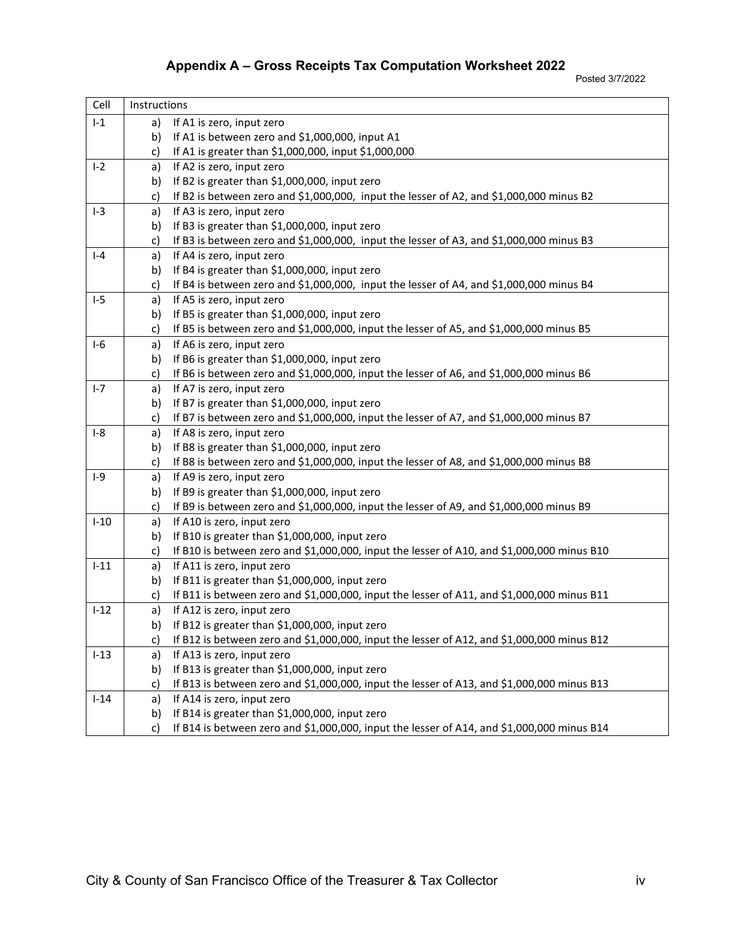Posted 3/7/2022

| Cell    | Instructions |                                                                                            |
|---------|--------------|--------------------------------------------------------------------------------------------|
| $I-1$   | a)           | If A1 is zero, input zero                                                                  |
|         | b)           | If A1 is between zero and \$1,000,000, input A1                                            |
|         | c)           | If A1 is greater than \$1,000,000, input \$1,000,000                                       |
| $I-2$   | a)           | If A2 is zero, input zero                                                                  |
|         | b)           | If B2 is greater than \$1,000,000, input zero                                              |
|         | c)           | If B2 is between zero and \$1,000,000, input the lesser of A2, and \$1,000,000 minus B2    |
| $I-3$   | a)           | If A3 is zero, input zero                                                                  |
|         | b)           | If B3 is greater than \$1,000,000, input zero                                              |
|         | c)           | If B3 is between zero and \$1,000,000, input the lesser of A3, and \$1,000,000 minus B3    |
| $I - 4$ | a)           | If A4 is zero, input zero                                                                  |
|         | b)           | If B4 is greater than \$1,000,000, input zero                                              |
|         | c)           | If B4 is between zero and \$1,000,000, input the lesser of A4, and \$1,000,000 minus B4    |
| $I-5$   | a)           | If A5 is zero, input zero                                                                  |
|         | b)           | If B5 is greater than \$1,000,000, input zero                                              |
|         | c)           | If B5 is between zero and \$1,000,000, input the lesser of A5, and \$1,000,000 minus B5    |
| $I-6$   | a)           | If A6 is zero, input zero                                                                  |
|         | b)           | If B6 is greater than \$1,000,000, input zero                                              |
|         | c)           | If B6 is between zero and \$1,000,000, input the lesser of A6, and \$1,000,000 minus B6    |
| $I - 7$ | a)           | If A7 is zero, input zero                                                                  |
|         | b)           | If B7 is greater than \$1,000,000, input zero                                              |
|         | c)           | If B7 is between zero and \$1,000,000, input the lesser of A7, and \$1,000,000 minus B7    |
| $I-8$   | a)           | If A8 is zero, input zero                                                                  |
|         | b)           | If B8 is greater than \$1,000,000, input zero                                              |
|         | c)           | If B8 is between zero and \$1,000,000, input the lesser of A8, and \$1,000,000 minus B8    |
| $I-9$   | a)           | If A9 is zero, input zero                                                                  |
|         | b)           | If B9 is greater than \$1,000,000, input zero                                              |
|         | c)           | If B9 is between zero and \$1,000,000, input the lesser of A9, and \$1,000,000 minus B9    |
| $I-10$  | a)           | If A10 is zero, input zero                                                                 |
|         | b)           | If B10 is greater than \$1,000,000, input zero                                             |
|         | c)           | If B10 is between zero and \$1,000,000, input the lesser of A10, and \$1,000,000 minus B10 |
| $I-11$  | a)           | If A11 is zero, input zero                                                                 |
|         | b)           | If B11 is greater than \$1,000,000, input zero                                             |
|         | c)           | If B11 is between zero and \$1,000,000, input the lesser of A11, and \$1,000,000 minus B11 |
| $I-12$  | a)           | If A12 is zero, input zero                                                                 |
|         | b)           | If B12 is greater than \$1,000,000, input zero                                             |
|         | c)           | If B12 is between zero and \$1,000,000, input the lesser of A12, and \$1,000,000 minus B12 |
| $I-13$  | a)           | If A13 is zero, input zero                                                                 |
|         | b)           | If B13 is greater than \$1,000,000, input zero                                             |
|         | c)           | If B13 is between zero and \$1,000,000, input the lesser of A13, and \$1,000,000 minus B13 |
| $I-14$  | a)           | If A14 is zero, input zero                                                                 |
|         | b)           | If B14 is greater than \$1,000,000, input zero                                             |
|         | c)           | If B14 is between zero and \$1,000,000, input the lesser of A14, and \$1,000,000 minus B14 |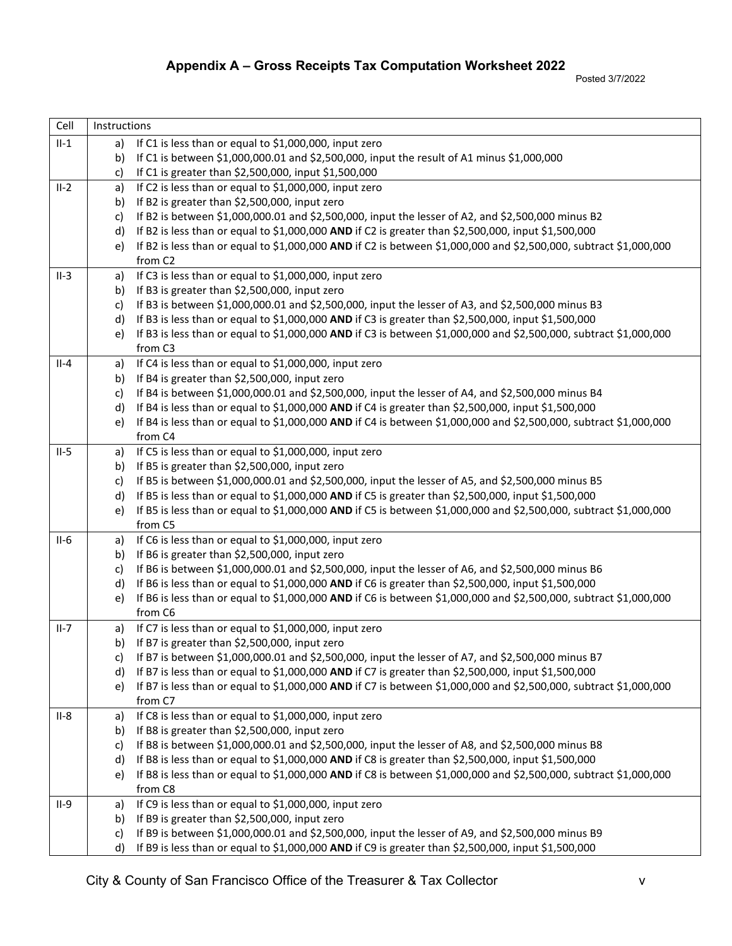| Cell   | Instructions |                                                                                                                              |  |  |  |  |
|--------|--------------|------------------------------------------------------------------------------------------------------------------------------|--|--|--|--|
| $II-1$ | a)           | If C1 is less than or equal to \$1,000,000, input zero                                                                       |  |  |  |  |
|        | b)           | If C1 is between \$1,000,000.01 and \$2,500,000, input the result of A1 minus \$1,000,000                                    |  |  |  |  |
|        | c)           | If C1 is greater than \$2,500,000, input \$1,500,000                                                                         |  |  |  |  |
| $II-2$ | a)           | If C2 is less than or equal to \$1,000,000, input zero                                                                       |  |  |  |  |
|        | b)           | If B2 is greater than \$2,500,000, input zero                                                                                |  |  |  |  |
|        | c)           | If B2 is between \$1,000,000.01 and \$2,500,000, input the lesser of A2, and \$2,500,000 minus B2                            |  |  |  |  |
|        | d)           | If B2 is less than or equal to \$1,000,000 AND if C2 is greater than \$2,500,000, input \$1,500,000                          |  |  |  |  |
|        | e)           | If B2 is less than or equal to \$1,000,000 AND if C2 is between \$1,000,000 and \$2,500,000, subtract \$1,000,000            |  |  |  |  |
|        |              | from C <sub>2</sub>                                                                                                          |  |  |  |  |
| $II-3$ | a)           | If C3 is less than or equal to \$1,000,000, input zero                                                                       |  |  |  |  |
|        | b)           | If B3 is greater than \$2,500,000, input zero                                                                                |  |  |  |  |
|        | c)           | If B3 is between \$1,000,000.01 and \$2,500,000, input the lesser of A3, and \$2,500,000 minus B3                            |  |  |  |  |
|        | d)           | If B3 is less than or equal to \$1,000,000 AND if C3 is greater than \$2,500,000, input \$1,500,000                          |  |  |  |  |
|        | e)           | If B3 is less than or equal to \$1,000,000 AND if C3 is between \$1,000,000 and \$2,500,000, subtract \$1,000,000            |  |  |  |  |
|        |              | from C3                                                                                                                      |  |  |  |  |
| $II-4$ | a)           | If C4 is less than or equal to \$1,000,000, input zero                                                                       |  |  |  |  |
|        | b)           | If B4 is greater than \$2,500,000, input zero                                                                                |  |  |  |  |
|        | c)           | If B4 is between \$1,000,000.01 and \$2,500,000, input the lesser of A4, and \$2,500,000 minus B4                            |  |  |  |  |
|        | d)           | If B4 is less than or equal to \$1,000,000 AND if C4 is greater than \$2,500,000, input \$1,500,000                          |  |  |  |  |
|        | e)           | If B4 is less than or equal to \$1,000,000 AND if C4 is between \$1,000,000 and \$2,500,000, subtract \$1,000,000            |  |  |  |  |
|        |              | from C4                                                                                                                      |  |  |  |  |
| $II-5$ | a)           | If C5 is less than or equal to \$1,000,000, input zero                                                                       |  |  |  |  |
|        | b)           | If B5 is greater than \$2,500,000, input zero                                                                                |  |  |  |  |
|        | c)           | If B5 is between \$1,000,000.01 and \$2,500,000, input the lesser of A5, and \$2,500,000 minus B5                            |  |  |  |  |
|        | d)           | If B5 is less than or equal to \$1,000,000 AND if C5 is greater than \$2,500,000, input \$1,500,000                          |  |  |  |  |
|        | e)           | If B5 is less than or equal to \$1,000,000 AND if C5 is between \$1,000,000 and \$2,500,000, subtract \$1,000,000<br>from C5 |  |  |  |  |
| $II-6$ | a)           | If C6 is less than or equal to \$1,000,000, input zero                                                                       |  |  |  |  |
|        | b)           | If B6 is greater than \$2,500,000, input zero                                                                                |  |  |  |  |
|        | c)           | If B6 is between \$1,000,000.01 and \$2,500,000, input the lesser of A6, and \$2,500,000 minus B6                            |  |  |  |  |
|        | d)           | If B6 is less than or equal to \$1,000,000 AND if C6 is greater than \$2,500,000, input \$1,500,000                          |  |  |  |  |
|        | e)           | If B6 is less than or equal to \$1,000,000 AND if C6 is between \$1,000,000 and \$2,500,000, subtract \$1,000,000            |  |  |  |  |
|        |              | from C6                                                                                                                      |  |  |  |  |
| $II-7$ | a)           | If C7 is less than or equal to \$1,000,000, input zero                                                                       |  |  |  |  |
|        | b)           | If B7 is greater than \$2,500,000, input zero                                                                                |  |  |  |  |
|        | c)           | If B7 is between \$1,000,000.01 and \$2,500,000, input the lesser of A7, and \$2,500,000 minus B7                            |  |  |  |  |
|        | d)           | If B7 is less than or equal to \$1,000,000 AND if C7 is greater than \$2,500,000, input \$1,500,000                          |  |  |  |  |
|        | e)           | If B7 is less than or equal to \$1,000,000 AND if C7 is between \$1,000,000 and \$2,500,000, subtract \$1,000,000            |  |  |  |  |
|        |              | from C7                                                                                                                      |  |  |  |  |
| $II-8$ | a)           | If C8 is less than or equal to \$1,000,000, input zero                                                                       |  |  |  |  |
|        | b)           | If B8 is greater than \$2,500,000, input zero                                                                                |  |  |  |  |
|        | c)           | If B8 is between \$1,000,000.01 and \$2,500,000, input the lesser of A8, and \$2,500,000 minus B8                            |  |  |  |  |
|        | d)           | If B8 is less than or equal to \$1,000,000 AND if C8 is greater than \$2,500,000, input \$1,500,000                          |  |  |  |  |
|        | e)           | If B8 is less than or equal to \$1,000,000 AND if C8 is between \$1,000,000 and \$2,500,000, subtract \$1,000,000            |  |  |  |  |
|        |              | from C8                                                                                                                      |  |  |  |  |
| $II-9$ | a)           | If C9 is less than or equal to \$1,000,000, input zero                                                                       |  |  |  |  |
|        | b)           | If B9 is greater than \$2,500,000, input zero                                                                                |  |  |  |  |
|        | c)           | If B9 is between \$1,000,000.01 and \$2,500,000, input the lesser of A9, and \$2,500,000 minus B9                            |  |  |  |  |
|        | d)           | If B9 is less than or equal to \$1,000,000 AND if C9 is greater than \$2,500,000, input \$1,500,000                          |  |  |  |  |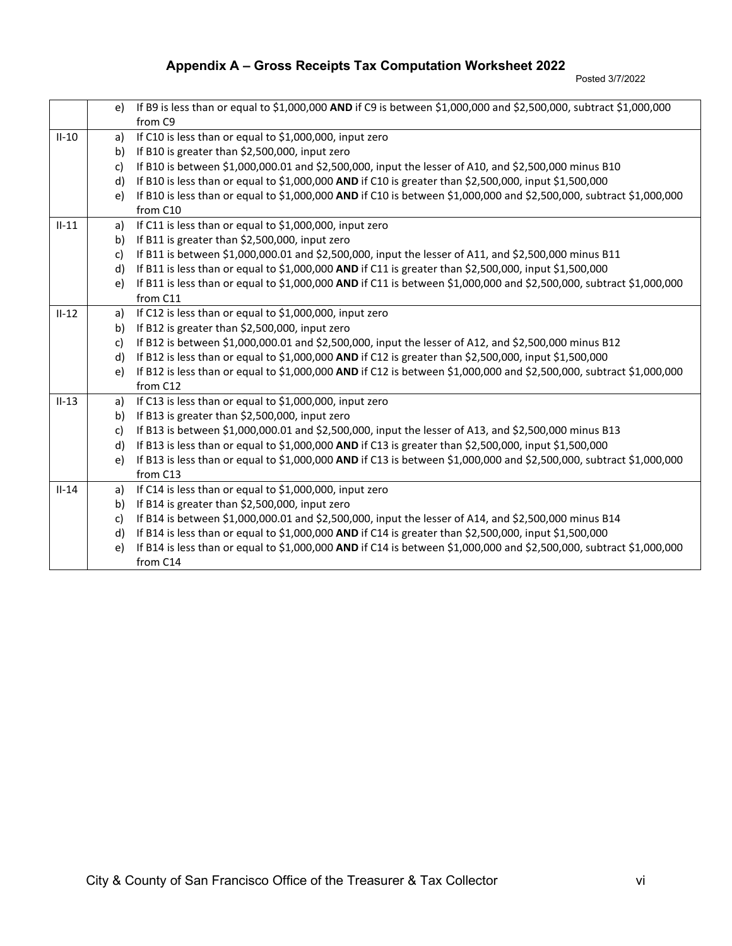Posted 3/7/2022

|         | e) | If B9 is less than or equal to \$1,000,000 AND if C9 is between \$1,000,000 and \$2,500,000, subtract \$1,000,000   |
|---------|----|---------------------------------------------------------------------------------------------------------------------|
|         |    | from C9                                                                                                             |
| $II-10$ | a) | If C10 is less than or equal to \$1,000,000, input zero                                                             |
|         | b) | If B10 is greater than \$2,500,000, input zero                                                                      |
|         | c) | If B10 is between \$1,000,000.01 and \$2,500,000, input the lesser of A10, and \$2,500,000 minus B10                |
|         | d) | If B10 is less than or equal to \$1,000,000 AND if C10 is greater than \$2,500,000, input \$1,500,000               |
|         | e) | If B10 is less than or equal to \$1,000,000 AND if C10 is between \$1,000,000 and \$2,500,000, subtract \$1,000,000 |
|         |    | from C10                                                                                                            |
| $II-11$ | a) | If C11 is less than or equal to \$1,000,000, input zero                                                             |
|         | b) | If B11 is greater than \$2,500,000, input zero                                                                      |
|         | c) | If B11 is between \$1,000,000.01 and \$2,500,000, input the lesser of A11, and \$2,500,000 minus B11                |
|         | d) | If B11 is less than or equal to \$1,000,000 AND if C11 is greater than \$2,500,000, input \$1,500,000               |
|         | e) | If B11 is less than or equal to \$1,000,000 AND if C11 is between \$1,000,000 and \$2,500,000, subtract \$1,000,000 |
|         |    | from C11                                                                                                            |
| $II-12$ | a) | If C12 is less than or equal to \$1,000,000, input zero                                                             |
|         | b) | If B12 is greater than \$2,500,000, input zero                                                                      |
|         | c) | If B12 is between \$1,000,000.01 and \$2,500,000, input the lesser of A12, and \$2,500,000 minus B12                |
|         | d) | If B12 is less than or equal to \$1,000,000 AND if C12 is greater than \$2,500,000, input \$1,500,000               |
|         | e) | If B12 is less than or equal to \$1,000,000 AND if C12 is between \$1,000,000 and \$2,500,000, subtract \$1,000,000 |
|         |    | from C12                                                                                                            |
| $II-13$ | a) | If C13 is less than or equal to \$1,000,000, input zero                                                             |
|         | b) | If B13 is greater than \$2,500,000, input zero                                                                      |
|         | c) | If B13 is between \$1,000,000.01 and \$2,500,000, input the lesser of A13, and \$2,500,000 minus B13                |
|         | d) | If B13 is less than or equal to \$1,000,000 AND if C13 is greater than \$2,500,000, input \$1,500,000               |
|         | e) | If B13 is less than or equal to \$1,000,000 AND if C13 is between \$1,000,000 and \$2,500,000, subtract \$1,000,000 |
|         |    | from C13                                                                                                            |
| $II-14$ | a) | If C14 is less than or equal to \$1,000,000, input zero                                                             |
|         | b) | If B14 is greater than \$2,500,000, input zero                                                                      |
|         | c) | If B14 is between \$1,000,000.01 and \$2,500,000, input the lesser of A14, and \$2,500,000 minus B14                |
|         | d) | If B14 is less than or equal to \$1,000,000 AND if C14 is greater than \$2,500,000, input \$1,500,000               |
|         | e) | If B14 is less than or equal to \$1,000,000 AND if C14 is between \$1,000,000 and \$2,500,000, subtract \$1,000,000 |
|         |    | from C14                                                                                                            |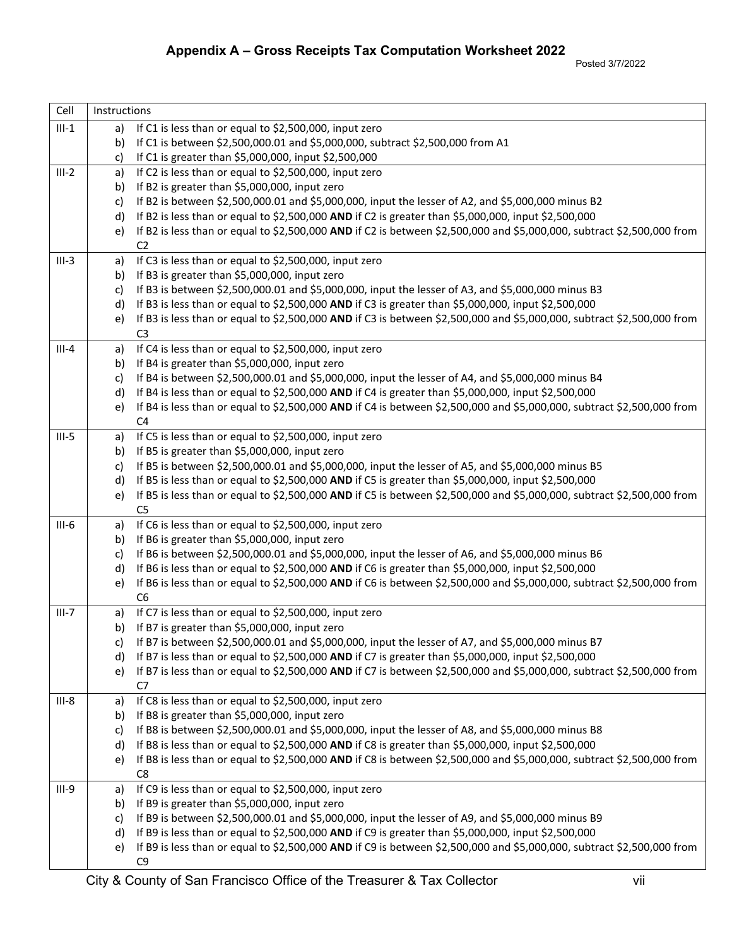| Cell    | Instructions |                                                                                                                                          |
|---------|--------------|------------------------------------------------------------------------------------------------------------------------------------------|
| $III-1$ |              | a) If C1 is less than or equal to \$2,500,000, input zero                                                                                |
|         | b)           | If C1 is between \$2,500,000.01 and \$5,000,000, subtract \$2,500,000 from A1                                                            |
|         | c)           | If C1 is greater than \$5,000,000, input \$2,500,000                                                                                     |
| $III-2$ | a)           | If C2 is less than or equal to \$2,500,000, input zero                                                                                   |
|         | b)           | If B2 is greater than \$5,000,000, input zero                                                                                            |
|         | c)           | If B2 is between \$2,500,000.01 and \$5,000,000, input the lesser of A2, and \$5,000,000 minus B2                                        |
|         | d)           | If B2 is less than or equal to \$2,500,000 AND if C2 is greater than \$5,000,000, input \$2,500,000                                      |
|         | e)           | If B2 is less than or equal to \$2,500,000 AND if C2 is between \$2,500,000 and \$5,000,000, subtract \$2,500,000 from                   |
|         |              | C <sub>2</sub>                                                                                                                           |
| $III-3$ | a)           | If C3 is less than or equal to \$2,500,000, input zero                                                                                   |
|         | b)           | If B3 is greater than \$5,000,000, input zero                                                                                            |
|         | c)           | If B3 is between \$2,500,000.01 and \$5,000,000, input the lesser of A3, and \$5,000,000 minus B3                                        |
|         | d)           | If B3 is less than or equal to \$2,500,000 AND if C3 is greater than \$5,000,000, input \$2,500,000                                      |
|         | e)           | If B3 is less than or equal to \$2,500,000 AND if C3 is between \$2,500,000 and \$5,000,000, subtract \$2,500,000 from                   |
|         |              | C <sub>3</sub>                                                                                                                           |
| $III-4$ | a)           | If C4 is less than or equal to \$2,500,000, input zero                                                                                   |
|         | b)           | If B4 is greater than \$5,000,000, input zero                                                                                            |
|         | c)           | If B4 is between \$2,500,000.01 and \$5,000,000, input the lesser of A4, and \$5,000,000 minus B4                                        |
|         | d)           | If B4 is less than or equal to \$2,500,000 AND if C4 is greater than \$5,000,000, input \$2,500,000                                      |
|         | e)           | If B4 is less than or equal to \$2,500,000 AND if C4 is between \$2,500,000 and \$5,000,000, subtract \$2,500,000 from<br>C <sub>4</sub> |
| $III-5$ | a)           | If C5 is less than or equal to \$2,500,000, input zero                                                                                   |
|         | b)           | If B5 is greater than \$5,000,000, input zero                                                                                            |
|         | c)           | If B5 is between \$2,500,000.01 and \$5,000,000, input the lesser of A5, and \$5,000,000 minus B5                                        |
|         | d)           | If B5 is less than or equal to \$2,500,000 AND if C5 is greater than \$5,000,000, input \$2,500,000                                      |
|         | e)           | If B5 is less than or equal to \$2,500,000 AND if C5 is between \$2,500,000 and \$5,000,000, subtract \$2,500,000 from                   |
|         |              | C <sub>5</sub>                                                                                                                           |
| $III-6$ | a)           | If C6 is less than or equal to \$2,500,000, input zero                                                                                   |
|         | b)           | If B6 is greater than \$5,000,000, input zero                                                                                            |
|         | c)           | If B6 is between \$2,500,000.01 and \$5,000,000, input the lesser of A6, and \$5,000,000 minus B6                                        |
|         | d)           | If B6 is less than or equal to \$2,500,000 AND if C6 is greater than \$5,000,000, input \$2,500,000                                      |
|         | e)           | If B6 is less than or equal to \$2,500,000 AND if C6 is between \$2,500,000 and \$5,000,000, subtract \$2,500,000 from                   |
|         |              | C <sub>6</sub>                                                                                                                           |
| $III-7$ | a)           | If C7 is less than or equal to \$2,500,000, input zero                                                                                   |
|         | b)           | If B7 is greater than \$5,000,000, input zero                                                                                            |
|         | C)           | If B7 is between \$2,500,000.01 and \$5,000,000, input the lesser of A7, and \$5,000,000 minus B7                                        |
|         | d)           | If B7 is less than or equal to \$2,500,000 AND if C7 is greater than \$5,000,000, input \$2,500,000                                      |
|         | e)           | If B7 is less than or equal to \$2,500,000 AND if C7 is between \$2,500,000 and \$5,000,000, subtract \$2,500,000 from<br>C7             |
| $III-8$ |              | If C8 is less than or equal to \$2,500,000, input zero                                                                                   |
|         | a)<br>b)     | If B8 is greater than \$5,000,000, input zero                                                                                            |
|         | c)           | If B8 is between \$2,500,000.01 and \$5,000,000, input the lesser of A8, and \$5,000,000 minus B8                                        |
|         | d)           | If B8 is less than or equal to \$2,500,000 AND if C8 is greater than \$5,000,000, input \$2,500,000                                      |
|         | e)           | If B8 is less than or equal to \$2,500,000 AND if C8 is between \$2,500,000 and \$5,000,000, subtract \$2,500,000 from                   |
|         |              | C <sub>8</sub>                                                                                                                           |
| $III-9$ | a)           | If C9 is less than or equal to \$2,500,000, input zero                                                                                   |
|         | b)           | If B9 is greater than \$5,000,000, input zero                                                                                            |
|         | c)           | If B9 is between \$2,500,000.01 and \$5,000,000, input the lesser of A9, and \$5,000,000 minus B9                                        |
|         | d)           | If B9 is less than or equal to \$2,500,000 AND if C9 is greater than \$5,000,000, input \$2,500,000                                      |
|         | e)           | If B9 is less than or equal to \$2,500,000 AND if C9 is between \$2,500,000 and \$5,000,000, subtract \$2,500,000 from                   |
|         |              | C9                                                                                                                                       |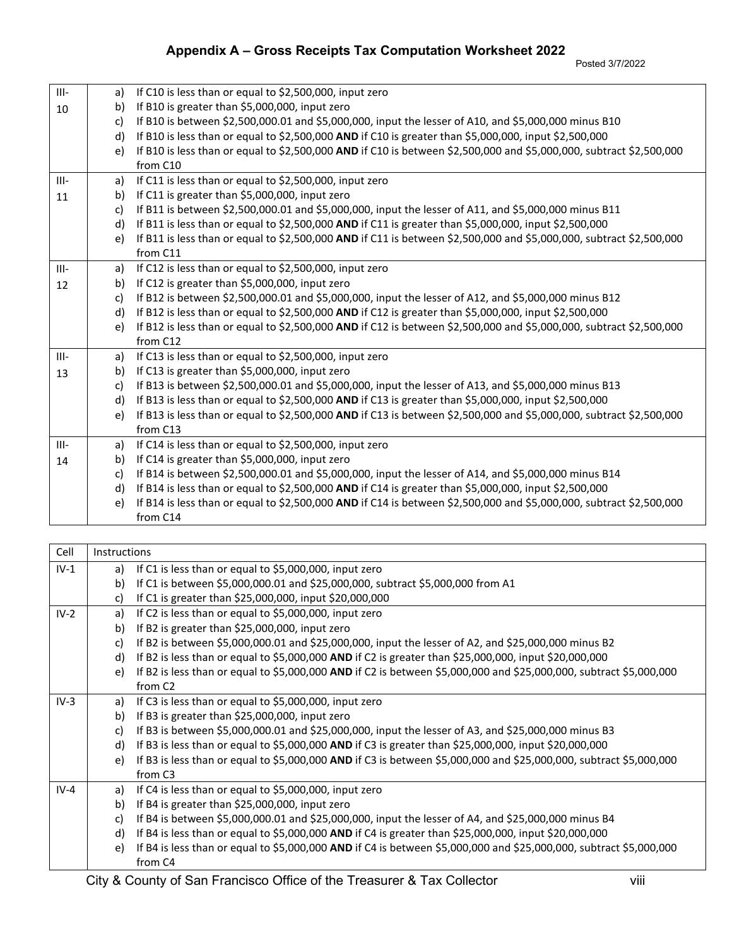Posted 3/7/2022

| Appendix A - Gross Receipts Tax Computation Worksheet 2022 |  |  |
|------------------------------------------------------------|--|--|
|                                                            |  |  |

| $III -$ | a) | If C10 is less than or equal to \$2,500,000, input zero                                                             |
|---------|----|---------------------------------------------------------------------------------------------------------------------|
| 10      | b) | If B10 is greater than \$5,000,000, input zero                                                                      |
|         | c) | If B10 is between \$2,500,000.01 and \$5,000,000, input the lesser of A10, and \$5,000,000 minus B10                |
|         | d) | If B10 is less than or equal to \$2,500,000 AND if C10 is greater than \$5,000,000, input \$2,500,000               |
|         | e) | If B10 is less than or equal to \$2,500,000 AND if C10 is between \$2,500,000 and \$5,000,000, subtract \$2,500,000 |
|         |    | from C10                                                                                                            |
| $III -$ | a) | If C11 is less than or equal to \$2,500,000, input zero                                                             |
| 11      | b) | If C11 is greater than \$5,000,000, input zero                                                                      |
|         | C) | If B11 is between \$2,500,000.01 and \$5,000,000, input the lesser of A11, and \$5,000,000 minus B11                |
|         | d) | If B11 is less than or equal to \$2,500,000 AND if C11 is greater than \$5,000,000, input \$2,500,000               |
|         | e) | If B11 is less than or equal to \$2,500,000 AND if C11 is between \$2,500,000 and \$5,000,000, subtract \$2,500,000 |
|         |    | from C11                                                                                                            |
| $III -$ | a) | If C12 is less than or equal to \$2,500,000, input zero                                                             |
| 12      | b) | If C12 is greater than \$5,000,000, input zero                                                                      |
|         | c) | If B12 is between \$2,500,000.01 and \$5,000,000, input the lesser of A12, and \$5,000,000 minus B12                |
|         | d) | If B12 is less than or equal to \$2,500,000 AND if C12 is greater than \$5,000,000, input \$2,500,000               |
|         | e) | If B12 is less than or equal to \$2,500,000 AND if C12 is between \$2,500,000 and \$5,000,000, subtract \$2,500,000 |
|         |    | from C12                                                                                                            |
| $III -$ | a) | If C13 is less than or equal to \$2,500,000, input zero                                                             |
| 13      | b) | If C13 is greater than \$5,000,000, input zero                                                                      |
|         | c) | If B13 is between \$2,500,000.01 and \$5,000,000, input the lesser of A13, and \$5,000,000 minus B13                |
|         | d) | If B13 is less than or equal to \$2,500,000 AND if C13 is greater than \$5,000,000, input \$2,500,000               |
|         | e) | If B13 is less than or equal to \$2,500,000 AND if C13 is between \$2,500,000 and \$5,000,000, subtract \$2,500,000 |
|         |    | from C13                                                                                                            |
| $III -$ | a) | If C14 is less than or equal to \$2,500,000, input zero                                                             |
| 14      | b) | If C14 is greater than \$5,000,000, input zero                                                                      |
|         | c) | If B14 is between \$2,500,000.01 and \$5,000,000, input the lesser of A14, and \$5,000,000 minus B14                |
|         | d) | If B14 is less than or equal to \$2,500,000 AND if C14 is greater than \$5,000,000, input \$2,500,000               |
|         | e) | If B14 is less than or equal to \$2,500,000 AND if C14 is between \$2,500,000 and \$5,000,000, subtract \$2,500,000 |
|         |    | from C14                                                                                                            |

| Cell   | Instructions |                                                                                                                    |
|--------|--------------|--------------------------------------------------------------------------------------------------------------------|
| $IV-1$ | a)           | If C1 is less than or equal to \$5,000,000, input zero                                                             |
|        | b)           | If C1 is between \$5,000,000.01 and \$25,000,000, subtract \$5,000,000 from A1                                     |
|        | c)           | If C1 is greater than \$25,000,000, input \$20,000,000                                                             |
| $IV-2$ | a)           | If C2 is less than or equal to \$5,000,000, input zero                                                             |
|        | b)           | If B2 is greater than \$25,000,000, input zero                                                                     |
|        | C)           | If B2 is between \$5,000,000.01 and \$25,000,000, input the lesser of A2, and \$25,000,000 minus B2                |
|        | d)           | If B2 is less than or equal to \$5,000,000 AND if C2 is greater than \$25,000,000, input \$20,000,000              |
|        | e)           | If B2 is less than or equal to \$5,000,000 AND if C2 is between \$5,000,000 and \$25,000,000, subtract \$5,000,000 |
|        |              | from C <sub>2</sub>                                                                                                |
| $IV-3$ | a)           | If C3 is less than or equal to \$5,000,000, input zero                                                             |
|        | b)           | If B3 is greater than \$25,000,000, input zero                                                                     |
|        | C)           | If B3 is between \$5,000,000.01 and \$25,000,000, input the lesser of A3, and \$25,000,000 minus B3                |
|        | d)           | If B3 is less than or equal to \$5,000,000 AND if C3 is greater than \$25,000,000, input \$20,000,000              |
|        | e)           | If B3 is less than or equal to \$5,000,000 AND if C3 is between \$5,000,000 and \$25,000,000, subtract \$5,000,000 |
|        |              | from C <sub>3</sub>                                                                                                |
| $IV-4$ | a)           | If C4 is less than or equal to \$5,000,000, input zero                                                             |
|        | b)           | If B4 is greater than \$25,000,000, input zero                                                                     |
|        | c)           | If B4 is between \$5,000,000.01 and \$25,000,000, input the lesser of A4, and \$25,000,000 minus B4                |
|        | d)           | If B4 is less than or equal to \$5,000,000 AND if C4 is greater than \$25,000,000, input \$20,000,000              |
|        | e)           | If B4 is less than or equal to \$5,000,000 AND if C4 is between \$5,000,000 and \$25,000,000, subtract \$5,000,000 |
|        |              | from C4                                                                                                            |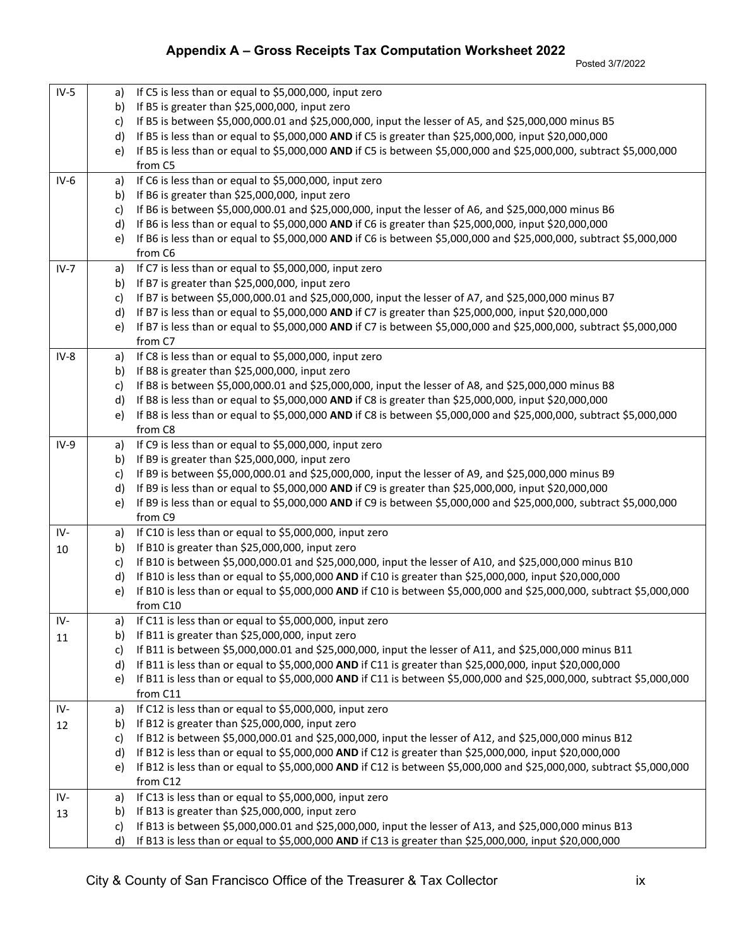Posted 3/7/2022

| $IV-5$ | a)           | If C5 is less than or equal to \$5,000,000, input zero                                                               |
|--------|--------------|----------------------------------------------------------------------------------------------------------------------|
|        | b)           | If B5 is greater than \$25,000,000, input zero                                                                       |
|        | c)           | If B5 is between \$5,000,000.01 and \$25,000,000, input the lesser of A5, and \$25,000,000 minus B5                  |
|        | d)           | If B5 is less than or equal to \$5,000,000 AND if C5 is greater than \$25,000,000, input \$20,000,000                |
|        | e)           | If B5 is less than or equal to \$5,000,000 AND if C5 is between \$5,000,000 and \$25,000,000, subtract \$5,000,000   |
|        |              | from C5                                                                                                              |
| $IV-6$ | a)           | If C6 is less than or equal to \$5,000,000, input zero                                                               |
|        | b)           | If B6 is greater than \$25,000,000, input zero                                                                       |
|        | c)           | If B6 is between \$5,000,000.01 and \$25,000,000, input the lesser of A6, and \$25,000,000 minus B6                  |
|        | $\mathsf{d}$ | If B6 is less than or equal to \$5,000,000 AND if C6 is greater than \$25,000,000, input \$20,000,000                |
|        | e)           | If B6 is less than or equal to \$5,000,000 AND if C6 is between \$5,000,000 and \$25,000,000, subtract \$5,000,000   |
|        |              | from C6                                                                                                              |
| $IV-7$ | a)           | If C7 is less than or equal to \$5,000,000, input zero                                                               |
|        | b)           | If B7 is greater than \$25,000,000, input zero                                                                       |
|        | c)           | If B7 is between \$5,000,000.01 and \$25,000,000, input the lesser of A7, and \$25,000,000 minus B7                  |
|        | d)           | If B7 is less than or equal to \$5,000,000 AND if C7 is greater than \$25,000,000, input \$20,000,000                |
|        | e)           | If B7 is less than or equal to \$5,000,000 AND if C7 is between \$5,000,000 and \$25,000,000, subtract \$5,000,000   |
|        |              | from C7                                                                                                              |
| $IV-8$ | a)           | If C8 is less than or equal to \$5,000,000, input zero                                                               |
|        | b)           | If B8 is greater than \$25,000,000, input zero                                                                       |
|        | c)           | If B8 is between \$5,000,000.01 and \$25,000,000, input the lesser of A8, and \$25,000,000 minus B8                  |
|        | d)           | If B8 is less than or equal to \$5,000,000 AND if C8 is greater than \$25,000,000, input \$20,000,000                |
|        | e)           | If B8 is less than or equal to \$5,000,000 AND if C8 is between \$5,000,000 and \$25,000,000, subtract \$5,000,000   |
|        |              | from C8                                                                                                              |
| $IV-9$ | a)           | If C9 is less than or equal to \$5,000,000, input zero                                                               |
|        | b)           | If B9 is greater than \$25,000,000, input zero                                                                       |
|        | c)           | If B9 is between \$5,000,000.01 and \$25,000,000, input the lesser of A9, and \$25,000,000 minus B9                  |
|        | d)           | If B9 is less than or equal to \$5,000,000 AND if C9 is greater than \$25,000,000, input \$20,000,000                |
|        | e)           | If B9 is less than or equal to \$5,000,000 AND if C9 is between \$5,000,000 and \$25,000,000, subtract \$5,000,000   |
|        |              | from C9                                                                                                              |
| IV-    | a)           | If C10 is less than or equal to \$5,000,000, input zero                                                              |
| 10     | b)           | If B10 is greater than \$25,000,000, input zero                                                                      |
|        | c)           | If B10 is between \$5,000,000.01 and \$25,000,000, input the lesser of A10, and \$25,000,000 minus B10               |
|        | d)           | If B10 is less than or equal to \$5,000,000 AND if C10 is greater than \$25,000,000, input \$20,000,000              |
|        | e)           | If B10 is less than or equal to \$5,000,000 AND if C10 is between \$5,000,000 and \$25,000,000, subtract \$5,000,000 |
|        |              | from C10                                                                                                             |
| IV-    | a)<br>b)     | If C11 is less than or equal to \$5,000,000, input zero<br>If B11 is greater than \$25,000,000, input zero           |
| 11     |              | If B11 is between \$5,000,000.01 and \$25,000,000, input the lesser of A11, and \$25,000,000 minus B11               |
|        | c)<br>d)     | If B11 is less than or equal to \$5,000,000 AND if C11 is greater than \$25,000,000, input \$20,000,000              |
|        | e)           | If B11 is less than or equal to \$5,000,000 AND if C11 is between \$5,000,000 and \$25,000,000, subtract \$5,000,000 |
|        |              | from C11                                                                                                             |
| IV-    | a)           | If C12 is less than or equal to \$5,000,000, input zero                                                              |
| 12     | b)           | If B12 is greater than \$25,000,000, input zero                                                                      |
|        | c)           | If B12 is between \$5,000,000.01 and \$25,000,000, input the lesser of A12, and \$25,000,000 minus B12               |
|        | d)           | If B12 is less than or equal to \$5,000,000 AND if C12 is greater than \$25,000,000, input \$20,000,000              |
|        | e)           | If B12 is less than or equal to \$5,000,000 AND if C12 is between \$5,000,000 and \$25,000,000, subtract \$5,000,000 |
|        |              | from C12                                                                                                             |
| IV-    | a)           | If C13 is less than or equal to \$5,000,000, input zero                                                              |
| 13     | b)           | If B13 is greater than \$25,000,000, input zero                                                                      |
|        | c)           | If B13 is between \$5,000,000.01 and \$25,000,000, input the lesser of A13, and \$25,000,000 minus B13               |
|        | d)           | If B13 is less than or equal to \$5,000,000 AND if C13 is greater than \$25,000,000, input \$20,000,000              |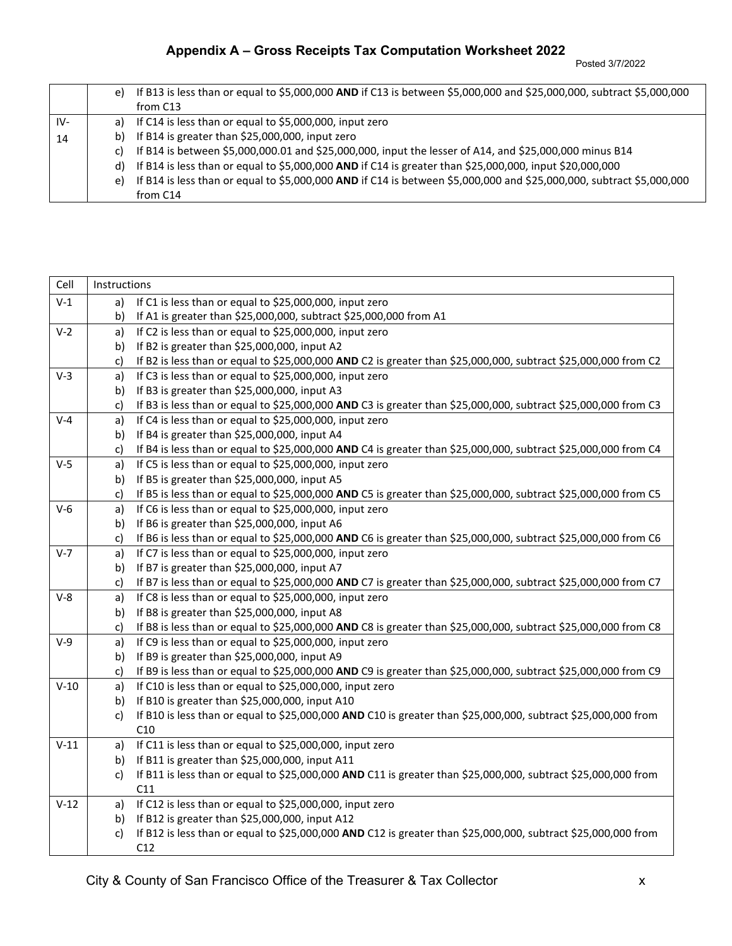Posted 3/7/2022

### **Appendix A – Gross Receipts Tax Computation Worksheet 2022**

|     | e) | If B13 is less than or equal to \$5,000,000 AND if C13 is between \$5,000,000 and \$25,000,000, subtract \$5,000,000<br>from C13 |
|-----|----|----------------------------------------------------------------------------------------------------------------------------------|
| IV- |    | a) If C14 is less than or equal to \$5,000,000, input zero                                                                       |
| 14  |    | b) If B14 is greater than $$25,000,000$ , input zero                                                                             |
|     | C) | If B14 is between \$5,000,000.01 and \$25,000,000, input the lesser of A14, and \$25,000,000 minus B14                           |
|     |    | d) If B14 is less than or equal to \$5,000,000 AND if C14 is greater than \$25,000,000, input \$20,000,000                       |
|     |    | e) If B14 is less than or equal to \$5,000,000 AND if C14 is between \$5,000,000 and \$25,000,000, subtract \$5,000,000          |
|     |    | from C14                                                                                                                         |

| Cell    | Instructions |                                                                                                                      |
|---------|--------------|----------------------------------------------------------------------------------------------------------------------|
| $V-1$   | a)           | If C1 is less than or equal to \$25,000,000, input zero                                                              |
|         | b)           | If A1 is greater than \$25,000,000, subtract \$25,000,000 from A1                                                    |
| $V-2$   | a)           | If C2 is less than or equal to \$25,000,000, input zero                                                              |
|         | b)           | If B2 is greater than \$25,000,000, input A2                                                                         |
|         | c)           | If B2 is less than or equal to \$25,000,000 AND C2 is greater than \$25,000,000, subtract \$25,000,000 from C2       |
| $V-3$   | a)           | If C3 is less than or equal to \$25,000,000, input zero                                                              |
|         | b)           | If B3 is greater than \$25,000,000, input A3                                                                         |
|         | c)           | If B3 is less than or equal to \$25,000,000 AND C3 is greater than \$25,000,000, subtract \$25,000,000 from C3       |
| $V - 4$ | a)           | If C4 is less than or equal to \$25,000,000, input zero                                                              |
|         | b)           | If B4 is greater than \$25,000,000, input A4                                                                         |
|         | c)           | If B4 is less than or equal to \$25,000,000 AND C4 is greater than \$25,000,000, subtract \$25,000,000 from C4       |
| $V-5$   | a)           | If C5 is less than or equal to \$25,000,000, input zero                                                              |
|         | b)           | If B5 is greater than \$25,000,000, input A5                                                                         |
|         | c)           | If B5 is less than or equal to \$25,000,000 AND C5 is greater than \$25,000,000, subtract \$25,000,000 from C5       |
| $V-6$   | a)           | If C6 is less than or equal to \$25,000,000, input zero                                                              |
|         | b)           | If B6 is greater than \$25,000,000, input A6                                                                         |
|         | c)           | If B6 is less than or equal to \$25,000,000 AND C6 is greater than \$25,000,000, subtract \$25,000,000 from C6       |
| $V-7$   | a)           | If C7 is less than or equal to \$25,000,000, input zero                                                              |
|         | b)           | If B7 is greater than \$25,000,000, input A7                                                                         |
|         | c)           | If B7 is less than or equal to \$25,000,000 AND C7 is greater than \$25,000,000, subtract \$25,000,000 from C7       |
| $V-8$   | a)           | If C8 is less than or equal to \$25,000,000, input zero                                                              |
|         | b)           | If B8 is greater than \$25,000,000, input A8                                                                         |
|         | C)           | If B8 is less than or equal to \$25,000,000 AND C8 is greater than \$25,000,000, subtract \$25,000,000 from C8       |
| $V-9$   | a)           | If C9 is less than or equal to \$25,000,000, input zero                                                              |
|         | b)           | If B9 is greater than \$25,000,000, input A9                                                                         |
|         | C)           | If B9 is less than or equal to \$25,000,000 AND C9 is greater than \$25,000,000, subtract \$25,000,000 from C9       |
| $V-10$  | a)           | If C10 is less than or equal to \$25,000,000, input zero                                                             |
|         | b)           | If B10 is greater than \$25,000,000, input A10                                                                       |
|         | c)           | If B10 is less than or equal to \$25,000,000 AND C10 is greater than \$25,000,000, subtract \$25,000,000 from        |
|         |              | C10                                                                                                                  |
| $V-11$  | a)           | If C11 is less than or equal to \$25,000,000, input zero                                                             |
|         | b)           | If B11 is greater than \$25,000,000, input A11                                                                       |
|         | c)           | If B11 is less than or equal to \$25,000,000 AND C11 is greater than \$25,000,000, subtract \$25,000,000 from<br>C11 |
| $V-12$  | a)           | If C12 is less than or equal to \$25,000,000, input zero                                                             |
|         | b)           | If B12 is greater than \$25,000,000, input A12                                                                       |
|         | c)           | If B12 is less than or equal to \$25,000,000 AND C12 is greater than \$25,000,000, subtract \$25,000,000 from        |
|         |              | C12                                                                                                                  |
|         |              |                                                                                                                      |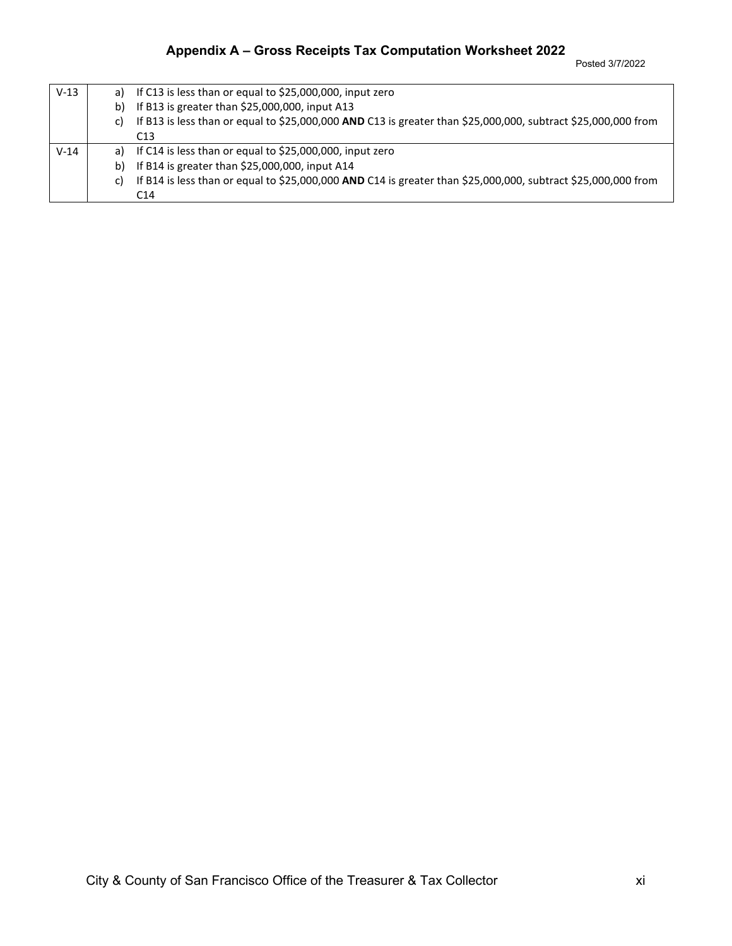| $V-13$ | a) | If C13 is less than or equal to \$25,000,000, input zero                                                      |  |  |
|--------|----|---------------------------------------------------------------------------------------------------------------|--|--|
|        | b) | If B13 is greater than \$25,000,000, input A13                                                                |  |  |
|        | C) | If B13 is less than or equal to \$25,000,000 AND C13 is greater than \$25,000,000, subtract \$25,000,000 from |  |  |
|        |    | C <sub>13</sub>                                                                                               |  |  |
| $V-14$ | a) | If C14 is less than or equal to \$25,000,000, input zero                                                      |  |  |
|        | b) | If B14 is greater than \$25,000,000, input A14                                                                |  |  |
|        | C) | If B14 is less than or equal to \$25,000,000 AND C14 is greater than \$25,000,000, subtract \$25,000,000 from |  |  |
|        |    | C <sub>14</sub>                                                                                               |  |  |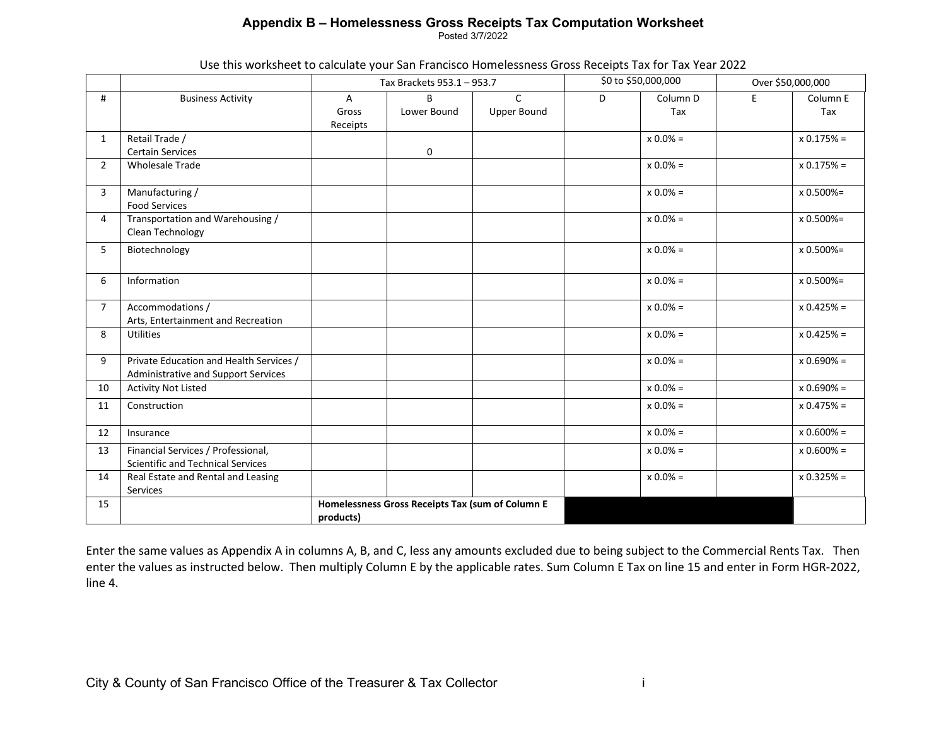### **Appendix B – Homelessness Gross Receipts Tax Computation Worksheet**

Posted 3/7/2022

| Use this worksheet to calculate your San Francisco Homelessness Gross Receipts Tax for Tax Year 2022 |
|------------------------------------------------------------------------------------------------------|
|------------------------------------------------------------------------------------------------------|

|                |                                                                                |                        | Tax Brackets 953.1 - 953.7                       |                                    | \$0 to \$50,000,000 |                 | Over \$50,000,000 |                 |
|----------------|--------------------------------------------------------------------------------|------------------------|--------------------------------------------------|------------------------------------|---------------------|-----------------|-------------------|-----------------|
| #              | <b>Business Activity</b>                                                       | A<br>Gross<br>Receipts | B<br>Lower Bound                                 | $\mathsf{C}$<br><b>Upper Bound</b> | D                   | Column D<br>Tax | E                 | Column E<br>Tax |
| $\mathbf{1}$   | Retail Trade /<br><b>Certain Services</b>                                      |                        | 0                                                |                                    |                     | $x 0.0\% =$     |                   | $x 0.175% =$    |
| $\overline{2}$ | <b>Wholesale Trade</b>                                                         |                        |                                                  |                                    |                     | $x 0.0\% =$     |                   | $x 0.175% =$    |
| 3              | Manufacturing /<br><b>Food Services</b>                                        |                        |                                                  |                                    |                     | $x 0.0\% =$     |                   | x 0.500%=       |
| 4              | Transportation and Warehousing /<br>Clean Technology                           |                        |                                                  |                                    |                     | $x 0.0\% =$     |                   | x 0.500%=       |
| 5              | Biotechnology                                                                  |                        |                                                  |                                    |                     | $x 0.0\% =$     |                   | x 0.500%=       |
| 6              | Information                                                                    |                        |                                                  |                                    |                     | $x 0.0% =$      |                   | $x 0.500% =$    |
| $\overline{7}$ | Accommodations /<br>Arts, Entertainment and Recreation                         |                        |                                                  |                                    |                     | $x 0.0% =$      |                   | $x 0.425% =$    |
| 8              | <b>Utilities</b>                                                               |                        |                                                  |                                    |                     | $x 0.0% =$      |                   | $x 0.425% =$    |
| 9              | Private Education and Health Services /<br>Administrative and Support Services |                        |                                                  |                                    |                     | $x 0.0% =$      |                   | $x 0.690% =$    |
| 10             | <b>Activity Not Listed</b>                                                     |                        |                                                  |                                    |                     | $x 0.0\% =$     |                   | $x 0.690% =$    |
| 11             | Construction                                                                   |                        |                                                  |                                    |                     | $x 0.0\% =$     |                   | $x 0.475% =$    |
| 12             | Insurance                                                                      |                        |                                                  |                                    |                     | $x 0.0% =$      |                   | $x 0.600% =$    |
| 13             | Financial Services / Professional,<br><b>Scientific and Technical Services</b> |                        |                                                  |                                    |                     | $x 0.0\% =$     |                   | $x 0.600% =$    |
| 14             | Real Estate and Rental and Leasing<br>Services                                 |                        |                                                  |                                    |                     | $x 0.0% =$      |                   | $x 0.325% =$    |
| 15             |                                                                                | products)              | Homelessness Gross Receipts Tax (sum of Column E |                                    |                     |                 |                   |                 |

Enter the same values as Appendix A in columns A, B, and C, less any amounts excluded due to being subject to the Commercial Rents Tax. Then enter the values as instructed below. Then multiply Column E by the applicable rates. Sum Column E Tax on line 15 and enter in Form HGR-2022, line 4.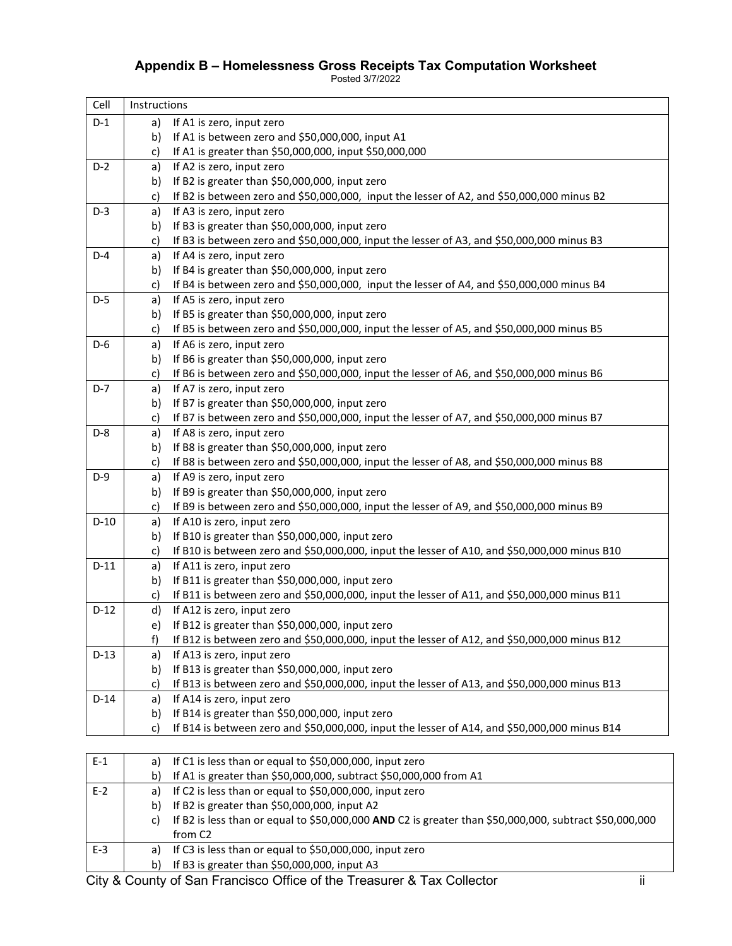## **Appendix B – Homelessness Gross Receipts Tax Computation Worksheet**

Posted 3/7/2022

| Cell   | Instructions |                                                                                              |  |  |
|--------|--------------|----------------------------------------------------------------------------------------------|--|--|
| $D-1$  | a)           | If A1 is zero, input zero                                                                    |  |  |
|        | b)           | If A1 is between zero and \$50,000,000, input A1                                             |  |  |
|        | c)           | If A1 is greater than \$50,000,000, input \$50,000,000                                       |  |  |
| $D-2$  | a)           | If A2 is zero, input zero                                                                    |  |  |
|        | b)           | If B2 is greater than \$50,000,000, input zero                                               |  |  |
|        | c)           | If B2 is between zero and \$50,000,000, input the lesser of A2, and \$50,000,000 minus B2    |  |  |
| $D-3$  | a)           | If A3 is zero, input zero                                                                    |  |  |
|        | b)           | If B3 is greater than \$50,000,000, input zero                                               |  |  |
|        | c)           | If B3 is between zero and \$50,000,000, input the lesser of A3, and \$50,000,000 minus B3    |  |  |
| $D-4$  | a)           | If A4 is zero, input zero                                                                    |  |  |
|        | b)           | If B4 is greater than \$50,000,000, input zero                                               |  |  |
|        | c)           | If B4 is between zero and \$50,000,000, input the lesser of A4, and \$50,000,000 minus B4    |  |  |
| $D-5$  | a)           | If A5 is zero, input zero                                                                    |  |  |
|        | b)           | If B5 is greater than \$50,000,000, input zero                                               |  |  |
|        | c)           | If B5 is between zero and \$50,000,000, input the lesser of A5, and \$50,000,000 minus B5    |  |  |
| $D-6$  | a)           | If A6 is zero, input zero                                                                    |  |  |
|        | b)           | If B6 is greater than \$50,000,000, input zero                                               |  |  |
|        | c)           | If B6 is between zero and \$50,000,000, input the lesser of A6, and \$50,000,000 minus B6    |  |  |
| $D-7$  | a)           | If A7 is zero, input zero                                                                    |  |  |
|        | b)           | If B7 is greater than \$50,000,000, input zero                                               |  |  |
|        | c)           | If B7 is between zero and \$50,000,000, input the lesser of A7, and \$50,000,000 minus B7    |  |  |
| $D-8$  | a)           | If A8 is zero, input zero                                                                    |  |  |
|        | b)           | If B8 is greater than \$50,000,000, input zero                                               |  |  |
|        | c)           | If B8 is between zero and \$50,000,000, input the lesser of A8, and \$50,000,000 minus B8    |  |  |
| $D-9$  | a)           | If A9 is zero, input zero                                                                    |  |  |
|        | b)           | If B9 is greater than \$50,000,000, input zero                                               |  |  |
|        | c)           | If B9 is between zero and \$50,000,000, input the lesser of A9, and \$50,000,000 minus B9    |  |  |
| $D-10$ | a)           | If A10 is zero, input zero                                                                   |  |  |
|        | b)           | If B10 is greater than \$50,000,000, input zero                                              |  |  |
|        | c)           | If B10 is between zero and \$50,000,000, input the lesser of A10, and \$50,000,000 minus B10 |  |  |
| $D-11$ | a)           | If A11 is zero, input zero                                                                   |  |  |
|        | b)           | If B11 is greater than \$50,000,000, input zero                                              |  |  |
|        | c)           | If B11 is between zero and \$50,000,000, input the lesser of A11, and \$50,000,000 minus B11 |  |  |
| $D-12$ | d)           | If A12 is zero, input zero                                                                   |  |  |
|        | e)           | If B12 is greater than \$50,000,000, input zero                                              |  |  |
|        | f)           | If B12 is between zero and \$50,000,000, input the lesser of A12, and \$50,000,000 minus B12 |  |  |
| $D-13$ | a)           | If A13 is zero, input zero                                                                   |  |  |
|        | b)           | If B13 is greater than \$50,000,000, input zero                                              |  |  |
|        | c)           | If B13 is between zero and \$50,000,000, input the lesser of A13, and \$50,000,000 minus B13 |  |  |
| $D-14$ | a)           | If A14 is zero, input zero                                                                   |  |  |
|        | b)           | If B14 is greater than \$50,000,000, input zero                                              |  |  |
|        | c)           | If B14 is between zero and \$50,000,000, input the lesser of A14, and \$50,000,000 minus B14 |  |  |
|        |              |                                                                                              |  |  |
| $E-1$  |              |                                                                                              |  |  |
|        | a)           | If C1 is less than or equal to \$50,000,000, input zero                                      |  |  |
|        | b)           | If A1 is greater than \$50,000,000, subtract \$50,000,000 from A1                            |  |  |
| $E-2$  | a)           | If C2 is less than or equal to \$50,000,000, input zero                                      |  |  |

| <u>. .</u> | $\sim$ 2 is its than or equal to 950,000,000, imput zero |
|------------|----------------------------------------------------------|
|            | b) If B2 is greater than \$50,000,000, input A2          |
|            | .                                                        |

|     | c) If B2 is less than or equal to \$50,000,000 AND C2 is greater than \$50,000,000, subtract \$50,000,000<br>from C <sub>2</sub> |
|-----|----------------------------------------------------------------------------------------------------------------------------------|
| E-3 | a) If C3 is less than or equal to $$50,000,000$ , input zero                                                                     |

b) If B3 is greater than \$50,000,000, input A3

City & County of San Francisco Office of the Treasurer & Tax Collector ii